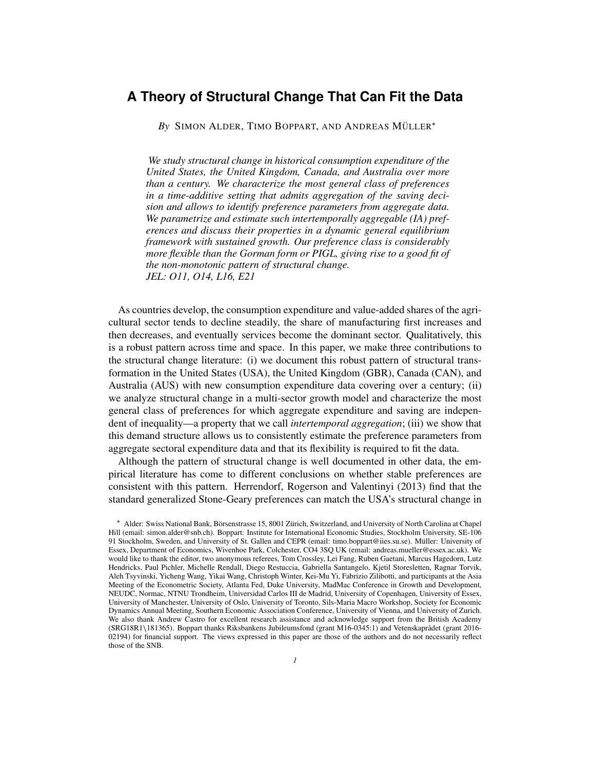# **A Theory of Structural Change That Can Fit the Data**

**By SIMON ALDER, TIMO BOPPART, AND ANDREAS MÜLLER<sup>\*</sup>** 

*We study structural change in historical consumption expenditure of the United States, the United Kingdom, Canada, and Australia over more than a century. We characterize the most general class of preferences in a time-additive setting that admits aggregation of the saving decision and allows to identify preference parameters from aggregate data. We parametrize and estimate such intertemporally aggregable (IA) preferences and discuss their properties in a dynamic general equilibrium framework with sustained growth. Our preference class is considerably more flexible than the Gorman form or PIGL, giving rise to a good fit of the non-monotonic pattern of structural change. JEL: O11, O14, L16, E21*

As countries develop, the consumption expenditure and value-added shares of the agricultural sector tends to decline steadily, the share of manufacturing first increases and then decreases, and eventually services become the dominant sector. Qualitatively, this is a robust pattern across time and space. In this paper, we make three contributions to the structural change literature: (i) we document this robust pattern of structural transformation in the United States (USA), the United Kingdom (GBR), Canada (CAN), and Australia (AUS) with new consumption expenditure data covering over a century; (ii) we analyze structural change in a multi-sector growth model and characterize the most general class of preferences for which aggregate expenditure and saving are independent of inequality—a property that we call *intertemporal aggregation*; (iii) we show that this demand structure allows us to consistently estimate the preference parameters from aggregate sectoral expenditure data and that its flexibility is required to fit the data.

Although the pattern of structural change is well documented in other data, the empirical literature has come to different conclusions on whether stable preferences are consistent with this pattern. Herrendorf, Rogerson and Valentinyi (2013) find that the standard generalized Stone-Geary preferences can match the USA's structural change in

<sup>\*</sup> Alder: Swiss National Bank, Börsenstrasse 15, 8001 Zürich, Switzerland, and University of North Carolina at Chapel Hill (email: simon.alder@snb.ch). Boppart: Institute for International Economic Studies, Stockholm University, SE-106 91 Stockholm, Sweden, and University of St. Gallen and CEPR (email: timo.boppart@iies.su.se). Müller: University of Essex, Department of Economics, Wivenhoe Park, Colchester, CO4 3SQ UK (email: andreas.mueller@essex.ac.uk). We would like to thank the editor, two anonymous referees, Tom Crossley, Lei Fang, Ruben Gaetani, Marcus Hagedorn, Lutz Hendricks, Paul Pichler, Michelle Rendall, Diego Restuccia, Gabriella Santangelo, Kjetil Storesletten, Ragnar Torvik, Aleh Tsyvinski, Yicheng Wang, Yikai Wang, Christoph Winter, Kei-Mu Yi, Fabrizio Zilibotti, and participants at the Asia Meeting of the Econometric Society, Atlanta Fed, Duke University, MadMac Conference in Growth and Development, NEUDC, Normac, NTNU Trondheim, Universidad Carlos III de Madrid, University of Copenhagen, University of Essex, University of Manchester, University of Oslo, University of Toronto, Sils-Maria Macro Workshop, Society for Economic Dynamics Annual Meeting, Southern Economic Association Conference, University of Vienna, and University of Zurich. We also thank Andrew Castro for excellent research assistance and acknowledge support from the British Academy (SRG18R1\181365). Boppart thanks Riksbankens Jubileumsfond (grant M16-0345:1) and Vetenskaprådet (grant 2016-02194) for financial support. The views expressed in this paper are those of the authors and do not necessarily reflect those of the SNB.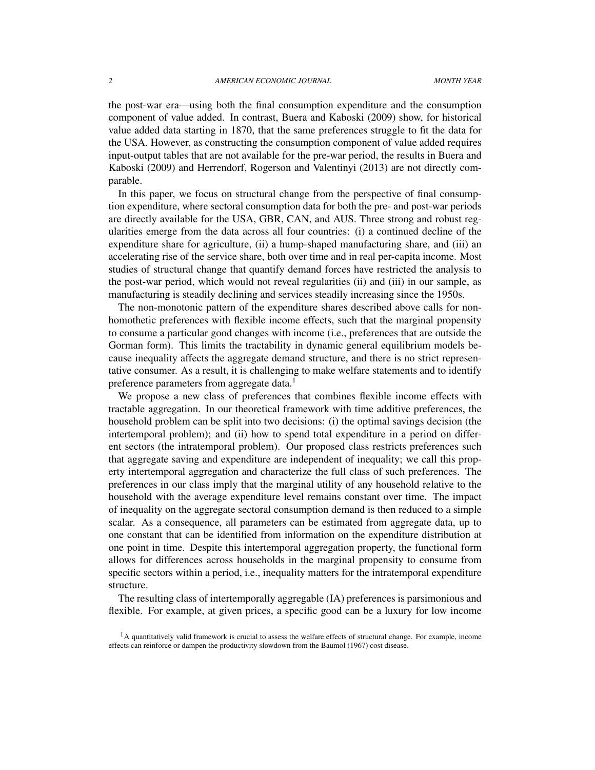the post-war era—using both the final consumption expenditure and the consumption component of value added. In contrast, Buera and Kaboski (2009) show, for historical value added data starting in 1870, that the same preferences struggle to fit the data for the USA. However, as constructing the consumption component of value added requires input-output tables that are not available for the pre-war period, the results in Buera and Kaboski (2009) and Herrendorf, Rogerson and Valentinyi (2013) are not directly comparable.

In this paper, we focus on structural change from the perspective of final consumption expenditure, where sectoral consumption data for both the pre- and post-war periods are directly available for the USA, GBR, CAN, and AUS. Three strong and robust regularities emerge from the data across all four countries: (i) a continued decline of the expenditure share for agriculture, (ii) a hump-shaped manufacturing share, and (iii) an accelerating rise of the service share, both over time and in real per-capita income. Most studies of structural change that quantify demand forces have restricted the analysis to the post-war period, which would not reveal regularities (ii) and (iii) in our sample, as manufacturing is steadily declining and services steadily increasing since the 1950s.

The non-monotonic pattern of the expenditure shares described above calls for nonhomothetic preferences with flexible income effects, such that the marginal propensity to consume a particular good changes with income (i.e., preferences that are outside the Gorman form). This limits the tractability in dynamic general equilibrium models because inequality affects the aggregate demand structure, and there is no strict representative consumer. As a result, it is challenging to make welfare statements and to identify preference parameters from aggregate data.<sup>1</sup>

We propose a new class of preferences that combines flexible income effects with tractable aggregation. In our theoretical framework with time additive preferences, the household problem can be split into two decisions: (i) the optimal savings decision (the intertemporal problem); and (ii) how to spend total expenditure in a period on different sectors (the intratemporal problem). Our proposed class restricts preferences such that aggregate saving and expenditure are independent of inequality; we call this property intertemporal aggregation and characterize the full class of such preferences. The preferences in our class imply that the marginal utility of any household relative to the household with the average expenditure level remains constant over time. The impact of inequality on the aggregate sectoral consumption demand is then reduced to a simple scalar. As a consequence, all parameters can be estimated from aggregate data, up to one constant that can be identified from information on the expenditure distribution at one point in time. Despite this intertemporal aggregation property, the functional form allows for differences across households in the marginal propensity to consume from specific sectors within a period, i.e., inequality matters for the intratemporal expenditure structure.

The resulting class of intertemporally aggregable (IA) preferences is parsimonious and flexible. For example, at given prices, a specific good can be a luxury for low income

 $<sup>1</sup>A$  quantitatively valid framework is crucial to assess the welfare effects of structural change. For example, income</sup> effects can reinforce or dampen the productivity slowdown from the Baumol (1967) cost disease.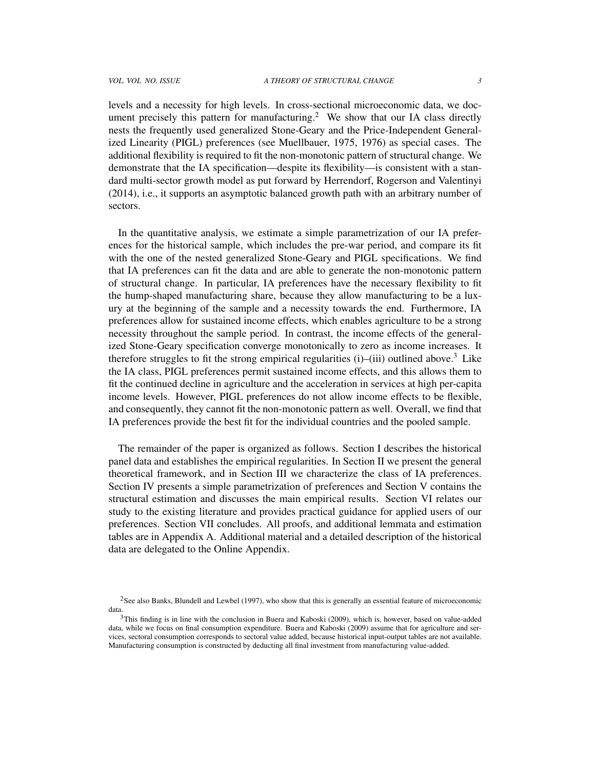levels and a necessity for high levels. In cross-sectional microeconomic data, we document precisely this pattern for manufacturing.<sup>2</sup> We show that our IA class directly nests the frequently used generalized Stone-Geary and the Price-Independent Generalized Linearity (PIGL) preferences (see Muellbauer, 1975, 1976) as special cases. The additional flexibility is required to fit the non-monotonic pattern of structural change. We demonstrate that the IA specification—despite its flexibility—is consistent with a standard multi-sector growth model as put forward by Herrendorf, Rogerson and Valentinyi (2014), i.e., it supports an asymptotic balanced growth path with an arbitrary number of sectors.

In the quantitative analysis, we estimate a simple parametrization of our IA preferences for the historical sample, which includes the pre-war period, and compare its fit with the one of the nested generalized Stone-Geary and PIGL specifications. We find that IA preferences can fit the data and are able to generate the non-monotonic pattern of structural change. In particular, IA preferences have the necessary flexibility to fit the hump-shaped manufacturing share, because they allow manufacturing to be a luxury at the beginning of the sample and a necessity towards the end. Furthermore, IA preferences allow for sustained income effects, which enables agriculture to be a strong necessity throughout the sample period. In contrast, the income effects of the generalized Stone-Geary specification converge monotonically to zero as income increases. It therefore struggles to fit the strong empirical regularities  $(i)$ – $(iii)$  outlined above.<sup>3</sup> Like the IA class, PIGL preferences permit sustained income effects, and this allows them to fit the continued decline in agriculture and the acceleration in services at high per-capita income levels. However, PIGL preferences do not allow income effects to be flexible, and consequently, they cannot fit the non-monotonic pattern as well. Overall, we find that IA preferences provide the best fit for the individual countries and the pooled sample.

The remainder of the paper is organized as follows. Section I describes the historical panel data and establishes the empirical regularities. In Section II we present the general theoretical framework, and in Section III we characterize the class of IA preferences. Section IV presents a simple parametrization of preferences and Section V contains the structural estimation and discusses the main empirical results. Section VI relates our study to the existing literature and provides practical guidance for applied users of our preferences. Section VII concludes. All proofs, and additional lemmata and estimation tables are in Appendix A. Additional material and a detailed description of the historical data are delegated to the Online Appendix.

<sup>&</sup>lt;sup>2</sup>See also Banks, Blundell and Lewbel (1997), who show that this is generally an essential feature of microeconomic data.

<sup>&</sup>lt;sup>3</sup>This finding is in line with the conclusion in Buera and Kaboski (2009), which is, however, based on value-added data, while we focus on final consumption expenditure. Buera and Kaboski (2009) assume that for agriculture and services, sectoral consumption corresponds to sectoral value added, because historical input-output tables are not available. Manufacturing consumption is constructed by deducting all final investment from manufacturing value-added.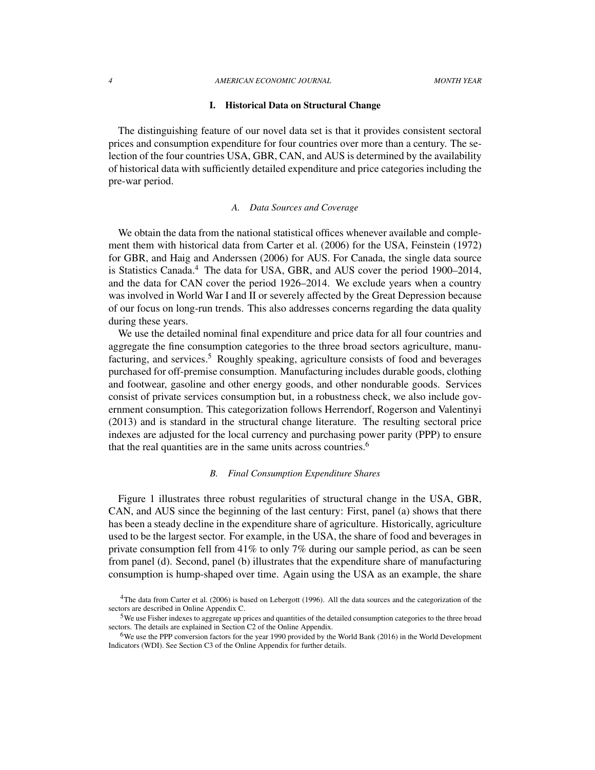#### *4 AMERICAN ECONOMIC JOURNAL MONTH YEAR*

## I. Historical Data on Structural Change

The distinguishing feature of our novel data set is that it provides consistent sectoral prices and consumption expenditure for four countries over more than a century. The selection of the four countries USA, GBR, CAN, and AUS is determined by the availability of historical data with sufficiently detailed expenditure and price categories including the pre-war period.

#### *A. Data Sources and Coverage*

We obtain the data from the national statistical offices whenever available and complement them with historical data from Carter et al. (2006) for the USA, Feinstein (1972) for GBR, and Haig and Anderssen (2006) for AUS. For Canada, the single data source is Statistics Canada. $4$  The data for USA, GBR, and AUS cover the period 1900–2014, and the data for CAN cover the period 1926–2014. We exclude years when a country was involved in World War I and II or severely affected by the Great Depression because of our focus on long-run trends. This also addresses concerns regarding the data quality during these years.

We use the detailed nominal final expenditure and price data for all four countries and aggregate the fine consumption categories to the three broad sectors agriculture, manufacturing, and services.<sup>5</sup> Roughly speaking, agriculture consists of food and beverages purchased for off-premise consumption. Manufacturing includes durable goods, clothing and footwear, gasoline and other energy goods, and other nondurable goods. Services consist of private services consumption but, in a robustness check, we also include government consumption. This categorization follows Herrendorf, Rogerson and Valentinyi (2013) and is standard in the structural change literature. The resulting sectoral price indexes are adjusted for the local currency and purchasing power parity (PPP) to ensure that the real quantities are in the same units across countries.<sup>6</sup>

## *B. Final Consumption Expenditure Shares*

Figure 1 illustrates three robust regularities of structural change in the USA, GBR, CAN, and AUS since the beginning of the last century: First, panel (a) shows that there has been a steady decline in the expenditure share of agriculture. Historically, agriculture used to be the largest sector. For example, in the USA, the share of food and beverages in private consumption fell from 41% to only 7% during our sample period, as can be seen from panel (d). Second, panel (b) illustrates that the expenditure share of manufacturing consumption is hump-shaped over time. Again using the USA as an example, the share

<sup>&</sup>lt;sup>4</sup>The data from Carter et al. (2006) is based on Lebergott (1996). All the data sources and the categorization of the sectors are described in Online Appendix C.

<sup>5</sup>We use Fisher indexes to aggregate up prices and quantities of the detailed consumption categories to the three broad sectors. The details are explained in Section C2 of the Online Appendix.

<sup>6</sup>We use the PPP conversion factors for the year 1990 provided by the World Bank (2016) in the World Development Indicators (WDI). See Section C3 of the Online Appendix for further details.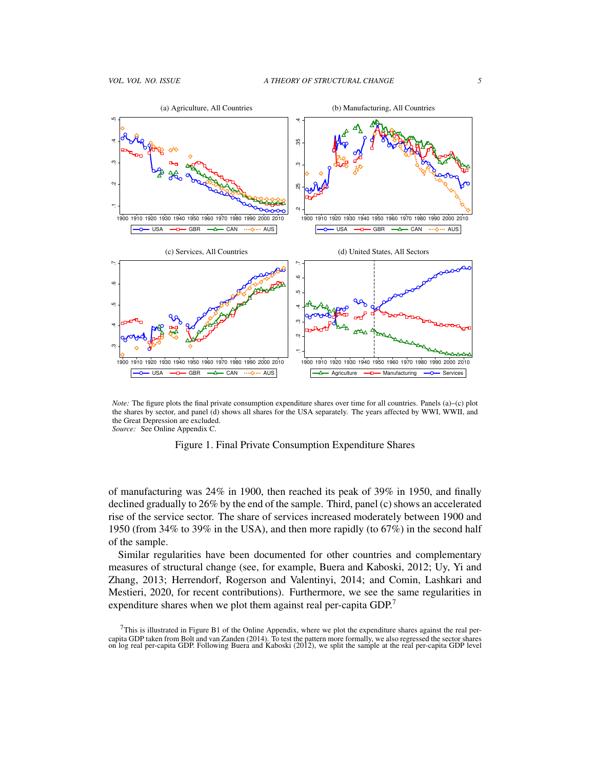

*Note:* The figure plots the final private consumption expenditure shares over time for all countries. Panels (a)–(c) plot the shares by sector, and panel (d) shows all shares for the USA separately. The years affected by WWI, WWII, and the Great Depression are excluded. *Source:* See Online Appendix C.



of manufacturing was 24% in 1900, then reached its peak of 39% in 1950, and finally declined gradually to 26% by the end of the sample. Third, panel (c) shows an accelerated rise of the service sector. The share of services increased moderately between 1900 and 1950 (from 34% to 39% in the USA), and then more rapidly (to 67%) in the second half of the sample.

Similar regularities have been documented for other countries and complementary measures of structural change (see, for example, Buera and Kaboski, 2012; Uy, Yi and Zhang, 2013; Herrendorf, Rogerson and Valentinyi, 2014; and Comin, Lashkari and Mestieri, 2020, for recent contributions). Furthermore, we see the same regularities in expenditure shares when we plot them against real per-capita GDP.<sup>7</sup>

 $7$ This is illustrated in Figure B1 of the Online Appendix, where we plot the expenditure shares against the real percapita GDP taken from Bolt and van Zanden (2014). To test the pattern more formally, we also regressed the sector shares<br>on log real per-capita GDP. Following Buera and Kaboski (2012), we split the sample at the real per-c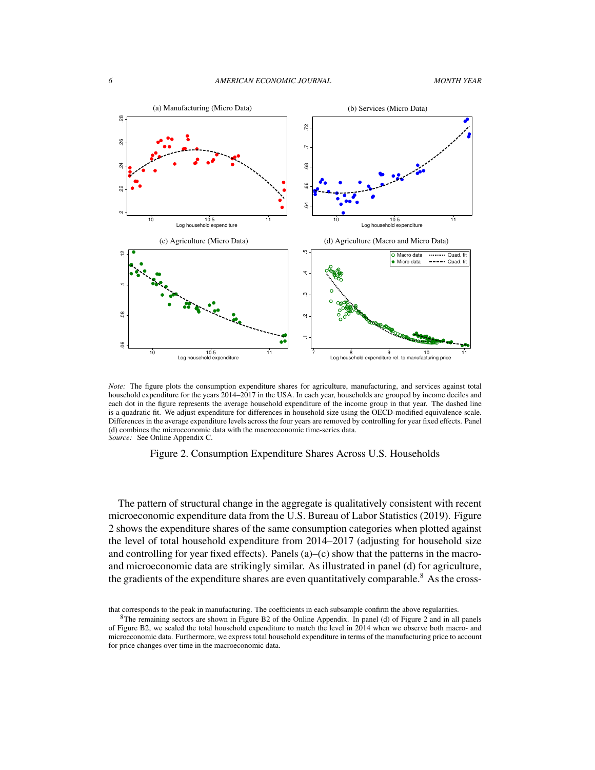

*Note:* The figure plots the consumption expenditure shares for agriculture, manufacturing, and services against total household expenditure for the years 2014–2017 in the USA. In each year, households are grouped by income deciles and each dot in the figure represents the average household expenditure of the income group in that year. The dashed line is a quadratic fit. We adjust expenditure for differences in household size using the OECD-modified equivalence scale. Differences in the average expenditure levels across the four years are removed by controlling for year fixed effects. Panel (d) combines the microeconomic data with the macroeconomic time-series data. *Source:* See Online Appendix C.

## Figure 2. Consumption Expenditure Shares Across U.S. Households

The pattern of structural change in the aggregate is qualitatively consistent with recent microeconomic expenditure data from the U.S. Bureau of Labor Statistics (2019). Figure 2 shows the expenditure shares of the same consumption categories when plotted against the level of total household expenditure from 2014–2017 (adjusting for household size and controlling for year fixed effects). Panels  $(a)$ – $(c)$  show that the patterns in the macroand microeconomic data are strikingly similar. As illustrated in panel (d) for agriculture, the gradients of the expenditure shares are even quantitatively comparable.<sup>8</sup> As the cross-

that corresponds to the peak in manufacturing. The coefficients in each subsample confirm the above regularities.

<sup>8</sup>The remaining sectors are shown in Figure B2 of the Online Appendix. In panel (d) of Figure 2 and in all panels of Figure B2, we scaled the total household expenditure to match the level in 2014 when we observe both macro- and microeconomic data. Furthermore, we express total household expenditure in terms of the manufacturing price to account for price changes over time in the macroeconomic data.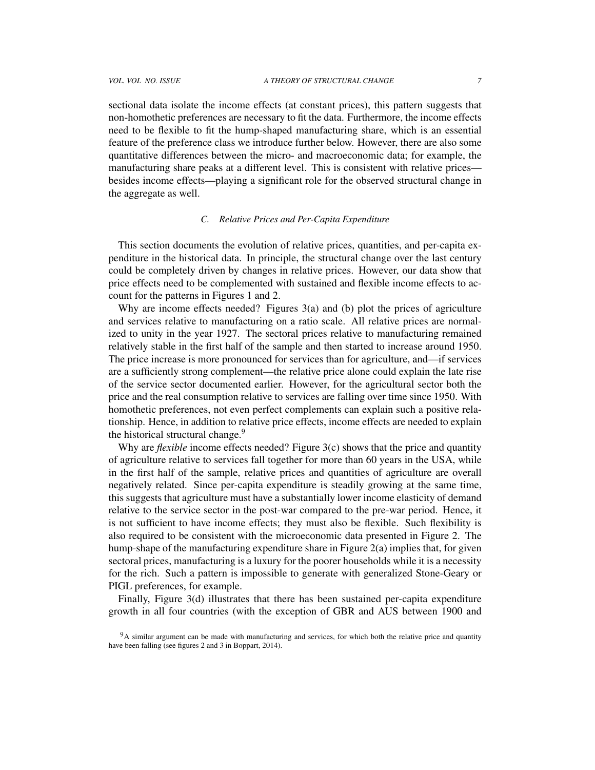sectional data isolate the income effects (at constant prices), this pattern suggests that non-homothetic preferences are necessary to fit the data. Furthermore, the income effects need to be flexible to fit the hump-shaped manufacturing share, which is an essential feature of the preference class we introduce further below. However, there are also some quantitative differences between the micro- and macroeconomic data; for example, the manufacturing share peaks at a different level. This is consistent with relative prices besides income effects—playing a significant role for the observed structural change in the aggregate as well.

## *C. Relative Prices and Per-Capita Expenditure*

This section documents the evolution of relative prices, quantities, and per-capita expenditure in the historical data. In principle, the structural change over the last century could be completely driven by changes in relative prices. However, our data show that price effects need to be complemented with sustained and flexible income effects to account for the patterns in Figures 1 and 2.

Why are income effects needed? Figures 3(a) and (b) plot the prices of agriculture and services relative to manufacturing on a ratio scale. All relative prices are normalized to unity in the year 1927. The sectoral prices relative to manufacturing remained relatively stable in the first half of the sample and then started to increase around 1950. The price increase is more pronounced for services than for agriculture, and—if services are a sufficiently strong complement—the relative price alone could explain the late rise of the service sector documented earlier. However, for the agricultural sector both the price and the real consumption relative to services are falling over time since 1950. With homothetic preferences, not even perfect complements can explain such a positive relationship. Hence, in addition to relative price effects, income effects are needed to explain the historical structural change.<sup>9</sup>

Why are *flexible* income effects needed? Figure 3(c) shows that the price and quantity of agriculture relative to services fall together for more than 60 years in the USA, while in the first half of the sample, relative prices and quantities of agriculture are overall negatively related. Since per-capita expenditure is steadily growing at the same time, this suggests that agriculture must have a substantially lower income elasticity of demand relative to the service sector in the post-war compared to the pre-war period. Hence, it is not sufficient to have income effects; they must also be flexible. Such flexibility is also required to be consistent with the microeconomic data presented in Figure 2. The hump-shape of the manufacturing expenditure share in Figure  $2(a)$  implies that, for given sectoral prices, manufacturing is a luxury for the poorer households while it is a necessity for the rich. Such a pattern is impossible to generate with generalized Stone-Geary or PIGL preferences, for example.

Finally, Figure 3(d) illustrates that there has been sustained per-capita expenditure growth in all four countries (with the exception of GBR and AUS between 1900 and

<sup>&</sup>lt;sup>9</sup>A similar argument can be made with manufacturing and services, for which both the relative price and quantity have been falling (see figures 2 and 3 in Boppart, 2014).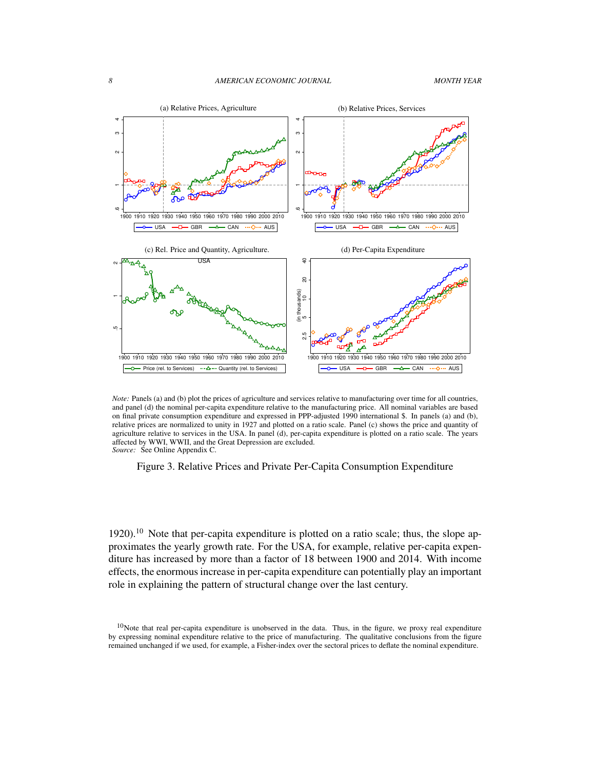

*Note:* Panels (a) and (b) plot the prices of agriculture and services relative to manufacturing over time for all countries, and panel (d) the nominal per-capita expenditure relative to the manufacturing price. All nominal variables are based on final private consumption expenditure and expressed in PPP-adjusted 1990 international \$. In panels (a) and (b), relative prices are normalized to unity in 1927 and plotted on a ratio scale. Panel (c) shows the price and quantity of agriculture relative to services in the USA. In panel (d), per-capita expenditure is plotted on a ratio scale. The years affected by WWI, WWII, and the Great Depression are excluded. *Source:* See Online Appendix C.

## Figure 3. Relative Prices and Private Per-Capita Consumption Expenditure

 $1920$ .<sup>10</sup> Note that per-capita expenditure is plotted on a ratio scale; thus, the slope approximates the yearly growth rate. For the USA, for example, relative per-capita expenditure has increased by more than a factor of 18 between 1900 and 2014. With income effects, the enormous increase in per-capita expenditure can potentially play an important role in explaining the pattern of structural change over the last century.

 $10$ Note that real per-capita expenditure is unobserved in the data. Thus, in the figure, we proxy real expenditure by expressing nominal expenditure relative to the price of manufacturing. The qualitative conclusions from the figure remained unchanged if we used, for example, a Fisher-index over the sectoral prices to deflate the nominal expenditure.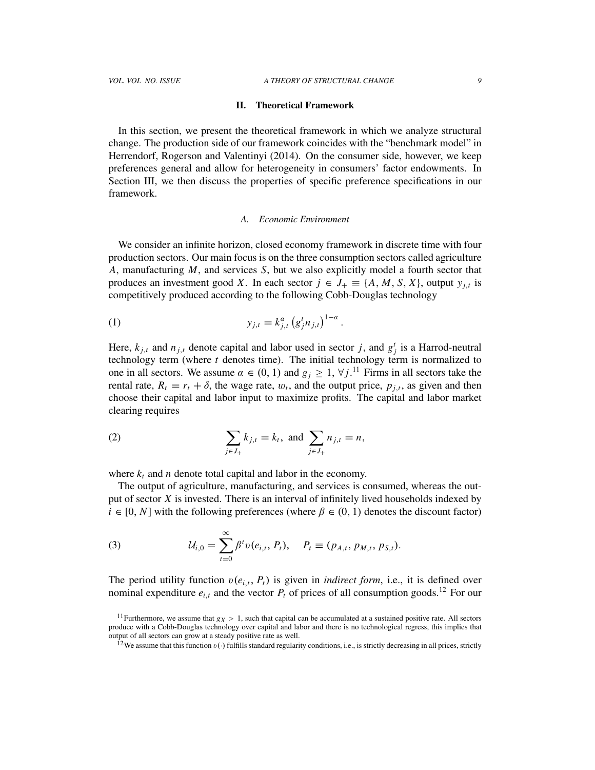#### II. Theoretical Framework

In this section, we present the theoretical framework in which we analyze structural change. The production side of our framework coincides with the "benchmark model" in Herrendorf, Rogerson and Valentinyi (2014). On the consumer side, however, we keep preferences general and allow for heterogeneity in consumers' factor endowments. In Section III, we then discuss the properties of specific preference specifications in our framework.

### *A. Economic Environment*

We consider an infinite horizon, closed economy framework in discrete time with four production sectors. Our main focus is on the three consumption sectors called agriculture *A*, manufacturing *M*, and services *S*, but we also explicitly model a fourth sector that produces an investment good *X*. In each sector  $j \in J_+ \equiv \{A, M, S, X\}$ , output  $y_{j,t}$  is competitively produced according to the following Cobb-Douglas technology

(1) 
$$
y_{j,t} = k_{j,t}^{\alpha} (g_j^t n_{j,t})^{1-\alpha}.
$$

Here,  $k_{j,t}$  and  $n_{j,t}$  denote capital and labor used in sector *j*, and  $g_j^t$  is a Harrod-neutral technology term (where *t* denotes time). The initial technology term is normalized to one in all sectors. We assume  $\alpha \in (0, 1)$  and  $g_j \geq 1$ ,  $\forall j$ .<sup>11</sup> Firms in all sectors take the rental rate,  $R_t = r_t + \delta$ , the wage rate,  $w_t$ , and the output price,  $p_{j,t}$ , as given and then choose their capital and labor input to maximize profits. The capital and labor market clearing requires

(2) 
$$
\sum_{j \in J_+} k_{j,t} = k_t, \text{ and } \sum_{j \in J_+} n_{j,t} = n,
$$

where  $k_t$  and *n* denote total capital and labor in the economy.

The output of agriculture, manufacturing, and services is consumed, whereas the output of sector *X* is invested. There is an interval of infinitely lived households indexed by  $i \in [0, N]$  with the following preferences (where  $\beta \in (0, 1)$  denotes the discount factor)

(3) 
$$
\mathcal{U}_{i,0} = \sum_{t=0}^{\infty} \beta^t v(e_{i,t}, P_t), \quad P_t \equiv (p_{A,t}, p_{M,t}, p_{S,t}).
$$

The period utility function  $v(e_{i,t}, P_t)$  is given in *indirect form*, i.e., it is defined over nominal expenditure  $e_{i,t}$  and the vector  $P_t$  of prices of all consumption goods.<sup>12</sup> For our

<sup>&</sup>lt;sup>11</sup> Furthermore, we assume that  $g_X > 1$ , such that capital can be accumulated at a sustained positive rate. All sectors produce with a Cobb-Douglas technology over capital and labor and there is no technological regress, this implies that output of all sectors can grow at a steady positive rate as well.

<sup>&</sup>lt;sup>12</sup>We assume that this function  $v(\cdot)$  fulfills standard regularity conditions, i.e., is strictly decreasing in all prices, strictly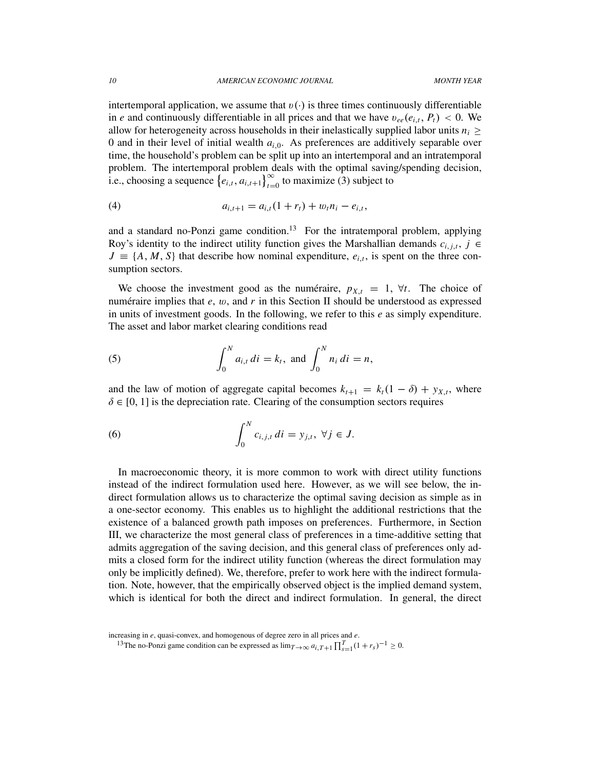intertemporal application, we assume that  $v(\cdot)$  is three times continuously differentiable in *e* and continuously differentiable in all prices and that we have  $v_{ee}(e_{i,t}, P_t) < 0$ . We allow for heterogeneity across households in their inelastically supplied labor units  $n_i \geq$ 0 and in their level of initial wealth  $a_{i,0}$ . As preferences are additively separable over time, the household's problem can be split up into an intertemporal and an intratemporal problem. The intertemporal problem deals with the optimal saving/spending decision, i.e., choosing a sequence  $\{e_{i,t}, a_{i,t+1}\}_{t=0}^{\infty}$  to maximize (3) subject to

(4) 
$$
a_{i,t+1} = a_{i,t}(1+r_t) + w_t n_i - e_{i,t},
$$

and a standard no-Ponzi game condition.<sup>13</sup> For the intratemporal problem, applying Roy's identity to the indirect utility function gives the Marshallian demands  $c_{i,j,t}$ ,  $j \in$  $J \equiv \{A, M, S\}$  that describe how nominal expenditure,  $e_{i,t}$ , is spent on the three consumption sectors.

We choose the investment good as the numeraire,  $p_{X,t} = 1$ ,  $\forall t$ . The choice of numeraire implies that  $e$ ,  $w$ , and  $r$  in this Section II should be understood as expressed in units of investment goods. In the following, we refer to this *e* as simply expenditure. The asset and labor market clearing conditions read

(5) 
$$
\int_0^N a_{i,t} \, dt = k_t, \text{ and } \int_0^N n_i \, dt = n,
$$

and the law of motion of aggregate capital becomes  $k_{t+1} = k_t(1 - \delta) + y_{X,t}$ , where  $\delta \in [0, 1]$  is the depreciation rate. Clearing of the consumption sectors requires

(6) 
$$
\int_0^N c_{i,j,t} dt = y_{j,t}, \forall j \in J.
$$

In macroeconomic theory, it is more common to work with direct utility functions instead of the indirect formulation used here. However, as we will see below, the indirect formulation allows us to characterize the optimal saving decision as simple as in a one-sector economy. This enables us to highlight the additional restrictions that the existence of a balanced growth path imposes on preferences. Furthermore, in Section III, we characterize the most general class of preferences in a time-additive setting that admits aggregation of the saving decision, and this general class of preferences only admits a closed form for the indirect utility function (whereas the direct formulation may only be implicitly defined). We, therefore, prefer to work here with the indirect formulation. Note, however, that the empirically observed object is the implied demand system, which is identical for both the direct and indirect formulation. In general, the direct

increasing in *e*, quasi-convex, and homogenous of degree zero in all prices and *e*.

<sup>&</sup>lt;sup>13</sup>The no-Ponzi game condition can be expressed as  $\lim_{T\to\infty} a_{i,T+1} \prod_{s=1}^{T} (1 + r_s)^{-1} \ge 0$ .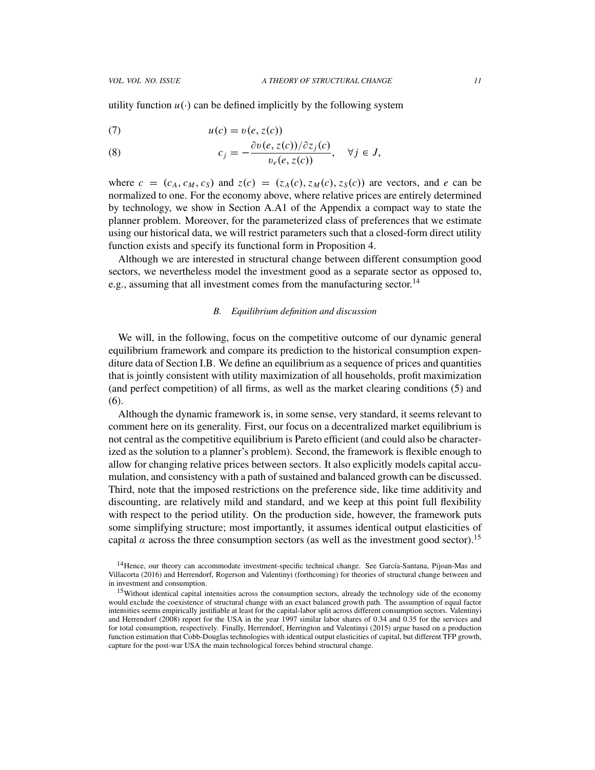utility function  $u(\cdot)$  can be defined implicitly by the following system

$$
(7) \t u(c) = v(e, z(c))
$$

(8) 
$$
c_j = -\frac{\partial v(e, z(c)) / \partial z_j(c)}{v_e(e, z(c))}, \quad \forall j \in J,
$$

where  $c = (c_A, c_M, c_S)$  and  $z(c) = (z_A(c), z_M(c), z_S(c))$  are vectors, and *e* can be normalized to one. For the economy above, where relative prices are entirely determined by technology, we show in Section A.A1 of the Appendix a compact way to state the planner problem. Moreover, for the parameterized class of preferences that we estimate using our historical data, we will restrict parameters such that a closed-form direct utility function exists and specify its functional form in Proposition 4.

Although we are interested in structural change between different consumption good sectors, we nevertheless model the investment good as a separate sector as opposed to, e.g., assuming that all investment comes from the manufacturing sector.<sup>14</sup>

## *B. Equilibrium definition and discussion*

We will, in the following, focus on the competitive outcome of our dynamic general equilibrium framework and compare its prediction to the historical consumption expenditure data of Section I.B. We define an equilibrium as a sequence of prices and quantities that is jointly consistent with utility maximization of all households, profit maximization (and perfect competition) of all firms, as well as the market clearing conditions (5) and (6).

Although the dynamic framework is, in some sense, very standard, it seems relevant to comment here on its generality. First, our focus on a decentralized market equilibrium is not central as the competitive equilibrium is Pareto efficient (and could also be characterized as the solution to a planner's problem). Second, the framework is flexible enough to allow for changing relative prices between sectors. It also explicitly models capital accumulation, and consistency with a path of sustained and balanced growth can be discussed. Third, note that the imposed restrictions on the preference side, like time additivity and discounting, are relatively mild and standard, and we keep at this point full flexibility with respect to the period utility. On the production side, however, the framework puts some simplifying structure; most importantly, it assumes identical output elasticities of capital  $\alpha$  across the three consumption sectors (as well as the investment good sector).<sup>15</sup>

<sup>&</sup>lt;sup>14</sup> Hence, our theory can accommodate investment-specific technical change. See García-Santana, Pijoan-Mas and Villacorta (2016) and Herrendorf, Rogerson and Valentinyi (forthcoming) for theories of structural change between and in investment and consumption.

<sup>&</sup>lt;sup>15</sup>Without identical capital intensities across the consumption sectors, already the technology side of the economy would exclude the coexistence of structural change with an exact balanced growth path. The assumption of equal factor intensities seems empirically justifiable at least for the capital-labor split across different consumption sectors. Valentinyi and Herrendorf (2008) report for the USA in the year 1997 similar labor shares of 0.34 and 0.35 for the services and for total consumption, respectively. Finally, Herrendorf, Herrington and Valentinyi (2015) argue based on a production function estimation that Cobb-Douglas technologies with identical output elasticities of capital, but different TFP growth, capture for the post-war USA the main technological forces behind structural change.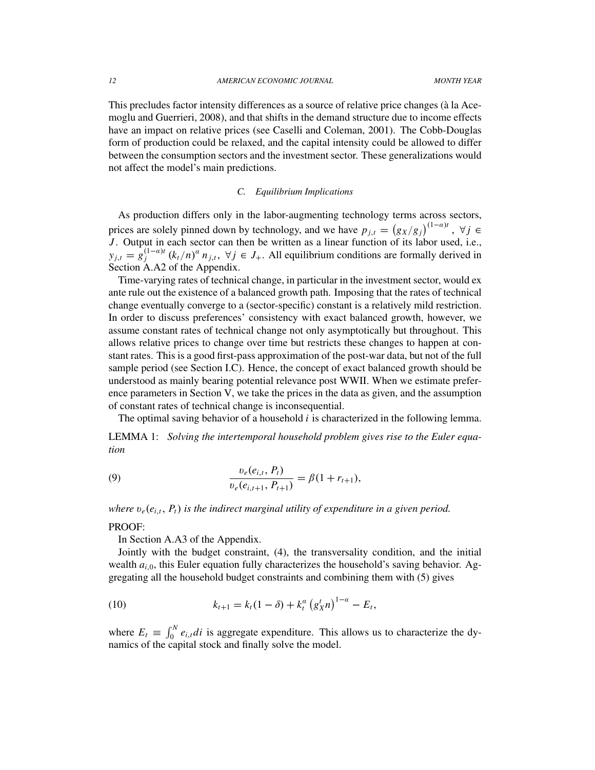This precludes factor intensity differences as a source of relative price changes (à la Acemoglu and Guerrieri, 2008), and that shifts in the demand structure due to income effects have an impact on relative prices (see Caselli and Coleman, 2001). The Cobb-Douglas form of production could be relaxed, and the capital intensity could be allowed to differ between the consumption sectors and the investment sector. These generalizations would not affect the model's main predictions.

## *C. Equilibrium Implications*

As production differs only in the labor-augmenting technology terms across sectors, prices are solely pinned down by technology, and we have  $p_{j,t} = (g_X/g_j)^{(1-a)t}$ ,  $\forall j \in$ *J*. Output in each sector can then be written as a linear function of its labor used, i.e.,  $y_{j,t} = g_j^{(1-\alpha)t}$  $j_j^{(1-a)t}$   $(k_t/n)^a n_{j,t}$ ,  $\forall j \in J_+$ . All equilibrium conditions are formally derived in Section A.A2 of the Appendix.

Time-varying rates of technical change, in particular in the investment sector, would ex ante rule out the existence of a balanced growth path. Imposing that the rates of technical change eventually converge to a (sector-specific) constant is a relatively mild restriction. In order to discuss preferences' consistency with exact balanced growth, however, we assume constant rates of technical change not only asymptotically but throughout. This allows relative prices to change over time but restricts these changes to happen at constant rates. This is a good first-pass approximation of the post-war data, but not of the full sample period (see Section I.C). Hence, the concept of exact balanced growth should be understood as mainly bearing potential relevance post WWII. When we estimate preference parameters in Section V, we take the prices in the data as given, and the assumption of constant rates of technical change is inconsequential.

The optimal saving behavior of a household *i* is characterized in the following lemma.

LEMMA 1: *Solving the intertemporal household problem gives rise to the Euler equation*

(9) 
$$
\frac{v_e(e_{i,t}, P_t)}{v_e(e_{i,t+1}, P_{t+1})} = \beta(1 + r_{t+1}),
$$

*where* v*e*(*e<sup>i</sup>*,*<sup>t</sup>*, *Pt*) *is the indirect marginal utility of expenditure in a given period.*

## PROOF:

In Section A.A3 of the Appendix.

Jointly with the budget constraint, (4), the transversality condition, and the initial wealth  $a_{i,0}$ , this Euler equation fully characterizes the household's saving behavior. Aggregating all the household budget constraints and combining them with (5) gives

(10) 
$$
k_{t+1} = k_t (1 - \delta) + k_t^{\alpha} (g_X^t n)^{1 - \alpha} - E_t,
$$

where  $E_t \equiv \int_0^N e_{i,t} dt$  is aggregate expenditure. This allows us to characterize the dynamics of the capital stock and finally solve the model.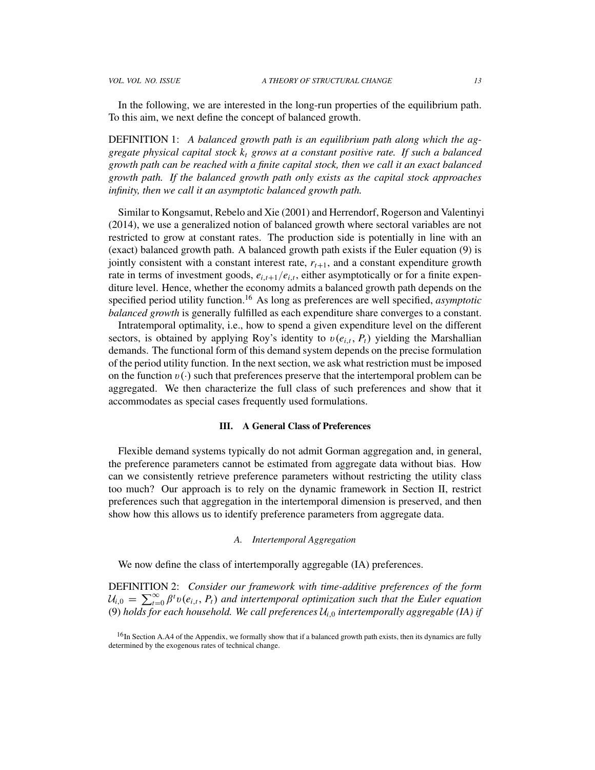DEFINITION 1: *A balanced growth path is an equilibrium path along which the aggregate physical capital stock k<sup>t</sup> grows at a constant positive rate. If such a balanced growth path can be reached with a finite capital stock, then we call it an exact balanced growth path. If the balanced growth path only exists as the capital stock approaches infinity, then we call it an asymptotic balanced growth path.*

Similar to Kongsamut, Rebelo and Xie (2001) and Herrendorf, Rogerson and Valentinyi (2014), we use a generalized notion of balanced growth where sectoral variables are not restricted to grow at constant rates. The production side is potentially in line with an (exact) balanced growth path. A balanced growth path exists if the Euler equation (9) is jointly consistent with a constant interest rate,  $r_{t+1}$ , and a constant expenditure growth rate in terms of investment goods,  $e_{i,t+1}/e_{i,t}$ , either asymptotically or for a finite expenditure level. Hence, whether the economy admits a balanced growth path depends on the specified period utility function.<sup>16</sup> As long as preferences are well specified, *asymptotic balanced growth* is generally fulfilled as each expenditure share converges to a constant.

Intratemporal optimality, i.e., how to spend a given expenditure level on the different sectors, is obtained by applying Roy's identity to  $v(e_{i,t}, P_t)$  yielding the Marshallian demands. The functional form of this demand system depends on the precise formulation of the period utility function. In the next section, we ask what restriction must be imposed on the function  $v(\cdot)$  such that preferences preserve that the intertemporal problem can be aggregated. We then characterize the full class of such preferences and show that it accommodates as special cases frequently used formulations.

## III. A General Class of Preferences

Flexible demand systems typically do not admit Gorman aggregation and, in general, the preference parameters cannot be estimated from aggregate data without bias. How can we consistently retrieve preference parameters without restricting the utility class too much? Our approach is to rely on the dynamic framework in Section II, restrict preferences such that aggregation in the intertemporal dimension is preserved, and then show how this allows us to identify preference parameters from aggregate data.

### *A. Intertemporal Aggregation*

We now define the class of intertemporally aggregable (IA) preferences.

DEFINITION 2: *Consider our framework with time-additive preferences of the form*  $U_{i,0} = \sum_{t=0}^{\infty} \beta^t v(e_{i,t}, P_t)$  and intertemporal optimization such that the Euler equation (9) *holds for each household. We call preferences*  $U_{i,0}$  *intertemporally aggregable (IA) if* 

 $16$ In Section A.A4 of the Appendix, we formally show that if a balanced growth path exists, then its dynamics are fully determined by the exogenous rates of technical change.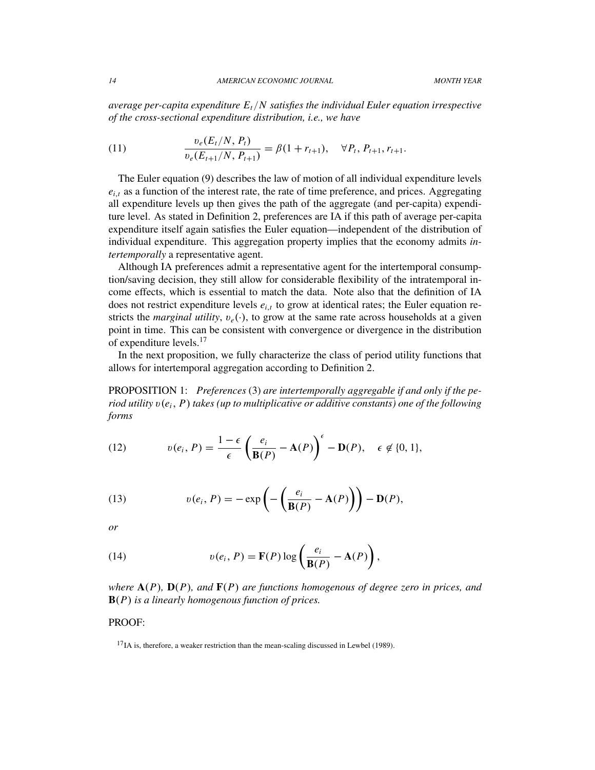*average per-capita expenditure Et*/*N satisfies the individual Euler equation irrespective of the cross-sectional expenditure distribution, i.e., we have*

(11) 
$$
\frac{v_e(E_t/N, P_t)}{v_e(E_{t+1}/N, P_{t+1})} = \beta(1 + r_{t+1}), \quad \forall P_t, P_{t+1}, r_{t+1}.
$$

The Euler equation (9) describes the law of motion of all individual expenditure levels  $e_{i,t}$  as a function of the interest rate, the rate of time preference, and prices. Aggregating all expenditure levels up then gives the path of the aggregate (and per-capita) expenditure level. As stated in Definition 2, preferences are IA if this path of average per-capita expenditure itself again satisfies the Euler equation—independent of the distribution of individual expenditure. This aggregation property implies that the economy admits *intertemporally* a representative agent.

Although IA preferences admit a representative agent for the intertemporal consumption/saving decision, they still allow for considerable flexibility of the intratemporal income effects, which is essential to match the data. Note also that the definition of IA does not restrict expenditure levels  $e_{i,t}$  to grow at identical rates; the Euler equation restricts the *marginal utility*,  $v_e(\cdot)$ , to grow at the same rate across households at a given point in time. This can be consistent with convergence or divergence in the distribution of expenditure levels.<sup>17</sup>

In the next proposition, we fully characterize the class of period utility functions that allows for intertemporal aggregation according to Definition 2.

PROPOSITION 1: *Preferences* (3) *are intertemporally aggregable if and only if the period utility*  $v(e_i, P)$  *takes (up to multiplicative or additive constants) one of the following forms*

(12) 
$$
v(e_i, P) = \frac{1 - \epsilon}{\epsilon} \left( \frac{e_i}{\mathbf{B}(P)} - \mathbf{A}(P) \right)^{\epsilon} - \mathbf{D}(P), \quad \epsilon \notin \{0, 1\},
$$

(13) 
$$
v(e_i, P) = -\exp\left(-\left(\frac{e_i}{\mathbf{B}(P)} - \mathbf{A}(P)\right)\right) - \mathbf{D}(P),
$$

*or*

(14) 
$$
v(e_i, P) = \mathbf{F}(P) \log \left( \frac{e_i}{\mathbf{B}(P)} - \mathbf{A}(P) \right),
$$

*where* A(*P*)*,* D(*P*)*, and* F(*P*) *are functions homogenous of degree zero in prices, and* B(*P*) *is a linearly homogenous function of prices.*

## PROOF:

 $17$ IA is, therefore, a weaker restriction than the mean-scaling discussed in Lewbel (1989).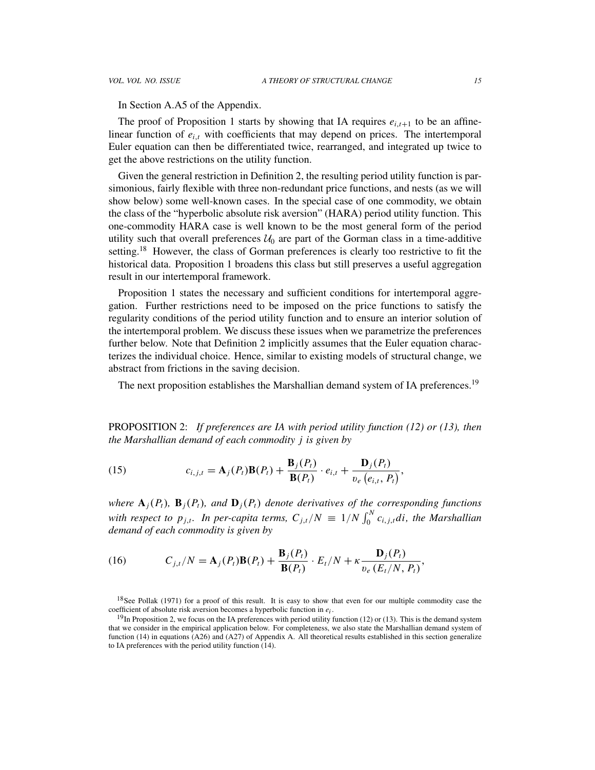In Section A.A5 of the Appendix.

The proof of Proposition 1 starts by showing that IA requires  $e_{i,t+1}$  to be an affinelinear function of  $e_{i,t}$  with coefficients that may depend on prices. The intertemporal Euler equation can then be differentiated twice, rearranged, and integrated up twice to get the above restrictions on the utility function.

Given the general restriction in Definition 2, the resulting period utility function is parsimonious, fairly flexible with three non-redundant price functions, and nests (as we will show below) some well-known cases. In the special case of one commodity, we obtain the class of the "hyperbolic absolute risk aversion" (HARA) period utility function. This one-commodity HARA case is well known to be the most general form of the period utility such that overall preferences  $\mathcal{U}_0$  are part of the Gorman class in a time-additive setting.<sup>18</sup> However, the class of Gorman preferences is clearly too restrictive to fit the historical data. Proposition 1 broadens this class but still preserves a useful aggregation result in our intertemporal framework.

Proposition 1 states the necessary and sufficient conditions for intertemporal aggregation. Further restrictions need to be imposed on the price functions to satisfy the regularity conditions of the period utility function and to ensure an interior solution of the intertemporal problem. We discuss these issues when we parametrize the preferences further below. Note that Definition 2 implicitly assumes that the Euler equation characterizes the individual choice. Hence, similar to existing models of structural change, we abstract from frictions in the saving decision.

The next proposition establishes the Marshallian demand system of IA preferences.<sup>19</sup>

PROPOSITION 2: *If preferences are IA with period utility function (12) or (13), then the Marshallian demand of each commodity j is given by*

(15) 
$$
c_{i,j,t} = \mathbf{A}_j(P_t)\mathbf{B}(P_t) + \frac{\mathbf{B}_j(P_t)}{\mathbf{B}(P_t)} \cdot e_{i,t} + \frac{\mathbf{D}_j(P_t)}{v_e(e_{i,t}, P_t)},
$$

*where*  $\mathbf{A}_i(P_t)$ ,  $\mathbf{B}_j(P_t)$ , and  $\mathbf{D}_j(P_t)$  *denote derivatives of the corresponding functions with respect to*  $p_{j,t}$ *. In per-capita terms,*  $C_{j,t}/N \equiv 1/N \int_0^N c_{i,j,t} dt$ , the Marshallian *demand of each commodity is given by*

(16) 
$$
C_{j,t}/N = \mathbf{A}_j(P_t)\mathbf{B}(P_t) + \frac{\mathbf{B}_j(P_t)}{\mathbf{B}(P_t)} \cdot E_t/N + \kappa \frac{\mathbf{D}_j(P_t)}{v_e(E_t/N, P_t)},
$$

<sup>&</sup>lt;sup>18</sup>See Pollak (1971) for a proof of this result. It is easy to show that even for our multiple commodity case the coefficient of absolute risk aversion becomes a hyperbolic function in *ei* .

 $19$ In Proposition 2, we focus on the IA preferences with period utility function (12) or (13). This is the demand system that we consider in the empirical application below. For completeness, we also state the Marshallian demand system of function (14) in equations (A26) and (A27) of Appendix A. All theoretical results established in this section generalize to IA preferences with the period utility function (14).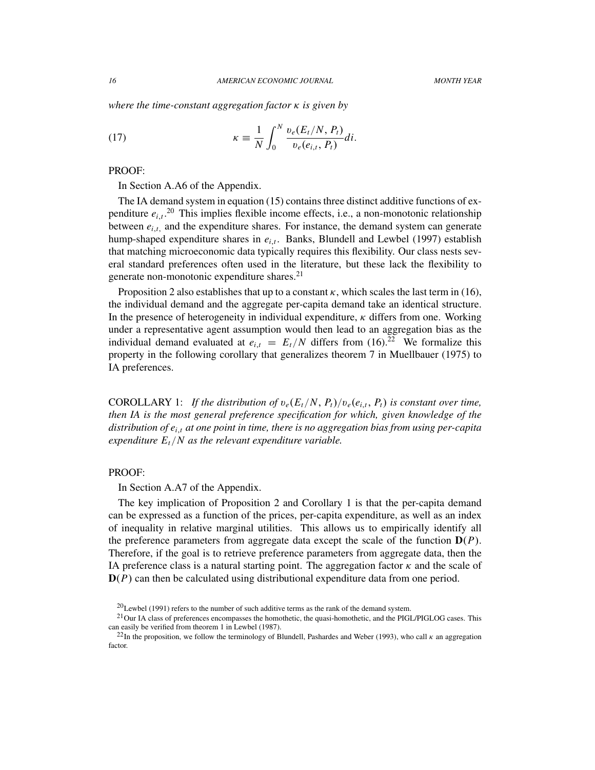*where the time-constant aggregation factor* κ *is given by*

(17) 
$$
\kappa \equiv \frac{1}{N} \int_0^N \frac{v_e(E_t/N, P_t)}{v_e(e_{i,t}, P_t)} dt.
$$

### PROOF:

In Section A.A6 of the Appendix.

The IA demand system in equation (15) contains three distinct additive functions of expenditure  $e_{i,t}$ <sup>20</sup> This implies flexible income effects, i.e., a non-monotonic relationship between  $e_{i,t}$ , and the expenditure shares. For instance, the demand system can generate hump-shaped expenditure shares in  $e_{i,t}$ . Banks, Blundell and Lewbel (1997) establish that matching microeconomic data typically requires this flexibility. Our class nests several standard preferences often used in the literature, but these lack the flexibility to generate non-monotonic expenditure shares.<sup>21</sup>

Proposition 2 also establishes that up to a constant  $\kappa$ , which scales the last term in (16), the individual demand and the aggregate per-capita demand take an identical structure. In the presence of heterogeneity in individual expenditure,  $\kappa$  differs from one. Working under a representative agent assumption would then lead to an aggregation bias as the individual demand evaluated at  $e_{i,t} = E_t/N$  differs from (16).<sup>22</sup> We formalize this property in the following corollary that generalizes theorem 7 in Muellbauer (1975) to IA preferences.

COROLLARY 1: *If the distribution of*  $v_e(E_t/N, P_t)/v_e(e_{i,t}, P_t)$  *is constant over time, then IA is the most general preference specification for which, given knowledge of the distribution of e<sup>i</sup>*,*<sup>t</sup> at one point in time, there is no aggregation bias from using per-capita expenditure Et*/*N as the relevant expenditure variable.*

## PROOF:

In Section A.A7 of the Appendix.

The key implication of Proposition 2 and Corollary 1 is that the per-capita demand can be expressed as a function of the prices, per-capita expenditure, as well as an index of inequality in relative marginal utilities. This allows us to empirically identify all the preference parameters from aggregate data except the scale of the function  $D(P)$ . Therefore, if the goal is to retrieve preference parameters from aggregate data, then the IA preference class is a natural starting point. The aggregation factor  $\kappa$  and the scale of D(*P*) can then be calculated using distributional expenditure data from one period.

 $^{20}$ Lewbel (1991) refers to the number of such additive terms as the rank of the demand system.

<sup>&</sup>lt;sup>21</sup>Our IA class of preferences encompasses the homothetic, the quasi-homothetic, and the PIGL/PIGLOG cases. This can easily be verified from theorem 1 in Lewbel (1987).

<sup>&</sup>lt;sup>22</sup>In the proposition, we follow the terminology of Blundell, Pashardes and Weber (1993), who call  $\kappa$  an aggregation factor.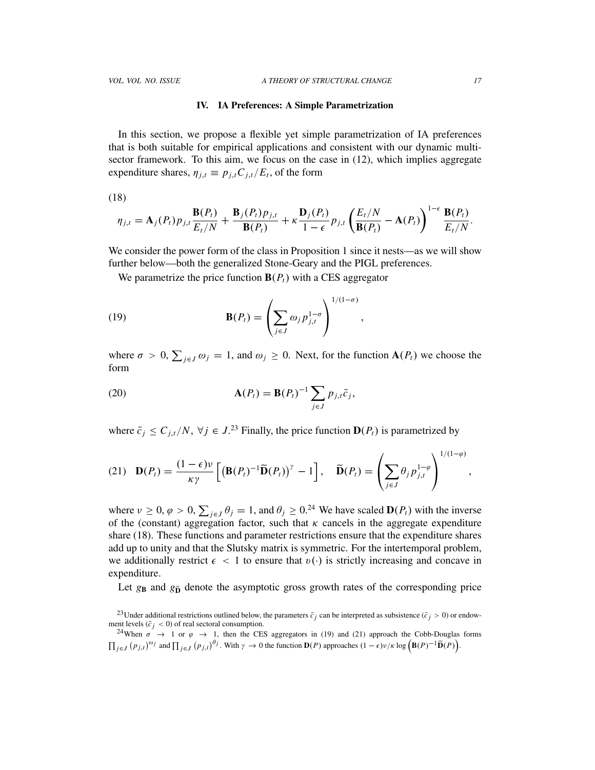#### IV. IA Preferences: A Simple Parametrization

In this section, we propose a flexible yet simple parametrization of IA preferences that is both suitable for empirical applications and consistent with our dynamic multisector framework. To this aim, we focus on the case in (12), which implies aggregate expenditure shares,  $\eta_{j,t} \equiv p_{j,t} C_{j,t} / E_t$ , of the form

(18)

$$
\eta_{j,t} = \mathbf{A}_j(P_t) p_{j,t} \frac{\mathbf{B}(P_t)}{E_t/N} + \frac{\mathbf{B}_j(P_t) p_{j,t}}{\mathbf{B}(P_t)} + \kappa \frac{\mathbf{D}_j(P_t)}{1-\epsilon} p_{j,t} \left(\frac{E_t/N}{\mathbf{B}(P_t)} - \mathbf{A}(P_t)\right)^{1-\epsilon} \frac{\mathbf{B}(P_t)}{E_t/N}.
$$

We consider the power form of the class in Proposition 1 since it nests—as we will show further below—both the generalized Stone-Geary and the PIGL preferences.

We parametrize the price function  $B(P_t)$  with a CES aggregator

(19) 
$$
\mathbf{B}(P_t) = \left(\sum_{j\in J} \omega_j p_{j,t}^{1-\sigma}\right)^{1/(1-\sigma)},
$$

where  $\sigma > 0$ ,  $\sum_{j \in J} \omega_j = 1$ , and  $\omega_j \ge 0$ . Next, for the function  $\mathbf{A}(P_t)$  we choose the form

(20) 
$$
\mathbf{A}(P_t) = \mathbf{B}(P_t)^{-1} \sum_{j \in J} p_{j,t} \bar{c}_j,
$$

where  $\bar{c}_j \leq C_{j,t}/N$ ,  $\forall j \in J$ .<sup>23</sup> Finally, the price function  $\mathbf{D}(P_t)$  is parametrized by

(21) 
$$
\mathbf{D}(P_t) = \frac{(1-\epsilon)\nu}{\kappa \gamma} \left[ \left( \mathbf{B}(P_t)^{-1} \widetilde{\mathbf{D}}(P_t) \right)^{\gamma} - 1 \right], \quad \widetilde{\mathbf{D}}(P_t) = \left( \sum_{j \in J} \theta_j p_{j,t}^{1-\varphi} \right)^{1/(1-\varphi)},
$$

where  $\nu \ge 0$ ,  $\varphi > 0$ ,  $\sum_{j \in J} \theta_j = 1$ , and  $\theta_j \ge 0$ .<sup>24</sup> We have scaled  $\mathbf{D}(P_t)$  with the inverse of the (constant) aggregation factor, such that  $\kappa$  cancels in the aggregate expenditure share (18). These functions and parameter restrictions ensure that the expenditure shares add up to unity and that the Slutsky matrix is symmetric. For the intertemporal problem, we additionally restrict  $\epsilon$  < 1 to ensure that  $v(\cdot)$  is strictly increasing and concave in expenditure.

Let  $g_B$  and  $g_{\tilde{D}}$  denote the asymptotic gross growth rates of the corresponding price

<sup>&</sup>lt;sup>23</sup>Under additional restrictions outlined below, the parameters  $\bar{c}_i$  can be interpreted as subsistence ( $\bar{c}_i$  > 0) or endowment levels ( $\bar{c}_i$  < 0) of real sectoral consumption.

<sup>&</sup>lt;sup>24</sup>When  $\sigma \rightarrow 1$  or  $\varphi \rightarrow 1$ , then the CES aggregators in (19) and (21) approach the Cobb-Douglas forms  $\prod_{j\in J} (p_{j,t})^{\omega_j}$  and  $\prod_{j\in J} (p_{j,t})^{\theta_j}$ . With  $\gamma \to 0$  the function  $\mathbf{D}(P)$  approaches  $(1-\epsilon)\nu/\kappa \log \left(\mathbf{B}(P)^{-1}\widetilde{\mathbf{D}}(P)\right)$ .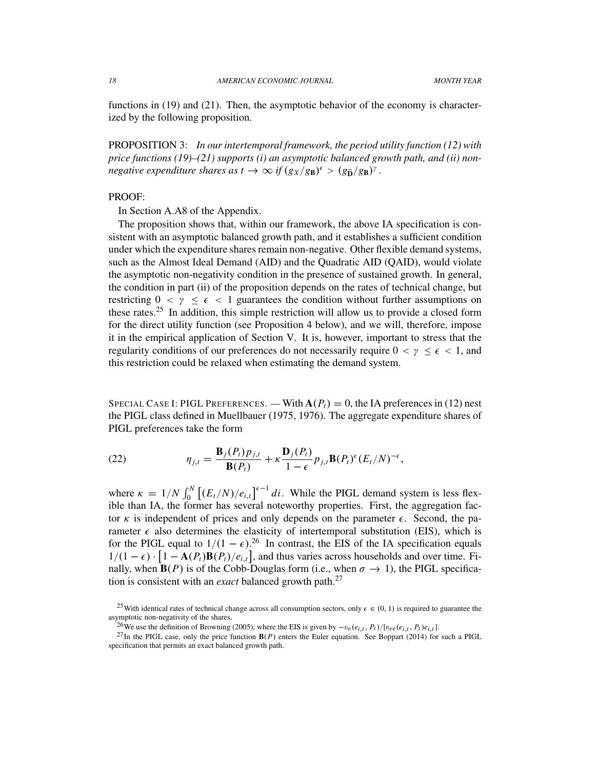functions in (19) and (21). Then, the asymptotic behavior of the economy is characterized by the following proposition.

PROPOSITION 3: *In our intertemporal framework, the period utility function (12) with price functions (19)–(21) supports (i) an asymptotic balanced growth path, and (ii) nonnegative expenditure shares as*  $t \to \infty$  *if*  $(g_X/g_B)^{\epsilon} > (g_{\tilde{D}}/g_B)^{\gamma}$ *.* 

## PROOF:

In Section A.A8 of the Appendix.

The proposition shows that, within our framework, the above IA specification is consistent with an asymptotic balanced growth path, and it establishes a sufficient condition under which the expenditure shares remain non-negative. Other flexible demand systems, such as the Almost Ideal Demand (AID) and the Quadratic AID (QAID), would violate the asymptotic non-negativity condition in the presence of sustained growth. In general, the condition in part (ii) of the proposition depends on the rates of technical change, but restricting  $0 < y \le \epsilon < 1$  guarantees the condition without further assumptions on these rates.<sup>25</sup> In addition, this simple restriction will allow us to provide a closed form for the direct utility function (see Proposition 4 below), and we will, therefore, impose it in the empirical application of Section V. It is, however, important to stress that the regularity conditions of our preferences do not necessarily require  $0 < y \leq \epsilon < 1$ , and this restriction could be relaxed when estimating the demand system.

SPECIAL CASE I: PIGL PREFERENCES. — With  $A(P_t) = 0$ , the IA preferences in (12) nest the PIGL class defined in Muellbauer (1975, 1976). The aggregate expenditure shares of PIGL preferences take the form

(22) 
$$
\eta_{j,t} = \frac{\mathbf{B}_j(P_t)p_{j,t}}{\mathbf{B}(P_t)} + \kappa \frac{\mathbf{D}_j(P_t)}{1-\epsilon} p_{j,t} \mathbf{B}(P_t)^{\epsilon} (E_t/N)^{-\epsilon},
$$

where  $\kappa = 1/N \int_0^N \left[ (E_t/N)/e_{i,t} \right]^{t-1} dt$ . While the PIGL demand system is less flexible than IA, the former has several noteworthy properties. First, the aggregation factor  $\kappa$  is independent of prices and only depends on the parameter  $\epsilon$ . Second, the parameter  $\epsilon$  also determines the elasticity of intertemporal substitution (EIS), which is for the PIGL equal to  $1/(1 - \epsilon)$ .<sup>26</sup> In contrast, the EIS of the IA specification equals  $1/(1 - \epsilon) \cdot [1 - A(P_t)B(P_t)/e_{i,t}]$ , and thus varies across households and over time. Finally, when  $\mathbf{B}(P)$  is of the Cobb-Douglas form (i.e., when  $\sigma \to 1$ ), the PIGL specification is consistent with an *exact* balanced growth path.<sup>27</sup>

<sup>&</sup>lt;sup>25</sup>With identical rates of technical change across all consumption sectors, only  $\epsilon \in (0, 1)$  is required to guarantee the asymptotic non-negativity of the shares.

<sup>&</sup>lt;sup>26</sup>We use the definition of Browning (2005), where the EIS is given by  $-v_e(e_{i,t}, P_t)/[v_{ee}(e_{i,t}, P_t)e_{i,t}]$ .

 $^{27}$ In the PIGL case, only the price function  $B(P)$  enters the Euler equation. See Boppart (2014) for such a PIGL specification that permits an exact balanced growth path.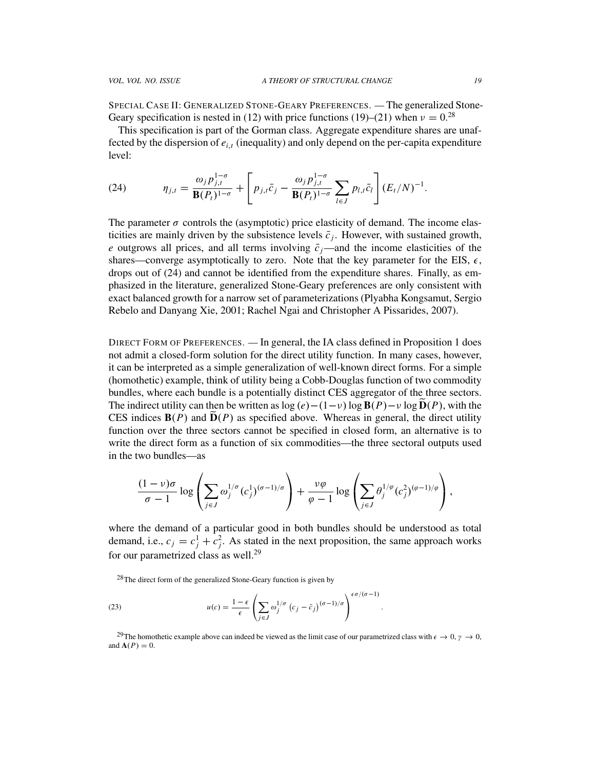SPECIAL CASE II: GENERALIZED STONE-GEARY PREFERENCES. — The generalized Stone-Geary specification is nested in (12) with price functions (19)–(21) when  $v = 0.^{28}$ 

This specification is part of the Gorman class. Aggregate expenditure shares are unaffected by the dispersion of *e<sup>i</sup>*,*<sup>t</sup>* (inequality) and only depend on the per-capita expenditure level:

(24) 
$$
\eta_{j,t} = \frac{\omega_j p_{j,t}^{1-\sigma}}{\mathbf{B}(P_t)^{1-\sigma}} + \left[ p_{j,t} \bar{c}_j - \frac{\omega_j p_{j,t}^{1-\sigma}}{\mathbf{B}(P_t)^{1-\sigma}} \sum_{l \in J} p_{l,t} \bar{c}_l \right] (E_t/N)^{-1}.
$$

The parameter  $\sigma$  controls the (asymptotic) price elasticity of demand. The income elasticities are mainly driven by the subsistence levels  $\bar{c}_j$ . However, with sustained growth, *e* outgrows all prices, and all terms involving  $\bar{c}_j$ —and the income elasticities of the shares—converge asymptotically to zero. Note that the key parameter for the EIS,  $\epsilon$ , drops out of (24) and cannot be identified from the expenditure shares. Finally, as emphasized in the literature, generalized Stone-Geary preferences are only consistent with exact balanced growth for a narrow set of parameterizations (Plyabha Kongsamut, Sergio Rebelo and Danyang Xie, 2001; Rachel Ngai and Christopher A Pissarides, 2007).

DIRECT FORM OF PREFERENCES. — In general, the IA class defined in Proposition 1 does not admit a closed-form solution for the direct utility function. In many cases, however, it can be interpreted as a simple generalization of well-known direct forms. For a simple (homothetic) example, think of utility being a Cobb-Douglas function of two commodity bundles, where each bundle is a potentially distinct CES aggregator of the three sectors. The indirect utility can then be written as  $\log(e) - (1-\nu) \log B(P) - \nu \log D(P)$ , with the CES indices  $B(P)$  and  $\tilde{D}(P)$  as specified above. Whereas in general, the direct utility function over the three sectors cannot be specified in closed form, an alternative is to write the direct form as a function of six commodities—the three sectoral outputs used in the two bundles—as

$$
\frac{(1-\nu)\sigma}{\sigma-1}\log\left(\sum_{j\in J}\omega_j^{1/\sigma}(c_j^1)^{(\sigma-1)/\sigma}\right)+\frac{\nu\varphi}{\varphi-1}\log\left(\sum_{j\in J}\theta_j^{1/\varphi}(c_j^2)^{(\varphi-1)/\varphi}\right),
$$

where the demand of a particular good in both bundles should be understood as total demand, i.e.,  $c_j = c_j^1 + c_j^2$ . As stated in the next proposition, the same approach works for our parametrized class as well.<sup>29</sup>

 $28$ The direct form of the generalized Stone-Geary function is given by

(23) 
$$
u(c) = \frac{1-\epsilon}{\epsilon} \left( \sum_{j \in J} \omega_j^{1/\sigma} (c_j - \bar{c}_j)^{(\sigma-1)/\sigma} \right)^{\epsilon \sigma/(\sigma-1)}
$$

<sup>29</sup>The homothetic example above can indeed be viewed as the limit case of our parametrized class with  $\epsilon \to 0$ ,  $\gamma \to 0$ , and  $\mathbf{A}(P) = 0$ .

.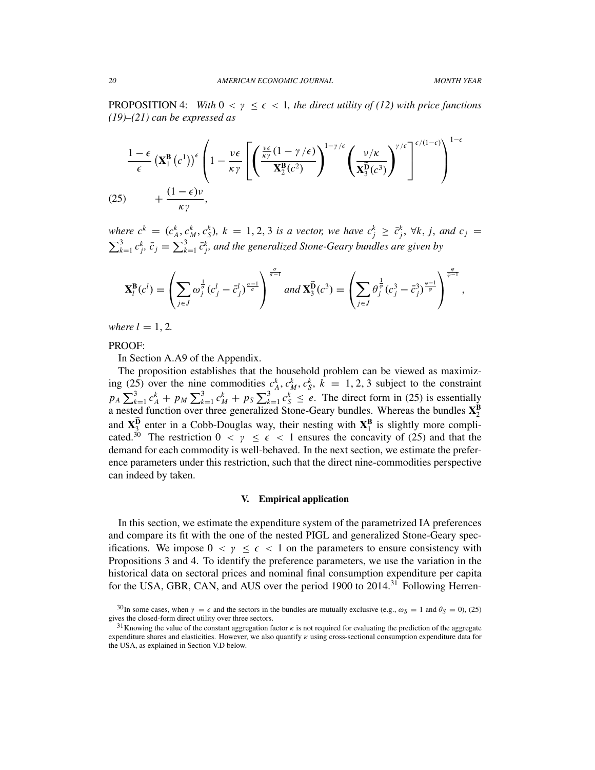PROPOSITION 4: *With*  $0 < y \le \epsilon < 1$ *, the direct utility of (12) with price functions (19)–(21) can be expressed as*

$$
\frac{1-\epsilon}{\epsilon} \left( \mathbf{X}_1^{\mathbf{B}} \left( c^1 \right) \right)^{\epsilon} \left( 1 - \frac{\nu \epsilon}{\kappa \gamma} \left[ \left( \frac{\frac{\nu \epsilon}{\kappa \gamma} (1 - \gamma / \epsilon)}{\mathbf{X}_2^{\mathbf{B}} (c^2)} \right)^{1-\gamma / \epsilon} \left( \frac{\nu / \kappa}{\mathbf{X}_3^{\mathbf{B}} (c^3)} \right)^{\gamma / \epsilon} \right]^{1-\epsilon} \right)^{1-\epsilon}
$$
\n
$$
(25) \qquad + \frac{(1-\epsilon)\nu}{\kappa \gamma},
$$

where  $c^k = (c_A^k, c_M^k, c_S^k)$ ,  $k = 1, 2, 3$  is a vector, we have  $c_j^k \geq \bar{c}_j^k$ ,  $\forall k, j$ , and  $c_j =$  $\sum_{k=1}^{3} c_j^k$ ,  $\bar{c}_j = \sum_{k=1}^{3} \bar{c}_j^k$ , and the generalized Stone-Geary bundles are given by

$$
\mathbf{X}_l^{\mathbf{B}}(c^l) = \left(\sum_{j\in J}\omega_j^{\frac{1}{\sigma}}(c^l_j - \bar{c}^l_j)^{\frac{\sigma-1}{\sigma}}\right)^{\frac{\sigma}{\sigma-1}} and \mathbf{X}_3^{\widetilde{\mathbf{D}}}(c^3) = \left(\sum_{j\in J}\theta_j^{\frac{1}{\sigma}}(c^3_j - \bar{c}^3_j)^{\frac{\sigma-1}{\sigma}}\right)^{\frac{\varphi}{\varphi-1}},
$$

*where*  $l = 1, 2$ *.* 

PROOF:

In Section A.A9 of the Appendix.

The proposition establishes that the household problem can be viewed as maximizing (25) over the nine commodities  $c_A^k$ ,  $c_M^k$ ,  $c_S^k$ ,  $k = 1, 2, 3$  subject to the constraint  $p_A \sum_{k=1}^3 c_A^k + p_M \sum_{k=1}^3 c_M^k + p_S \sum_{k=1}^3 c_S^k \le e$ . The direct form in (25) is essentially a nested function over three generalized Stone-Geary bundles. Whereas the bundles  $X_2^B$ and  $X_3^D$  enter in a Cobb-Douglas way, their nesting with  $X_1^B$  is slightly more complicated.<sup>30</sup> The restriction  $0 < y \le \epsilon < 1$  ensures the concavity of (25) and that the demand for each commodity is well-behaved. In the next section, we estimate the preference parameters under this restriction, such that the direct nine-commodities perspective can indeed by taken.

#### V. Empirical application

In this section, we estimate the expenditure system of the parametrized IA preferences and compare its fit with the one of the nested PIGL and generalized Stone-Geary specifications. We impose  $0 < y \le \epsilon < 1$  on the parameters to ensure consistency with Propositions 3 and 4. To identify the preference parameters, we use the variation in the historical data on sectoral prices and nominal final consumption expenditure per capita for the USA, GBR, CAN, and AUS over the period 1900 to  $2014$ <sup>31</sup> Following Herren-

<sup>&</sup>lt;sup>30</sup>In some cases, when  $\gamma = \epsilon$  and the sectors in the bundles are mutually exclusive (e.g.,  $\omega_S = 1$  and  $\theta_S = 0$ ), (25) gives the closed-form direct utility over three sectors.

<sup>&</sup>lt;sup>31</sup>Knowing the value of the constant aggregation factor  $\kappa$  is not required for evaluating the prediction of the aggregate expenditure shares and elasticities. However, we also quantify  $\kappa$  using cross-sectional consumption expenditure data for the USA, as explained in Section V.D below.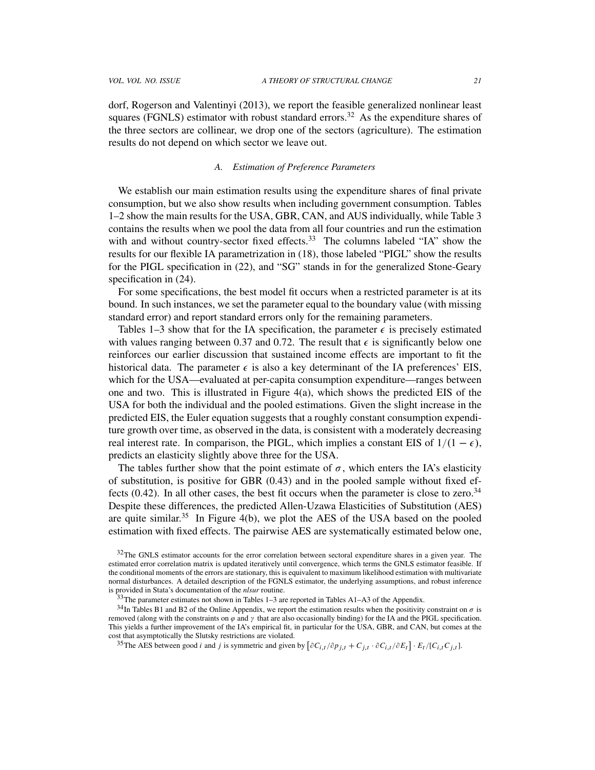dorf, Rogerson and Valentinyi (2013), we report the feasible generalized nonlinear least squares (FGNLS) estimator with robust standard errors.<sup>32</sup> As the expenditure shares of the three sectors are collinear, we drop one of the sectors (agriculture). The estimation results do not depend on which sector we leave out.

## *A. Estimation of Preference Parameters*

We establish our main estimation results using the expenditure shares of final private consumption, but we also show results when including government consumption. Tables 1–2 show the main results for the USA, GBR, CAN, and AUS individually, while Table 3 contains the results when we pool the data from all four countries and run the estimation with and without country-sector fixed effects.<sup>33</sup> The columns labeled "IA" show the results for our flexible IA parametrization in (18), those labeled "PIGL" show the results for the PIGL specification in (22), and "SG" stands in for the generalized Stone-Geary specification in (24).

For some specifications, the best model fit occurs when a restricted parameter is at its bound. In such instances, we set the parameter equal to the boundary value (with missing standard error) and report standard errors only for the remaining parameters.

Tables 1–3 show that for the IA specification, the parameter  $\epsilon$  is precisely estimated with values ranging between 0.37 and 0.72. The result that  $\epsilon$  is significantly below one reinforces our earlier discussion that sustained income effects are important to fit the historical data. The parameter  $\epsilon$  is also a key determinant of the IA preferences' EIS, which for the USA—evaluated at per-capita consumption expenditure—ranges between one and two. This is illustrated in Figure  $4(a)$ , which shows the predicted EIS of the USA for both the individual and the pooled estimations. Given the slight increase in the predicted EIS, the Euler equation suggests that a roughly constant consumption expenditure growth over time, as observed in the data, is consistent with a moderately decreasing real interest rate. In comparison, the PIGL, which implies a constant EIS of  $1/(1 - \epsilon)$ , predicts an elasticity slightly above three for the USA.

The tables further show that the point estimate of  $\sigma$ , which enters the IA's elasticity of substitution, is positive for GBR (0.43) and in the pooled sample without fixed effects  $(0.42)$ . In all other cases, the best fit occurs when the parameter is close to zero.<sup>34</sup> Despite these differences, the predicted Allen-Uzawa Elasticities of Substitution (AES) are quite similar.<sup>35</sup> In Figure 4(b), we plot the AES of the USA based on the pooled estimation with fixed effects. The pairwise AES are systematically estimated below one,

<sup>35</sup>The AES between good *i* and *j* is symmetric and given by  $\left[\partial C_{i,t}/\partial p_{j,t} + C_{j,t} \cdot \partial C_{i,t}/\partial E_t\right] \cdot E_t/[C_{i,t}C_{j,t}]$ .

 $32$ The GNLS estimator accounts for the error correlation between sectoral expenditure shares in a given year. The estimated error correlation matrix is updated iteratively until convergence, which terms the GNLS estimator feasible. If the conditional moments of the errors are stationary, this is equivalent to maximum likelihood estimation with multivariate normal disturbances. A detailed description of the FGNLS estimator, the underlying assumptions, and robust inference is provided in Stata's documentation of the *nlsur* routine.

<sup>&</sup>lt;sup>33</sup>The parameter estimates not shown in Tables 1–3 are reported in Tables A1–A3 of the Appendix.

 $34$ In Tables B1 and B2 of the Online Appendix, we report the estimation results when the positivity constraint on  $\sigma$  is removed (along with the constraints on  $\varphi$  and  $\gamma$  that are also occasionally binding) for the IA and the PIGL specification. This yields a further improvement of the IA's empirical fit, in particular for the USA, GBR, and CAN, but comes at the cost that asymptotically the Slutsky restrictions are violated.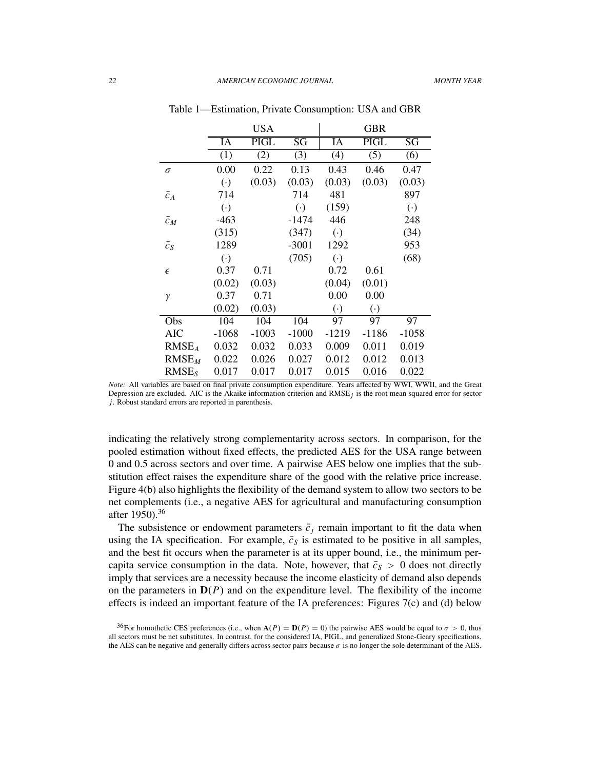|                   |                        | <b>USA</b>               |                        |                        | <b>GBR</b>               |                          |
|-------------------|------------------------|--------------------------|------------------------|------------------------|--------------------------|--------------------------|
|                   | IA                     | $\overline{\text{PIGL}}$ | $\overline{\text{SG}}$ | $\overline{IA}$        | $\overline{\text{PIGL}}$ | $\overline{\mathrm{SG}}$ |
|                   | (1)                    | $\overline{(2)}$         | (3)                    | (4)                    | $\overline{(5)}$         | (6)                      |
| $\sigma$          | 0.00                   | 0.22                     | 0.13                   | 0.43                   | 0.46                     | 0.47                     |
|                   | $\left( \cdot \right)$ | (0.03)                   | (0.03)                 | (0.03)                 | (0.03)                   | (0.03)                   |
| $\bar{c}_A$       | 714                    |                          | 714                    | 481                    |                          | 897                      |
|                   | $\left( \cdot \right)$ |                          | $(\cdot)$              | (159)                  |                          | $\left( \cdot \right)$   |
| $\bar{c}_M$       | $-463$                 |                          | $-1474$                | 446                    |                          | 248                      |
|                   | (315)                  |                          | (347)                  | $\left( \cdot \right)$ |                          | (34)                     |
| $\bar{c}_S$       | 1289                   |                          | $-3001$                | 1292                   |                          | 953                      |
|                   | $\left( \cdot \right)$ |                          | (705)                  | $(\cdot)$              |                          | (68)                     |
| $\epsilon$        | 0.37                   | 0.71                     |                        | 0.72                   | 0.61                     |                          |
|                   | (0.02)                 | (0.03)                   |                        | (0.04)                 | (0.01)                   |                          |
| γ                 | 0.37                   | 0.71                     |                        | 0.00                   | 0.00                     |                          |
|                   | (0.02)                 | (0.03)                   |                        | $\left(\cdot\right)$   | $\left( \cdot \right)$   |                          |
| Obs               | 104                    | 104                      | 104                    | 97                     | 97                       | 97                       |
| <b>AIC</b>        | $-1068$                | $-1003$                  | $-1000$                | $-1219$                | $-1186$                  | $-1058$                  |
| RMSE <sub>A</sub> | 0.032                  | 0.032                    | 0.033                  | 0.009                  | 0.011                    | 0.019                    |
| $RMSE_M$          | 0.022                  | 0.026                    | 0.027                  | 0.012                  | 0.012                    | 0.013                    |
| RMSE <sub>S</sub> | 0.017                  | 0.017                    | 0.017                  | 0.015                  | 0.016                    | 0.022                    |

Table 1—Estimation, Private Consumption: USA and GBR

indicating the relatively strong complementarity across sectors. In comparison, for the pooled estimation without fixed effects, the predicted AES for the USA range between 0 and 0.5 across sectors and over time. A pairwise AES below one implies that the substitution effect raises the expenditure share of the good with the relative price increase. Figure 4(b) also highlights the flexibility of the demand system to allow two sectors to be net complements (i.e., a negative AES for agricultural and manufacturing consumption after 1950).<sup>36</sup>

The subsistence or endowment parameters  $\bar{c}_j$  remain important to fit the data when using the IA specification. For example,  $\bar{c}_s$  is estimated to be positive in all samples, and the best fit occurs when the parameter is at its upper bound, i.e., the minimum percapita service consumption in the data. Note, however, that  $\bar{c}_s > 0$  does not directly imply that services are a necessity because the income elasticity of demand also depends on the parameters in  $D(P)$  and on the expenditure level. The flexibility of the income effects is indeed an important feature of the IA preferences: Figures 7(c) and (d) below

<sup>36</sup>For homothetic CES preferences (i.e., when  $A(P) = D(P) = 0$ ) the pairwise AES would be equal to  $\sigma > 0$ , thus all sectors must be net substitutes. In contrast, for the considered IA, PIGL, and generalized Stone-Geary specifications, the AES can be negative and generally differs across sector pairs because  $\sigma$  is no longer the sole determinant of the AES.

*Note:* All variables are based on final private consumption expenditure. Years affected by WWI, WWII, and the Great Depression are excluded. AIC is the Akaike information criterion and RMSE*j* is the root mean squared error for sector *j*. Robust standard errors are reported in parenthesis.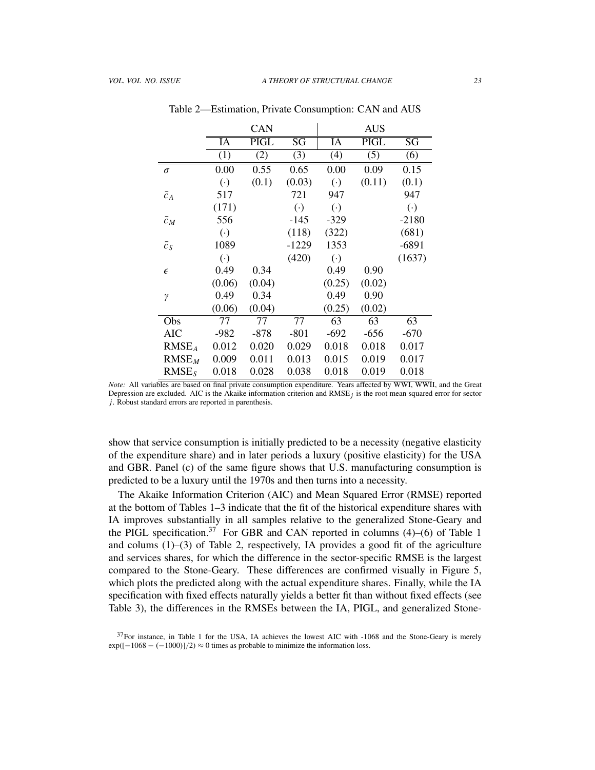|                   |                        | CAN         |                        |                        | <b>AUS</b>       |                        |
|-------------------|------------------------|-------------|------------------------|------------------------|------------------|------------------------|
|                   | IA                     | <b>PIGL</b> | $\overline{\text{SG}}$ | IA                     | <b>PIGL</b>      | $\overline{\rm SG}$    |
|                   | (1)                    | (2)         | (3)                    | (4)                    | $\overline{(5)}$ | (6)                    |
| $\sigma$          | 0.00                   | 0.55        | 0.65                   | 0.00                   | 0.09             | 0.15                   |
|                   | $\left( \cdot \right)$ | (0.1)       | (0.03)                 | $\left( \cdot \right)$ | (0.11)           | (0.1)                  |
| $\bar{c}_A$       | 517                    |             | 721                    | 947                    |                  | 947                    |
|                   | (171)                  |             | $\left( \cdot \right)$ | $\left( \cdot \right)$ |                  | $\left( \cdot \right)$ |
| $\bar{c}_M$       | 556                    |             | $-145$                 | $-329$                 |                  | $-2180$                |
|                   | $\left( \cdot \right)$ |             | (118)                  | (322)                  |                  | (681)                  |
| $\bar{c}_S$       | 1089                   |             | $-1229$                | 1353                   |                  | $-6891$                |
|                   | $\left( \cdot \right)$ |             | (420)                  | $\left( \cdot \right)$ |                  | (1637)                 |
| $\epsilon$        | 0.49                   | 0.34        |                        | 0.49                   | 0.90             |                        |
|                   | (0.06)                 | (0.04)      |                        | (0.25)                 | (0.02)           |                        |
| γ                 | 0.49                   | 0.34        |                        | 0.49                   | 0.90             |                        |
|                   | (0.06)                 | (0.04)      |                        | (0.25)                 | (0.02)           |                        |
| Obs               | 77                     | 77          | 77                     | 63                     | 63               | 63                     |
| AIC               | $-982$                 | $-878$      | $-801$                 | $-692$                 | $-656$           | $-670$                 |
| RMSE <sub>A</sub> | 0.012                  | 0.020       | 0.029                  | 0.018                  | 0.018            | 0.017                  |
| $RMSE_M$          | 0.009                  | 0.011       | 0.013                  | 0.015                  | 0.019            | 0.017                  |
| RMSE <sub>S</sub> | 0.018                  | 0.028       | 0.038                  | 0.018                  | 0.019            | 0.018                  |

Table 2—Estimation, Private Consumption: CAN and AUS

show that service consumption is initially predicted to be a necessity (negative elasticity of the expenditure share) and in later periods a luxury (positive elasticity) for the USA and GBR. Panel (c) of the same figure shows that U.S. manufacturing consumption is predicted to be a luxury until the 1970s and then turns into a necessity.

The Akaike Information Criterion (AIC) and Mean Squared Error (RMSE) reported at the bottom of Tables 1–3 indicate that the fit of the historical expenditure shares with IA improves substantially in all samples relative to the generalized Stone-Geary and the PIGL specification.<sup>37</sup> For GBR and CAN reported in columns  $(4)$ – $(6)$  of Table 1 and colums (1)–(3) of Table 2, respectively, IA provides a good fit of the agriculture and services shares, for which the difference in the sector-specific RMSE is the largest compared to the Stone-Geary. These differences are confirmed visually in Figure 5, which plots the predicted along with the actual expenditure shares. Finally, while the IA specification with fixed effects naturally yields a better fit than without fixed effects (see Table 3), the differences in the RMSEs between the IA, PIGL, and generalized Stone-

*Note:* All variables are based on final private consumption expenditure. Years affected by WWI, WWII, and the Great Depression are excluded. AIC is the Akaike information criterion and RMSE*j* is the root mean squared error for sector *j*. Robust standard errors are reported in parenthesis.

 $37$ For instance, in Table 1 for the USA, IA achieves the lowest AIC with  $-1068$  and the Stone-Geary is merely  $exp([-1068 - (-1000)]/2) \approx 0$  times as probable to minimize the information loss.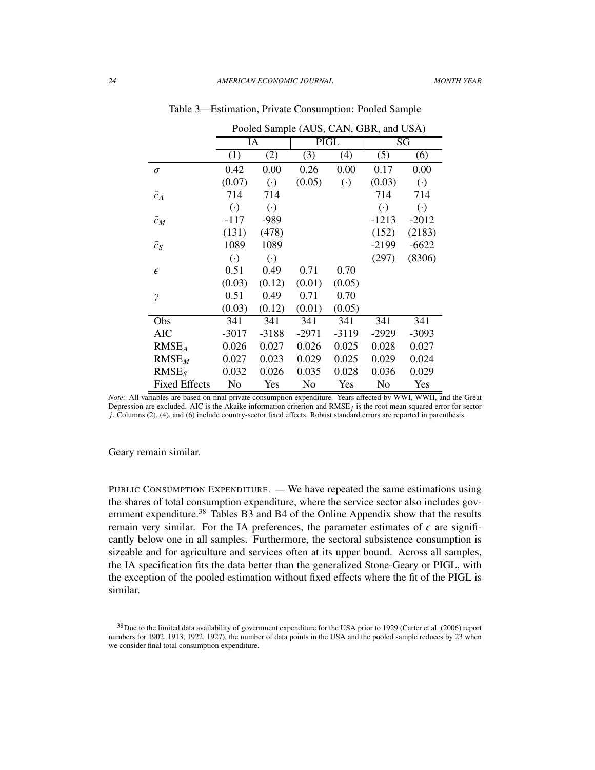|                      | Pooled Sample (AUS, CAN, GBR, and USA) |                        |         |                      |                        |                        |  |
|----------------------|----------------------------------------|------------------------|---------|----------------------|------------------------|------------------------|--|
|                      |                                        | IA                     |         | <b>PIGL</b>          | $\overline{\text{SG}}$ |                        |  |
|                      | (1)                                    | (2)                    | (3)     | (4)                  | (5)                    | (6)                    |  |
| $\sigma$             | 0.42                                   | 0.00                   | 0.26    | 0.00                 | 0.17                   | 0.00                   |  |
|                      | (0.07)                                 | $\left( \cdot \right)$ | (0.05)  | $\left(\cdot\right)$ | (0.03)                 | $\left( \cdot \right)$ |  |
| $\bar{c}_A$          | 714                                    | 714                    |         |                      | 714                    | 714                    |  |
|                      | $\left( \cdot \right)$                 | $\left( \cdot \right)$ |         |                      | $\left( \cdot \right)$ | $(\cdot)$              |  |
| $\bar{c}_M$          | $-117$                                 | -989                   |         |                      | $-1213$                | $-2012$                |  |
|                      | (131)                                  | (478)                  |         |                      | (152)                  | (2183)                 |  |
| $\bar{c}_S$          | 1089                                   | 1089                   |         |                      | $-2199$                | $-6622$                |  |
|                      | $\left( \cdot \right)$                 | $(\cdot)$              |         |                      | (297)                  | (8306)                 |  |
| $\epsilon$           | 0.51                                   | 0.49                   | 0.71    | 0.70                 |                        |                        |  |
|                      | (0.03)                                 | (0.12)                 | (0.01)  | (0.05)               |                        |                        |  |
| $\gamma$             | 0.51                                   | 0.49                   | 0.71    | 0.70                 |                        |                        |  |
|                      | (0.03)                                 | (0.12)                 | (0.01)  | (0.05)               |                        |                        |  |
| Obs                  | 341                                    | 341                    | 341     | 341                  | 341                    | 341                    |  |
| <b>AIC</b>           | $-3017$                                | $-3188$                | $-2971$ | $-3119$              | $-2929$                | $-3093$                |  |
| RMSE <sub>A</sub>    | 0.026                                  | 0.027                  | 0.026   | 0.025                | 0.028                  | 0.027                  |  |
| RMSE <sub>M</sub>    | 0.027                                  | 0.023                  | 0.029   | 0.025                | 0.029                  | 0.024                  |  |
| RMSE <sub>S</sub>    | 0.032                                  | 0.026                  | 0.035   | 0.028                | 0.036                  | 0.029                  |  |
| <b>Fixed Effects</b> | No                                     | Yes                    | No      | Yes                  | No                     | Yes                    |  |

Table 3—Estimation, Private Consumption: Pooled Sample

*Note:* All variables are based on final private consumption expenditure. Years affected by WWI, WWII, and the Great Depression are excluded. AIC is the Akaike information criterion and  $RMSE<sub>j</sub>$  is the root mean squared error for sector *j*. Columns (2), (4), and (6) include country-sector fixed effects. Robust standard errors are reported in parenthesis.

Geary remain similar.

PUBLIC CONSUMPTION EXPENDITURE. — We have repeated the same estimations using the shares of total consumption expenditure, where the service sector also includes government expenditure.<sup>38</sup> Tables B<sub>3</sub> and B<sub>4</sub> of the Online Appendix show that the results remain very similar. For the IA preferences, the parameter estimates of  $\epsilon$  are significantly below one in all samples. Furthermore, the sectoral subsistence consumption is sizeable and for agriculture and services often at its upper bound. Across all samples, the IA specification fits the data better than the generalized Stone-Geary or PIGL, with the exception of the pooled estimation without fixed effects where the fit of the PIGL is similar.

<sup>38</sup>Due to the limited data availability of government expenditure for the USA prior to 1929 (Carter et al. (2006) report numbers for 1902, 1913, 1922, 1927), the number of data points in the USA and the pooled sample reduces by 23 when we consider final total consumption expenditure.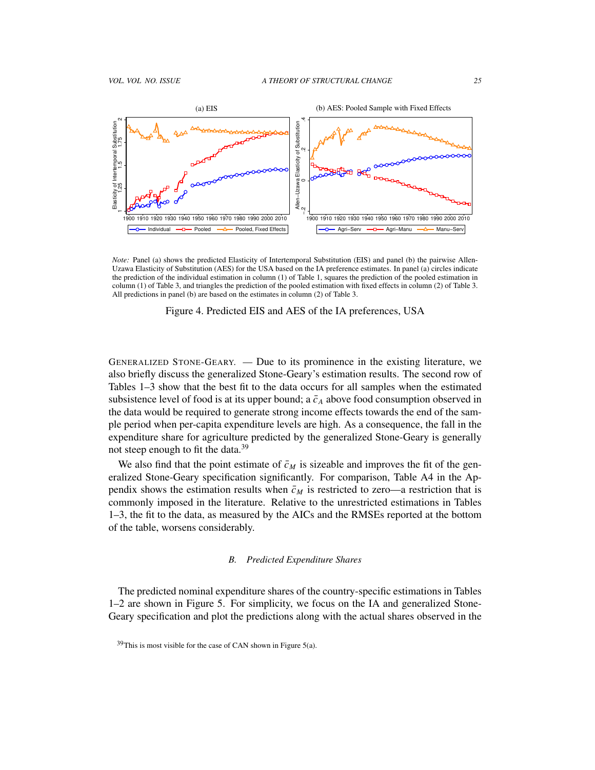

*Note:* Panel (a) shows the predicted Elasticity of Intertemporal Substitution (EIS) and panel (b) the pairwise Allen-Uzawa Elasticity of Substitution (AES) for the USA based on the IA preference estimates. In panel (a) circles indicate the prediction of the individual estimation in column (1) of Table 1, squares the prediction of the pooled estimation in column (1) of Table 3, and triangles the prediction of the pooled estimation with fixed effects in column (2) of Table 3. All predictions in panel (b) are based on the estimates in column (2) of Table 3.



GENERALIZED STONE-GEARY. — Due to its prominence in the existing literature, we also briefly discuss the generalized Stone-Geary's estimation results. The second row of Tables 1–3 show that the best fit to the data occurs for all samples when the estimated subsistence level of food is at its upper bound; a  $\bar{c}_A$  above food consumption observed in the data would be required to generate strong income effects towards the end of the sample period when per-capita expenditure levels are high. As a consequence, the fall in the expenditure share for agriculture predicted by the generalized Stone-Geary is generally not steep enough to fit the data.<sup>39</sup>

We also find that the point estimate of  $\bar{c}_M$  is sizeable and improves the fit of the generalized Stone-Geary specification significantly. For comparison, Table A4 in the Appendix shows the estimation results when  $\bar{c}_M$  is restricted to zero—a restriction that is commonly imposed in the literature. Relative to the unrestricted estimations in Tables 1–3, the fit to the data, as measured by the AICs and the RMSEs reported at the bottom of the table, worsens considerably.

#### *B. Predicted Expenditure Shares*

The predicted nominal expenditure shares of the country-specific estimations in Tables 1–2 are shown in Figure 5. For simplicity, we focus on the IA and generalized Stone-Geary specification and plot the predictions along with the actual shares observed in the

 $39$ This is most visible for the case of CAN shown in Figure 5(a).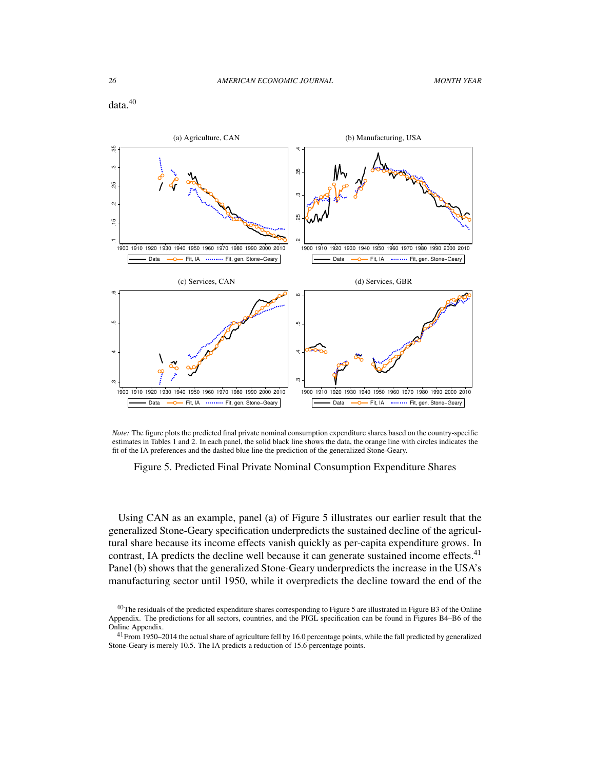

*Note:* The figure plots the predicted final private nominal consumption expenditure shares based on the country-specific estimates in Tables 1 and 2. In each panel, the solid black line shows the data, the orange line with circles indicates the fit of the IA preferences and the dashed blue line the prediction of the generalized Stone-Geary.

Figure 5. Predicted Final Private Nominal Consumption Expenditure Shares

Using CAN as an example, panel (a) of Figure 5 illustrates our earlier result that the generalized Stone-Geary specification underpredicts the sustained decline of the agricultural share because its income effects vanish quickly as per-capita expenditure grows. In contrast, IA predicts the decline well because it can generate sustained income effects.<sup>41</sup> Panel (b) shows that the generalized Stone-Geary underpredicts the increase in the USA's manufacturing sector until 1950, while it overpredicts the decline toward the end of the

<sup>&</sup>lt;sup>40</sup>The residuals of the predicted expenditure shares corresponding to Figure 5 are illustrated in Figure B3 of the Online Appendix. The predictions for all sectors, countries, and the PIGL specification can be found in Figures B4–B6 of the Online Appendix.

 $41$  From 1950–2014 the actual share of agriculture fell by 16.0 percentage points, while the fall predicted by generalized Stone-Geary is merely 10.5. The IA predicts a reduction of 15.6 percentage points.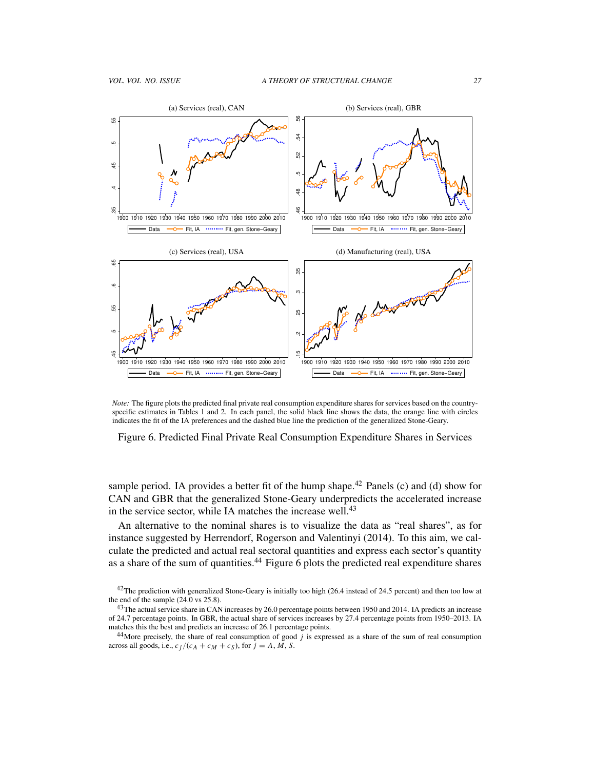

*Note:* The figure plots the predicted final private real consumption expenditure shares for services based on the countryspecific estimates in Tables 1 and 2. In each panel, the solid black line shows the data, the orange line with circles indicates the fit of the IA preferences and the dashed blue line the prediction of the generalized Stone-Geary.

Figure 6. Predicted Final Private Real Consumption Expenditure Shares in Services

sample period. IA provides a better fit of the hump shape.<sup>42</sup> Panels (c) and (d) show for CAN and GBR that the generalized Stone-Geary underpredicts the accelerated increase in the service sector, while IA matches the increase well.<sup>43</sup>

An alternative to the nominal shares is to visualize the data as "real shares", as for instance suggested by Herrendorf, Rogerson and Valentinyi (2014). To this aim, we calculate the predicted and actual real sectoral quantities and express each sector's quantity as a share of the sum of quantities.<sup>44</sup> Figure  $\overline{6}$  plots the predicted real expenditure shares

 $42$ The prediction with generalized Stone-Geary is initially too high (26.4 instead of 24.5 percent) and then too low at the end of the sample  $(24.0 \text{ vs } 25.8)$ .

<sup>&</sup>lt;sup>43</sup>The actual service share in CAN increases by 26.0 percentage points between 1950 and 2014. IA predicts an increase of 24.7 percentage points. In GBR, the actual share of services increases by 27.4 percentage points from 1950–2013. IA matches this the best and predicts an increase of 26.1 percentage points.

 $44$ More precisely, the share of real consumption of good *j* is expressed as a share of the sum of real consumption across all goods, i.e.,  $c_j/(c_A + c_M + c_S)$ , for  $j = A, M, S$ .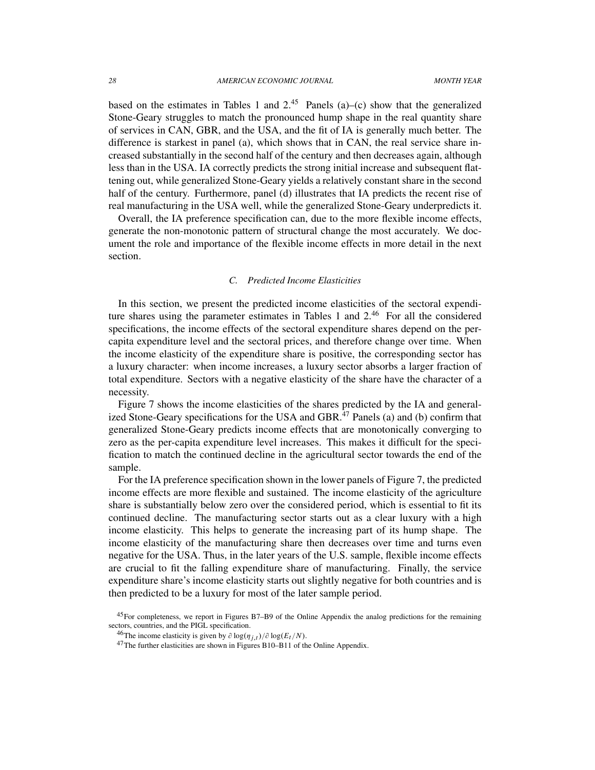based on the estimates in Tables 1 and  $2^{45}$  Panels (a)–(c) show that the generalized Stone-Geary struggles to match the pronounced hump shape in the real quantity share of services in CAN, GBR, and the USA, and the fit of IA is generally much better. The difference is starkest in panel (a), which shows that in CAN, the real service share increased substantially in the second half of the century and then decreases again, although less than in the USA. IA correctly predicts the strong initial increase and subsequent flattening out, while generalized Stone-Geary yields a relatively constant share in the second half of the century. Furthermore, panel (d) illustrates that IA predicts the recent rise of real manufacturing in the USA well, while the generalized Stone-Geary underpredicts it.

Overall, the IA preference specification can, due to the more flexible income effects, generate the non-monotonic pattern of structural change the most accurately. We document the role and importance of the flexible income effects in more detail in the next section.

## *C. Predicted Income Elasticities*

In this section, we present the predicted income elasticities of the sectoral expenditure shares using the parameter estimates in Tables 1 and 2.<sup>46</sup> For all the considered specifications, the income effects of the sectoral expenditure shares depend on the percapita expenditure level and the sectoral prices, and therefore change over time. When the income elasticity of the expenditure share is positive, the corresponding sector has a luxury character: when income increases, a luxury sector absorbs a larger fraction of total expenditure. Sectors with a negative elasticity of the share have the character of a necessity.

Figure 7 shows the income elasticities of the shares predicted by the IA and generalized Stone-Geary specifications for the USA and GBR. $47$  Panels (a) and (b) confirm that generalized Stone-Geary predicts income effects that are monotonically converging to zero as the per-capita expenditure level increases. This makes it difficult for the specification to match the continued decline in the agricultural sector towards the end of the sample.

For the IA preference specification shown in the lower panels of Figure 7, the predicted income effects are more flexible and sustained. The income elasticity of the agriculture share is substantially below zero over the considered period, which is essential to fit its continued decline. The manufacturing sector starts out as a clear luxury with a high income elasticity. This helps to generate the increasing part of its hump shape. The income elasticity of the manufacturing share then decreases over time and turns even negative for the USA. Thus, in the later years of the U.S. sample, flexible income effects are crucial to fit the falling expenditure share of manufacturing. Finally, the service expenditure share's income elasticity starts out slightly negative for both countries and is then predicted to be a luxury for most of the later sample period.

<sup>45</sup>For completeness, we report in Figures B7–B9 of the Online Appendix the analog predictions for the remaining sectors, countries, and the PIGL specification.

<sup>&</sup>lt;sup>46</sup>The income elasticity is given by  $\partial \log(\eta_{j,t})/\partial \log(E_t/N)$ .

<sup>47</sup>The further elasticities are shown in Figures B10–B11 of the Online Appendix.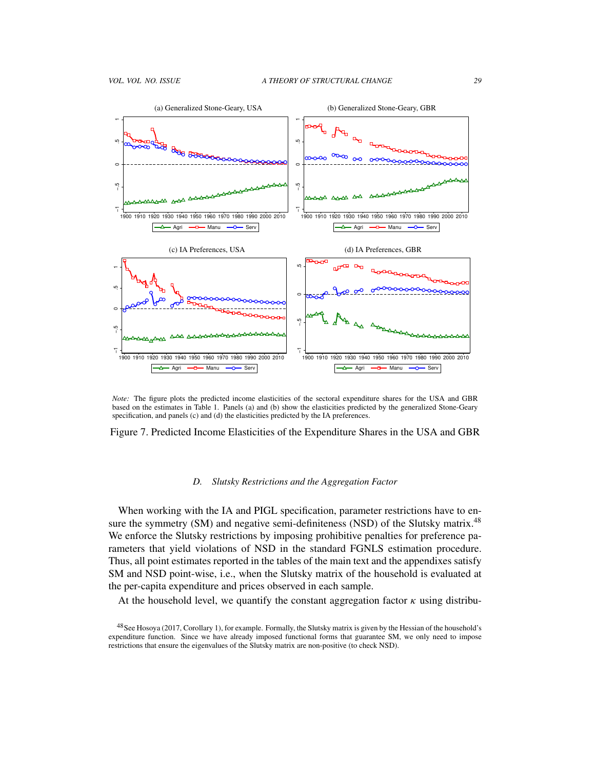

*Note:* The figure plots the predicted income elasticities of the sectoral expenditure shares for the USA and GBR based on the estimates in Table 1. Panels (a) and (b) show the elasticities predicted by the generalized Stone-Geary specification, and panels (c) and (d) the elasticities predicted by the IA preferences.

## Figure 7. Predicted Income Elasticities of the Expenditure Shares in the USA and GBR

#### *D. Slutsky Restrictions and the Aggregation Factor*

When working with the IA and PIGL specification, parameter restrictions have to ensure the symmetry (SM) and negative semi-definiteness (NSD) of the Slutsky matrix.<sup>48</sup> We enforce the Slutsky restrictions by imposing prohibitive penalties for preference parameters that yield violations of NSD in the standard FGNLS estimation procedure. Thus, all point estimates reported in the tables of the main text and the appendixes satisfy SM and NSD point-wise, i.e., when the Slutsky matrix of the household is evaluated at the per-capita expenditure and prices observed in each sample.

At the household level, we quantify the constant aggregation factor  $\kappa$  using distribu-

<sup>48</sup>See Hosoya (2017, Corollary 1), for example. Formally, the Slutsky matrix is given by the Hessian of the household's expenditure function. Since we have already imposed functional forms that guarantee SM, we only need to impose restrictions that ensure the eigenvalues of the Slutsky matrix are non-positive (to check NSD).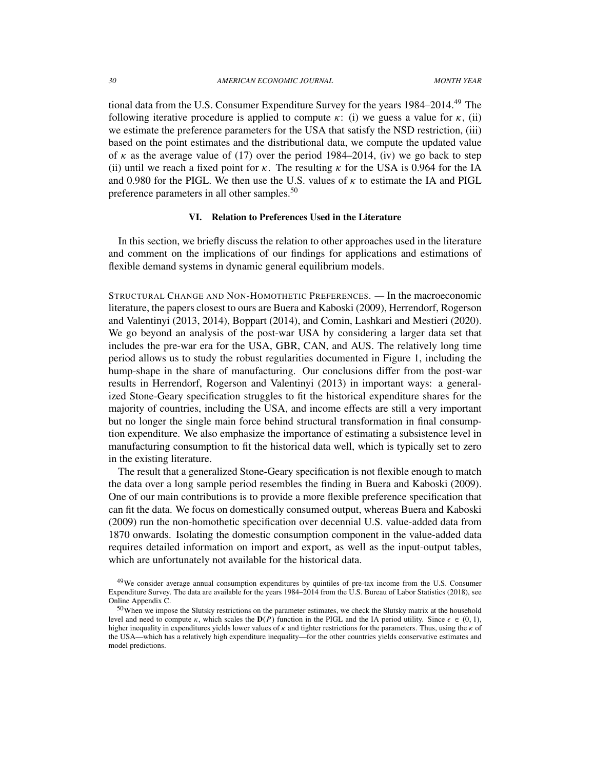tional data from the U.S. Consumer Expenditure Survey for the years 1984–2014.<sup>49</sup> The following iterative procedure is applied to compute  $\kappa$ : (i) we guess a value for  $\kappa$ , (ii) we estimate the preference parameters for the USA that satisfy the NSD restriction, (iii) based on the point estimates and the distributional data, we compute the updated value of  $\kappa$  as the average value of (17) over the period 1984–2014, (iv) we go back to step (ii) until we reach a fixed point for  $\kappa$ . The resulting  $\kappa$  for the USA is 0.964 for the IA and 0.980 for the PIGL. We then use the U.S. values of  $\kappa$  to estimate the IA and PIGL preference parameters in all other samples.<sup>50</sup>

#### VI. Relation to Preferences Used in the Literature

In this section, we briefly discuss the relation to other approaches used in the literature and comment on the implications of our findings for applications and estimations of flexible demand systems in dynamic general equilibrium models.

STRUCTURAL CHANGE AND NON-HOMOTHETIC PREFERENCES. — In the macroeconomic literature, the papers closest to ours are Buera and Kaboski (2009), Herrendorf, Rogerson and Valentinyi (2013, 2014), Boppart (2014), and Comin, Lashkari and Mestieri (2020). We go beyond an analysis of the post-war USA by considering a larger data set that includes the pre-war era for the USA, GBR, CAN, and AUS. The relatively long time period allows us to study the robust regularities documented in Figure 1, including the hump-shape in the share of manufacturing. Our conclusions differ from the post-war results in Herrendorf, Rogerson and Valentinyi (2013) in important ways: a generalized Stone-Geary specification struggles to fit the historical expenditure shares for the majority of countries, including the USA, and income effects are still a very important but no longer the single main force behind structural transformation in final consumption expenditure. We also emphasize the importance of estimating a subsistence level in manufacturing consumption to fit the historical data well, which is typically set to zero in the existing literature.

The result that a generalized Stone-Geary specification is not flexible enough to match the data over a long sample period resembles the finding in Buera and Kaboski (2009). One of our main contributions is to provide a more flexible preference specification that can fit the data. We focus on domestically consumed output, whereas Buera and Kaboski (2009) run the non-homothetic specification over decennial U.S. value-added data from 1870 onwards. Isolating the domestic consumption component in the value-added data requires detailed information on import and export, as well as the input-output tables, which are unfortunately not available for the historical data.

<sup>&</sup>lt;sup>49</sup>We consider average annual consumption expenditures by quintiles of pre-tax income from the U.S. Consumer Expenditure Survey. The data are available for the years 1984–2014 from the U.S. Bureau of Labor Statistics (2018), see Online Appendix C.

<sup>&</sup>lt;sup>50</sup>When we impose the Slutsky restrictions on the parameter estimates, we check the Slutsky matrix at the household level and need to compute  $\kappa$ , which scales the  $D(P)$  function in the PIGL and the IA period utility. Since  $\epsilon \in (0, 1)$ , higher inequality in expenditures yields lower values of  $\kappa$  and tighter restrictions for the parameters. Thus, using the  $\kappa$  of the USA—which has a relatively high expenditure inequality—for the other countries yields conservative estimates and model predictions.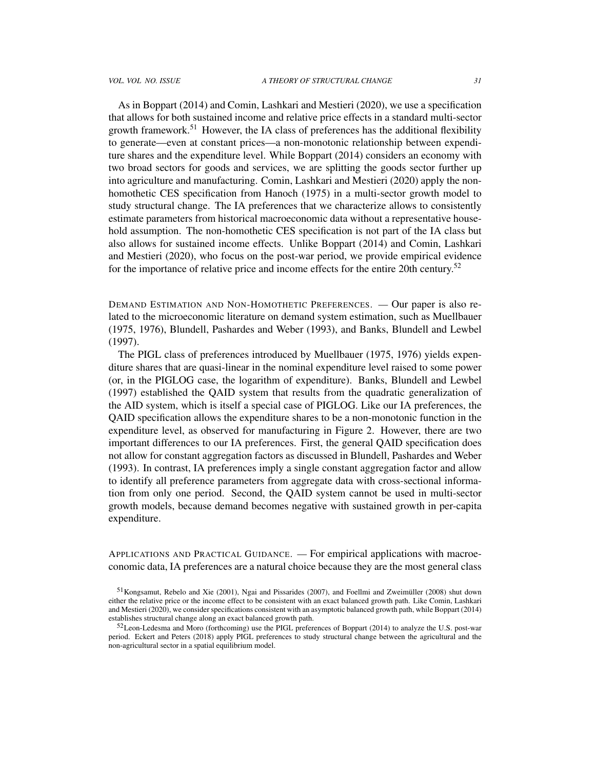As in Boppart (2014) and Comin, Lashkari and Mestieri (2020), we use a specification that allows for both sustained income and relative price effects in a standard multi-sector growth framework.<sup>51</sup> However, the IA class of preferences has the additional flexibility to generate—even at constant prices—a non-monotonic relationship between expenditure shares and the expenditure level. While Boppart (2014) considers an economy with two broad sectors for goods and services, we are splitting the goods sector further up into agriculture and manufacturing. Comin, Lashkari and Mestieri (2020) apply the nonhomothetic CES specification from Hanoch (1975) in a multi-sector growth model to study structural change. The IA preferences that we characterize allows to consistently estimate parameters from historical macroeconomic data without a representative household assumption. The non-homothetic CES specification is not part of the IA class but also allows for sustained income effects. Unlike Boppart (2014) and Comin, Lashkari and Mestieri (2020), who focus on the post-war period, we provide empirical evidence for the importance of relative price and income effects for the entire 20th century.<sup>52</sup>

DEMAND ESTIMATION AND NON-HOMOTHETIC PREFERENCES. — Our paper is also related to the microeconomic literature on demand system estimation, such as Muellbauer (1975, 1976), Blundell, Pashardes and Weber (1993), and Banks, Blundell and Lewbel (1997).

The PIGL class of preferences introduced by Muellbauer (1975, 1976) yields expenditure shares that are quasi-linear in the nominal expenditure level raised to some power (or, in the PIGLOG case, the logarithm of expenditure). Banks, Blundell and Lewbel (1997) established the QAID system that results from the quadratic generalization of the AID system, which is itself a special case of PIGLOG. Like our IA preferences, the QAID specification allows the expenditure shares to be a non-monotonic function in the expenditure level, as observed for manufacturing in Figure 2. However, there are two important differences to our IA preferences. First, the general QAID specification does not allow for constant aggregation factors as discussed in Blundell, Pashardes and Weber (1993). In contrast, IA preferences imply a single constant aggregation factor and allow to identify all preference parameters from aggregate data with cross-sectional information from only one period. Second, the QAID system cannot be used in multi-sector growth models, because demand becomes negative with sustained growth in per-capita expenditure.

APPLICATIONS AND PRACTICAL GUIDANCE. — For empirical applications with macroeconomic data, IA preferences are a natural choice because they are the most general class

<sup>&</sup>lt;sup>51</sup> Kongsamut, Rebelo and Xie (2001), Ngai and Pissarides (2007), and Foellmi and Zweimüller (2008) shut down either the relative price or the income effect to be consistent with an exact balanced growth path. Like Comin, Lashkari and Mestieri (2020), we consider specifications consistent with an asymptotic balanced growth path, while Boppart (2014) establishes structural change along an exact balanced growth path.

 $52$  Leon-Ledesma and Moro (forthcoming) use the PIGL preferences of Boppart (2014) to analyze the U.S. post-war period. Eckert and Peters (2018) apply PIGL preferences to study structural change between the agricultural and the non-agricultural sector in a spatial equilibrium model.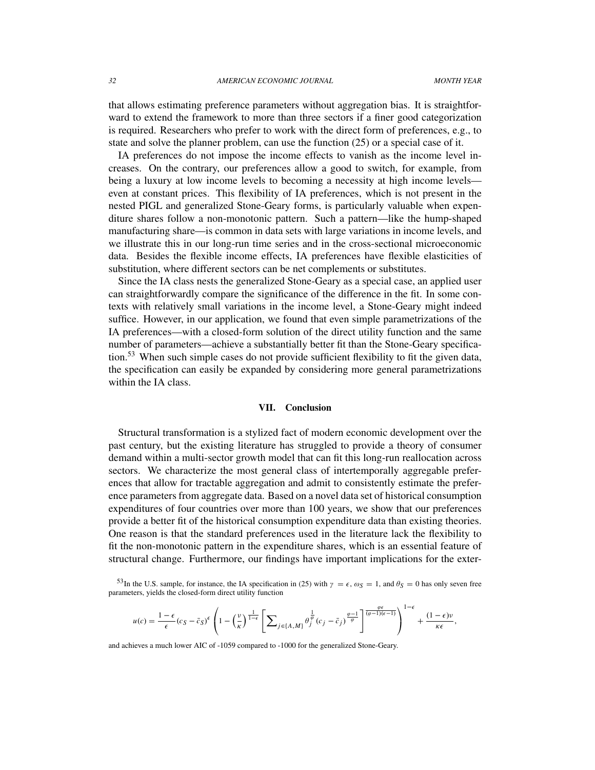that allows estimating preference parameters without aggregation bias. It is straightforward to extend the framework to more than three sectors if a finer good categorization is required. Researchers who prefer to work with the direct form of preferences, e.g., to state and solve the planner problem, can use the function (25) or a special case of it.

IA preferences do not impose the income effects to vanish as the income level increases. On the contrary, our preferences allow a good to switch, for example, from being a luxury at low income levels to becoming a necessity at high income levels even at constant prices. This flexibility of IA preferences, which is not present in the nested PIGL and generalized Stone-Geary forms, is particularly valuable when expenditure shares follow a non-monotonic pattern. Such a pattern—like the hump-shaped manufacturing share—is common in data sets with large variations in income levels, and we illustrate this in our long-run time series and in the cross-sectional microeconomic data. Besides the flexible income effects, IA preferences have flexible elasticities of substitution, where different sectors can be net complements or substitutes.

Since the IA class nests the generalized Stone-Geary as a special case, an applied user can straightforwardly compare the significance of the difference in the fit. In some contexts with relatively small variations in the income level, a Stone-Geary might indeed suffice. However, in our application, we found that even simple parametrizations of the IA preferences—with a closed-form solution of the direct utility function and the same number of parameters—achieve a substantially better fit than the Stone-Geary specification.<sup>53</sup> When such simple cases do not provide sufficient flexibility to fit the given data, the specification can easily be expanded by considering more general parametrizations within the IA class.

#### VII. Conclusion

Structural transformation is a stylized fact of modern economic development over the past century, but the existing literature has struggled to provide a theory of consumer demand within a multi-sector growth model that can fit this long-run reallocation across sectors. We characterize the most general class of intertemporally aggregable preferences that allow for tractable aggregation and admit to consistently estimate the preference parameters from aggregate data. Based on a novel data set of historical consumption expenditures of four countries over more than 100 years, we show that our preferences provide a better fit of the historical consumption expenditure data than existing theories. One reason is that the standard preferences used in the literature lack the flexibility to fit the non-monotonic pattern in the expenditure shares, which is an essential feature of structural change. Furthermore, our findings have important implications for the exter-

$$
u(c)=\frac{1-\epsilon}{\epsilon}(c_{S}-\bar{c}_{S})^{\epsilon}\left(1-\left(\frac{v}{\kappa}\right)^{\frac{1}{1-\epsilon}}\left[\sum\nolimits_{j\in\{A,M\}}\theta_{j}^{\frac{1}{\varphi}}(c_{j}-\bar{c}_{j})^{\frac{\varphi-1}{\varphi}}\right]^{\frac{\varphi\epsilon}{(\varphi-1)(\epsilon-1)}}\right)^{1-\epsilon}+\frac{(1-\epsilon)v}{\kappa\epsilon},
$$

and achieves a much lower AIC of -1059 compared to -1000 for the generalized Stone-Geary.

<sup>&</sup>lt;sup>53</sup>In the U.S. sample, for instance, the IA specification in (25) with  $\gamma = \epsilon$ ,  $\omega_S = 1$ , and  $\theta_S = 0$  has only seven free parameters, yields the closed-form direct utility function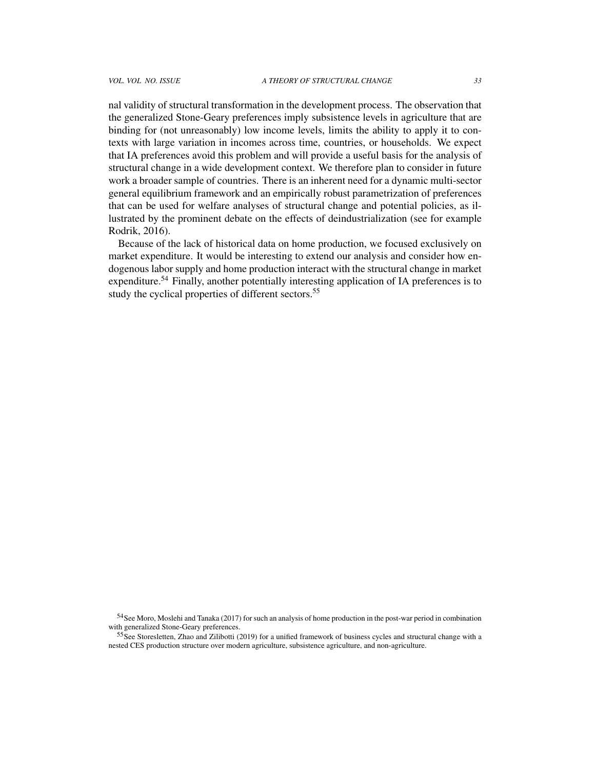nal validity of structural transformation in the development process. The observation that the generalized Stone-Geary preferences imply subsistence levels in agriculture that are binding for (not unreasonably) low income levels, limits the ability to apply it to contexts with large variation in incomes across time, countries, or households. We expect that IA preferences avoid this problem and will provide a useful basis for the analysis of structural change in a wide development context. We therefore plan to consider in future work a broader sample of countries. There is an inherent need for a dynamic multi-sector general equilibrium framework and an empirically robust parametrization of preferences that can be used for welfare analyses of structural change and potential policies, as illustrated by the prominent debate on the effects of deindustrialization (see for example Rodrik, 2016).

Because of the lack of historical data on home production, we focused exclusively on market expenditure. It would be interesting to extend our analysis and consider how endogenous labor supply and home production interact with the structural change in market expenditure.<sup>54</sup> Finally, another potentially interesting application of IA preferences is to study the cyclical properties of different sectors.<sup>55</sup>

<sup>&</sup>lt;sup>54</sup>See Moro, Moslehi and Tanaka (2017) for such an analysis of home production in the post-war period in combination with generalized Stone-Geary preferences.

<sup>55</sup>See Storesletten, Zhao and Zilibotti (2019) for a unified framework of business cycles and structural change with a nested CES production structure over modern agriculture, subsistence agriculture, and non-agriculture.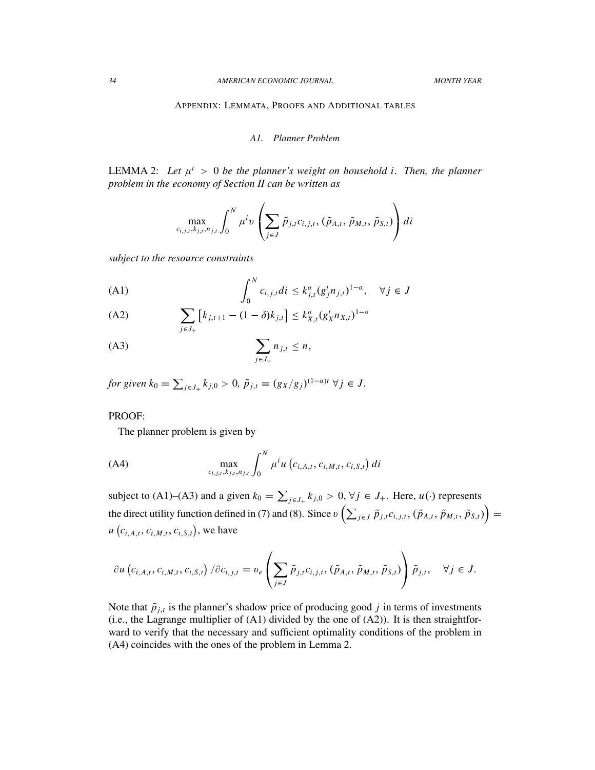APPENDIX: LEMMATA, PROOFS AND ADDITIONAL TABLES

## *A1. Planner Problem*

LEMMA 2: Let  $\mu^i > 0$  be the planner's weight on household *i*. Then, the planner *problem in the economy of Section II can be written as*

$$
\max_{c_{i,j,t},k_{j,t},n_{j,t}} \int_0^N \mu^i v\left(\sum_{j\in J} \tilde{p}_{j,t}c_{i,j,t},(\tilde{p}_{A,t},\tilde{p}_{M,t},\tilde{p}_{S,t})\right)di
$$

*subject to the resource constraints*

$$
\text{(A1)} \qquad \qquad \int_0^N c_{i,j,t} \, di \le k_{j,t}^a (g_j^t n_{j,t})^{1-a}, \quad \forall j \in J
$$

(A2) 
$$
\sum_{j \in J_+} [k_{j,t+1} - (1 - \delta)k_{j,t}] \leq k_{X,t}^{\alpha} (g_X^t n_{X,t})^{1-\alpha}
$$

$$
\sum_{j\in J_+} n_{j,t} \leq n,
$$

*for given*  $k_0 = \sum_{j \in J_+} k_{j,0} > 0$ ,  $\tilde{p}_{j,t} \equiv (g_X/g_j)^{(1-a)t} \ \forall j \in J$ .

#### PROOF:

The planner problem is given by

(A4) 
$$
\max_{c_{i,j,t}, k_{j,t}, n_{j,t}} \int_0^N \mu^i u(c_{i,A,t}, c_{i,M,t}, c_{i,S,t}) di
$$

subject to (A1)–(A3) and a given  $k_0 = \sum_{j \in J_+} k_{j,0} > 0$ ,  $\forall j \in J_+$ . Here,  $u(\cdot)$  represents the direct utility function defined in (7) and (8). Since  $v\left(\sum_{j\in J}\tilde{p}_{j,t}c_{i,j,t},\left(\tilde{p}_{A,t},\tilde{p}_{M,t},\tilde{p}_{S,t}\right)\right)=$  $u\left(c_{i,A,t}, c_{i,M,t}, c_{i,S,t}\right)$ , we have

$$
\partial u\left(c_{i,A,t},c_{i,M,t},c_{i,S,t}\right)/\partial c_{i,j,t} = v_e\left(\sum_{j\in J}\tilde{p}_{j,t}c_{i,j,t},\left(\tilde{p}_{A,t},\tilde{p}_{M,t},\tilde{p}_{S,t}\right)\right)\tilde{p}_{j,t}, \quad \forall j \in J.
$$

Note that  $\tilde{p}_{j,t}$  is the planner's shadow price of producing good *j* in terms of investments (i.e., the Lagrange multiplier of (A1) divided by the one of (A2)). It is then straightforward to verify that the necessary and sufficient optimality conditions of the problem in (A4) coincides with the ones of the problem in Lemma 2.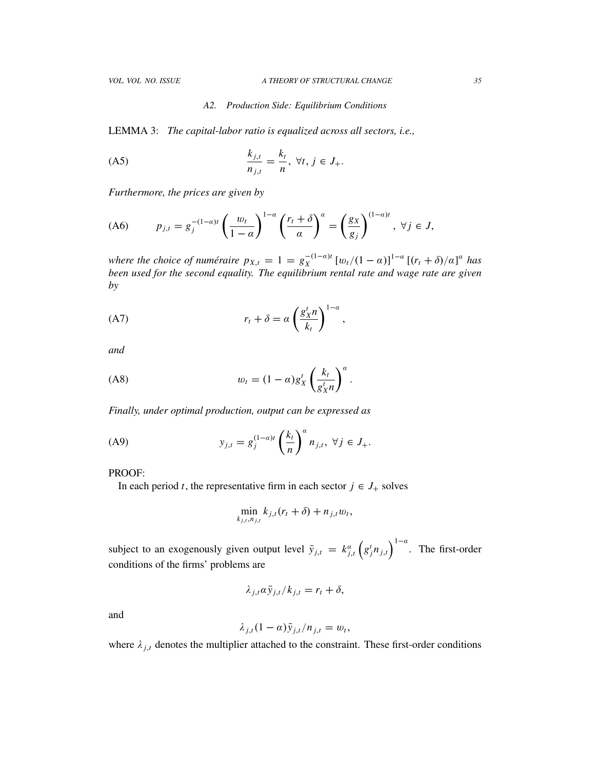#### *A2. Production Side: Equilibrium Conditions*

LEMMA 3: *The capital-labor ratio is equalized across all sectors, i.e.,*

(A5)

\n
$$
\frac{k_{j,t}}{n_{j,t}} = \frac{k_t}{n}, \ \forall t, \ j \in J_+.
$$

*Furthermore, the prices are given by*

$$
(A6) \t p_{j,t} = g_j^{-(1-\alpha)t} \left(\frac{w_t}{1-\alpha}\right)^{1-\alpha} \left(\frac{r_t+\delta}{\alpha}\right)^{\alpha} = \left(\frac{g_X}{g_j}\right)^{(1-\alpha)t}, \ \forall j \in J,
$$

*where the choice of numéraire*  $p_{X,t} = 1 = g_X^{-(1-a)t}$  $\int_X^{-(1-a)t} [w_t/(1-a)]^{1-a} [(r_t + \delta)/\alpha]^a$  has *been used for the second equality. The equilibrium rental rate and wage rate are given by*

(A7) 
$$
r_t + \delta = a \left(\frac{g_x^t n}{k_t}\right)^{1-a},
$$

*and*

$$
(A8) \t w_t = (1 - \alpha) g_X^t \left( \frac{k_t}{g_X^t n} \right)^{\alpha}.
$$

*Finally, under optimal production, output can be expressed as*

(A9) 
$$
y_{j,t} = g_j^{(1-a)t} \left(\frac{k_t}{n}\right)^a n_{j,t}, \ \forall j \in J_+.
$$

PROOF:

In each period *t*, the representative firm in each sector  $j \in J_+$  solves

$$
\min_{k_{j,t},n_{j,t}} k_{j,t}(r_t+\delta) + n_{j,t}w_t,
$$

subject to an exogenously given output level  $\bar{y}_{j,t} = k_{j,t}^{\alpha} (g_j^t n_{j,t})^{1-\alpha}$ . The first-order conditions of the firms' problems are

$$
\lambda_{j,t} \alpha \bar{y}_{j,t} / k_{j,t} = r_t + \delta,
$$

and

$$
\lambda_{j,t}(1-\alpha)\bar{y}_{j,t}/n_{j,t}=w_t,
$$

where  $\lambda_{j,t}$  denotes the multiplier attached to the constraint. These first-order conditions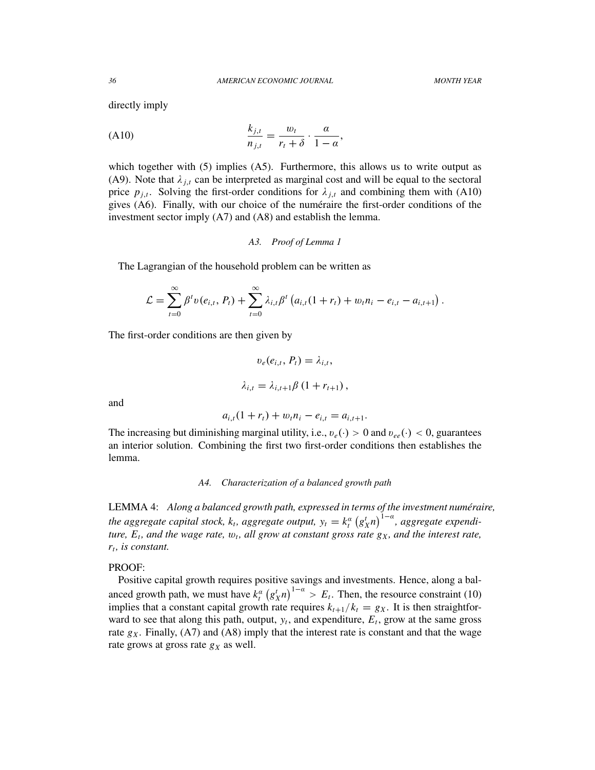directly imply

$$
\frac{k_{j,t}}{n_{j,t}} = \frac{w_t}{r_t + \delta} \cdot \frac{\alpha}{1 - \alpha},
$$

which together with (5) implies (A5). Furthermore, this allows us to write output as (A9). Note that  $\lambda_{j,t}$  can be interpreted as marginal cost and will be equal to the sectoral price  $p_{j,t}$ . Solving the first-order conditions for  $\lambda_{j,t}$  and combining them with (A10) gives  $(A6)$ . Finally, with our choice of the numéraire the first-order conditions of the investment sector imply (A7) and (A8) and establish the lemma.

*A3. Proof of Lemma 1*

The Lagrangian of the household problem can be written as

$$
\mathcal{L} = \sum_{t=0}^{\infty} \beta^t v(e_{i,t}, P_t) + \sum_{t=0}^{\infty} \lambda_{i,t} \beta^t \left( a_{i,t} (1+r_t) + w_t n_i - e_{i,t} - a_{i,t+1} \right).
$$

The first-order conditions are then given by

$$
v_e(e_{i,t}, P_t) = \lambda_{i,t},
$$
  

$$
\lambda_{i,t} = \lambda_{i,t+1} \beta (1 + r_{t+1}),
$$

and

$$
a_{i,t}(1+r_t) + w_t n_i - e_{i,t} = a_{i,t+1}.
$$

The increasing but diminishing marginal utility, i.e.,  $v_e(\cdot) > 0$  and  $v_{ee}(\cdot) < 0$ , guarantees an interior solution. Combining the first two first-order conditions then establishes the lemma.

#### *A4. Characterization of a balanced growth path*

LEMMA 4: *Along a balanced growth path, expressed in terms of the investment numéraire, the aggregate capital stock, k<sub>t</sub>, aggregate output,*  $y_t = k_t^a (g_x^t n)^{1-a}$ *, aggregate expenditure,*  $E_t$ , and the wage rate,  $w_t$ , all grow at constant gross rate  $g_X$ , and the interest rate, *rt , is constant.*

## PROOF:

Positive capital growth requires positive savings and investments. Hence, along a balanced growth path, we must have  $k_i^{\alpha} (g_x^t n)^{1-\alpha} > E_t$ . Then, the resource constraint (10) implies that a constant capital growth rate requires  $k_{t+1}/k_t = g_X$ . It is then straightforward to see that along this path, output,  $y_t$ , and expenditure,  $E_t$ , grow at the same gross rate  $g_X$ . Finally, (A7) and (A8) imply that the interest rate is constant and that the wage rate grows at gross rate  $g_X$  as well.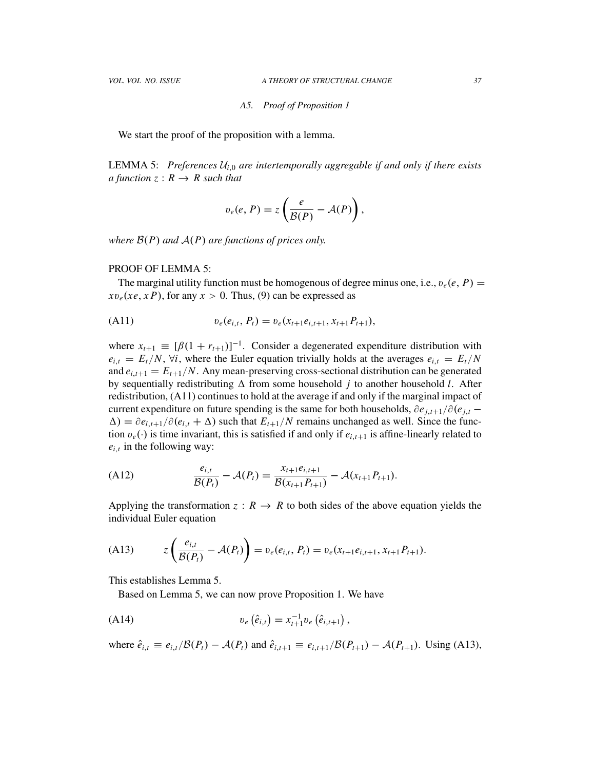### *A5. Proof of Proposition 1*

We start the proof of the proposition with a lemma.

**LEMMA 5:** Preferences  $U_{i,0}$  are intertemporally aggregable if and only if there exists *a function*  $z: R \rightarrow R$  *such that* 

$$
v_e(e, P) = z \left( \frac{e}{\mathcal{B}(P)} - \mathcal{A}(P) \right),
$$

*where*  $B(P)$  *and*  $A(P)$  *are functions of prices only.* 

## PROOF OF LEMMA 5:

The marginal utility function must be homogenous of degree minus one, i.e.,  $v_e(e, P)$  =  $xv_e(xe, xP)$ , for any  $x > 0$ . Thus, (9) can be expressed as

(A11) 
$$
v_e(e_{i,t}, P_t) = v_e(x_{t+1}e_{i,t+1}, x_{t+1}P_{t+1}),
$$

where  $x_{t+1} \equiv [\beta(1 + r_{t+1})]^{-1}$ . Consider a degenerated expenditure distribution with  $e_{i,t} = E_t/N$ ,  $\forall i$ , where the Euler equation trivially holds at the averages  $e_{i,t} = E_t/N$ and  $e_{i,t+1} = E_{t+1}/N$ . Any mean-preserving cross-sectional distribution can be generated by sequentially redistributing  $\Delta$  from some household *j* to another household *l*. After redistribution, (A11) continues to hold at the average if and only if the marginal impact of current expenditure on future spending is the same for both households,  $\partial e_{i,t+1}/\partial(e_{i,t} \Delta$ ) =  $\partial e_{l,t+1}/\partial (e_{l,t} + \Delta)$  such that  $E_{t+1}/N$  remains unchanged as well. Since the function  $v_e(\cdot)$  is time invariant, this is satisfied if and only if  $e_{i,t+1}$  is affine-linearly related to  $e_{i,t}$  in the following way:

(A12) 
$$
\frac{e_{i,t}}{\mathcal{B}(P_t)} - \mathcal{A}(P_t) = \frac{x_{t+1}e_{i,t+1}}{\mathcal{B}(x_{t+1}P_{t+1})} - \mathcal{A}(x_{t+1}P_{t+1}).
$$

Applying the transformation  $z : R \to R$  to both sides of the above equation yields the individual Euler equation

(A13) 
$$
z\left(\frac{e_{i,t}}{\mathcal{B}(P_t)} - \mathcal{A}(P_t)\right) = v_e(e_{i,t}, P_t) = v_e(x_{t+1}e_{i,t+1}, x_{t+1}P_{t+1}).
$$

This establishes Lemma 5.

Based on Lemma 5, we can now prove Proposition 1. We have

(A14) 
$$
v_e\left(\hat{e}_{i,t}\right) = x_{t+1}^{-1}v_e\left(\hat{e}_{i,t+1}\right),
$$

where  $\hat{e}_{i,t} \equiv e_{i,t}/\mathcal{B}(P_t) - \mathcal{A}(P_t)$  and  $\hat{e}_{i,t+1} \equiv e_{i,t+1}/\mathcal{B}(P_{t+1}) - \mathcal{A}(P_{t+1})$ . Using (A13),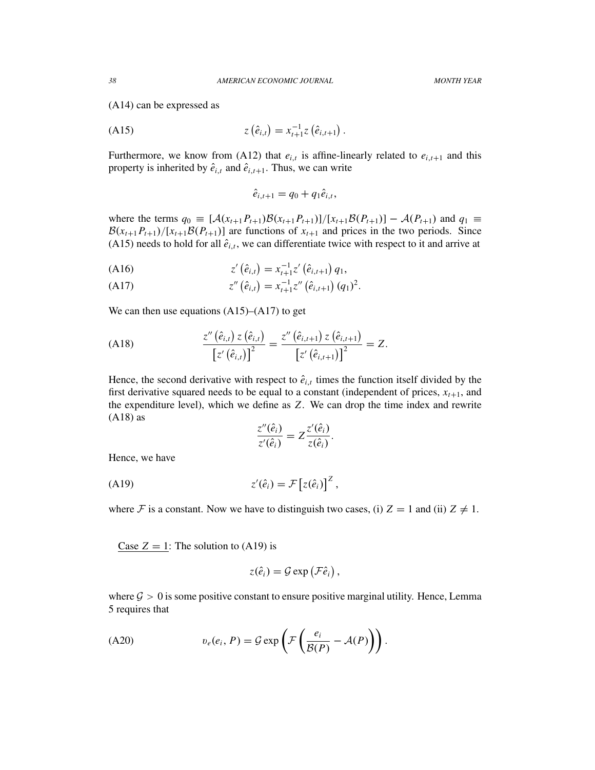(A14) can be expressed as

(A15) 
$$
z(\hat{e}_{i,t}) = x_{t+1}^{-1} z(\hat{e}_{i,t+1}).
$$

Furthermore, we know from (A12) that  $e_{i,t}$  is affine-linearly related to  $e_{i,t+1}$  and this property is inherited by  $\hat{e}_{i,t}$  and  $\hat{e}_{i,t+1}$ . Thus, we can write

$$
\hat{e}_{i,t+1} = q_0 + q_1 \hat{e}_{i,t},
$$

where the terms  $q_0 \equiv [A(x_{t+1}P_{t+1})B(x_{t+1}P_{t+1})]/[x_{t+1}B(P_{t+1})] - A(P_{t+1})$  and  $q_1 \equiv$  $B(x_{t+1}P_{t+1})/[x_{t+1}B(P_{t+1})]$  are functions of  $x_{t+1}$  and prices in the two periods. Since (A15) needs to hold for all  $\hat{e}_{i,t}$ , we can differentiate twice with respect to it and arrive at

$$
(A16) \t\t\t z'(\hat{e}_{i,t}) = x_{t+1}^{-1} z'(\hat{e}_{i,t+1}) q_1,
$$

(A17) 
$$
z''(\hat{e}_{i,t}) = x_{t+1}^{-1} z''(\hat{e}_{i,t+1}) (q_1)^2.
$$

We can then use equations  $(A15)$ – $(A17)$  to get

(A18) 
$$
\frac{z''(\hat{e}_{i,t}) z(\hat{e}_{i,t})}{[z'(\hat{e}_{i,t})]^2} = \frac{z''(\hat{e}_{i,t+1}) z(\hat{e}_{i,t+1})}{[z'(\hat{e}_{i,t+1})]^2} = Z.
$$

Hence, the second derivative with respect to  $\hat{e}_{i,t}$  times the function itself divided by the first derivative squared needs to be equal to a constant (independent of prices,  $x_{t+1}$ , and the expenditure level), which we define as *Z*. We can drop the time index and rewrite (A18) as

$$
\frac{z''(\hat{e}_i)}{z'(\hat{e}_i)} = Z \frac{z'(\hat{e}_i)}{z(\hat{e}_i)}.
$$

Hence, we have

$$
z'(\hat{e}_i) = \mathcal{F}\left[z(\hat{e}_i)\right]^Z,
$$

where F is a constant. Now we have to distinguish two cases, (i)  $Z = 1$  and (ii)  $Z \neq 1$ .

Case  $Z = 1$ : The solution to (A19) is

$$
z(\hat{e}_i) = \mathcal{G} \exp \left(\mathcal{F} \hat{e}_i\right),
$$

where  $\mathcal{G} > 0$  is some positive constant to ensure positive marginal utility. Hence, Lemma 5 requires that

$$
(A20) \t v_e(e_i, P) = \mathcal{G} \exp\left(\mathcal{F}\left(\frac{e_i}{\mathcal{B}(P)} - \mathcal{A}(P)\right)\right).
$$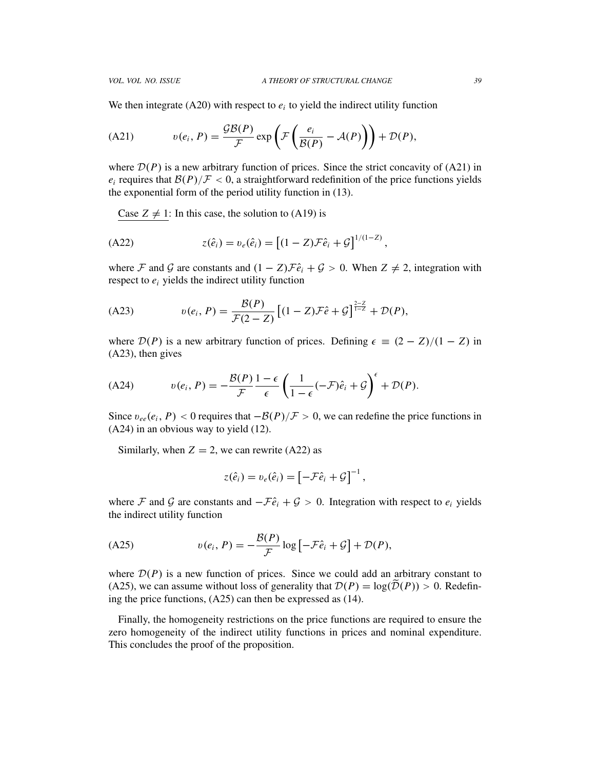We then integrate  $(A20)$  with respect to  $e_i$  to yield the indirect utility function

(A21) 
$$
v(e_i, P) = \frac{\mathcal{G}\mathcal{B}(P)}{\mathcal{F}} \exp\left(\mathcal{F}\left(\frac{e_i}{\mathcal{B}(P)} - \mathcal{A}(P)\right)\right) + \mathcal{D}(P),
$$

where  $\mathcal{D}(P)$  is a new arbitrary function of prices. Since the strict concavity of (A21) in  $e_i$  requires that  $\mathcal{B}(P)/\mathcal{F} < 0$ , a straightforward redefinition of the price functions yields the exponential form of the period utility function in (13).

Case  $Z \neq 1$ : In this case, the solution to (A19) is

(A22) 
$$
z(\hat{e}_i) = v_e(\hat{e}_i) = [(1-Z)\mathcal{F}\hat{e}_i + \mathcal{G}]^{1/(1-Z)},
$$

where F and G are constants and  $(1 - Z)\mathcal{F}\hat{e}_i + \mathcal{G} > 0$ . When  $Z \neq 2$ , integration with respect to  $e_i$  yields the indirect utility function

(A23) 
$$
v(e_i, P) = \frac{\mathcal{B}(P)}{\mathcal{F}(2 - Z)} \left[ (1 - Z)\mathcal{F}\hat{e} + \mathcal{G} \right]^{\frac{2 - Z}{1 - Z}} + \mathcal{D}(P),
$$

where  $\mathcal{D}(P)$  is a new arbitrary function of prices. Defining  $\epsilon \equiv (2 - Z)/(1 - Z)$  in (A23), then gives

(A24) 
$$
v(e_i, P) = -\frac{\mathcal{B}(P)}{\mathcal{F}} \frac{1-\epsilon}{\epsilon} \left( \frac{1}{1-\epsilon} (-\mathcal{F})\hat{e}_i + \mathcal{G} \right)^{\epsilon} + \mathcal{D}(P).
$$

Since  $v_{ee}(e_i, P) < 0$  requires that  $-\mathcal{B}(P)/\mathcal{F} > 0$ , we can redefine the price functions in (A24) in an obvious way to yield (12).

Similarly, when  $Z = 2$ , we can rewrite (A22) as

$$
z(\hat{e}_i) = v_e(\hat{e}_i) = \left[ -\mathcal{F}\hat{e}_i + \mathcal{G} \right]^{-1},
$$

where F and G are constants and  $-F\hat{e}_i + G > 0$ . Integration with respect to  $e_i$  yields the indirect utility function

$$
(A25) \t v(e_i, P) = -\frac{\mathcal{B}(P)}{\mathcal{F}} \log \left[ -\mathcal{F}\hat{e}_i + \mathcal{G} \right] + \mathcal{D}(P),
$$

where  $D(P)$  is a new function of prices. Since we could add an arbitrary constant to (A25), we can assume without loss of generality that  $\mathcal{D}(P) = \log(\mathcal{D}(P)) > 0$ . Redefining the price functions, (A25) can then be expressed as (14).

Finally, the homogeneity restrictions on the price functions are required to ensure the zero homogeneity of the indirect utility functions in prices and nominal expenditure. This concludes the proof of the proposition.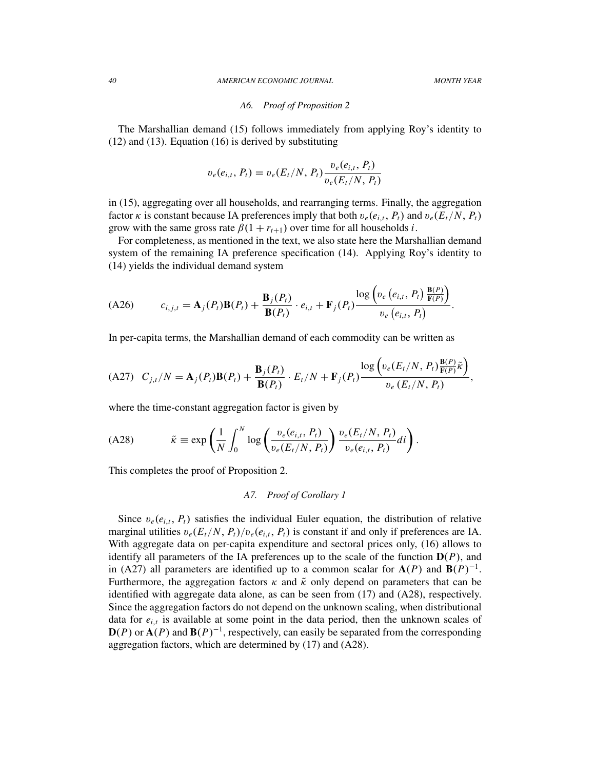#### *A6. Proof of Proposition 2*

The Marshallian demand (15) follows immediately from applying Roy's identity to (12) and (13). Equation (16) is derived by substituting

$$
v_e(e_{i,t}, P_t) = v_e(E_t/N, P_t) \frac{v_e(e_{i,t}, P_t)}{v_e(E_t/N, P_t)}
$$

in (15), aggregating over all households, and rearranging terms. Finally, the aggregation factor  $\kappa$  is constant because IA preferences imply that both  $v_e(e_{i,t}, P_t)$  and  $v_e(E_t/N, P_t)$ grow with the same gross rate  $\beta(1 + r_{t+1})$  over time for all households *i*.

For completeness, as mentioned in the text, we also state here the Marshallian demand system of the remaining IA preference specification (14). Applying Roy's identity to (14) yields the individual demand system

$$
(A26) \t c_{i,j,t} = \mathbf{A}_j(P_t)\mathbf{B}(P_t) + \frac{\mathbf{B}_j(P_t)}{\mathbf{B}(P_t)} \cdot e_{i,t} + \mathbf{F}_j(P_t) \frac{\log\left(v_e\left(e_{i,t}, P_t\right) \frac{\mathbf{B}(P)}{\mathbf{F}(P)}\right)}{v_e\left(e_{i,t}, P_t\right)}.
$$

In per-capita terms, the Marshallian demand of each commodity can be written as

$$
(A27) \quad C_{j,t}/N = \mathbf{A}_j(P_t)\mathbf{B}(P_t) + \frac{\mathbf{B}_j(P_t)}{\mathbf{B}(P_t)} \cdot E_t/N + \mathbf{F}_j(P_t) \frac{\log\left(v_e(E_t/N, P_t)\frac{\mathbf{B}(P)}{\mathbf{F}(P)}\tilde{\kappa}\right)}{v_e(E_t/N, P_t)},
$$

where the time-constant aggregation factor is given by

(A28) 
$$
\tilde{\kappa} \equiv \exp\left(\frac{1}{N} \int_0^N \log\left(\frac{v_e(e_{i,t}, P_t)}{v_e(E_t/N, P_t)}\right) \frac{v_e(E_t/N, P_t)}{v_e(e_{i,t}, P_t)} dt\right).
$$

This completes the proof of Proposition 2.

## *A7. Proof of Corollary 1*

Since  $v_e(e_{i,t}, P_t)$  satisfies the individual Euler equation, the distribution of relative marginal utilities  $v_e(E_t/N, P_t)/v_e(e_{i,t}, P_t)$  is constant if and only if preferences are IA. With aggregate data on per-capita expenditure and sectoral prices only, (16) allows to identify all parameters of the IA preferences up to the scale of the function  $D(P)$ , and in (A27) all parameters are identified up to a common scalar for  $A(P)$  and  $B(P)^{-1}$ . Furthermore, the aggregation factors  $\kappa$  and  $\tilde{\kappa}$  only depend on parameters that can be identified with aggregate data alone, as can be seen from (17) and (A28), respectively. Since the aggregation factors do not depend on the unknown scaling, when distributional data for  $e_{i,t}$  is available at some point in the data period, then the unknown scales of  $D(P)$  or  $A(P)$  and  $B(P)^{-1}$ , respectively, can easily be separated from the corresponding aggregation factors, which are determined by (17) and (A28).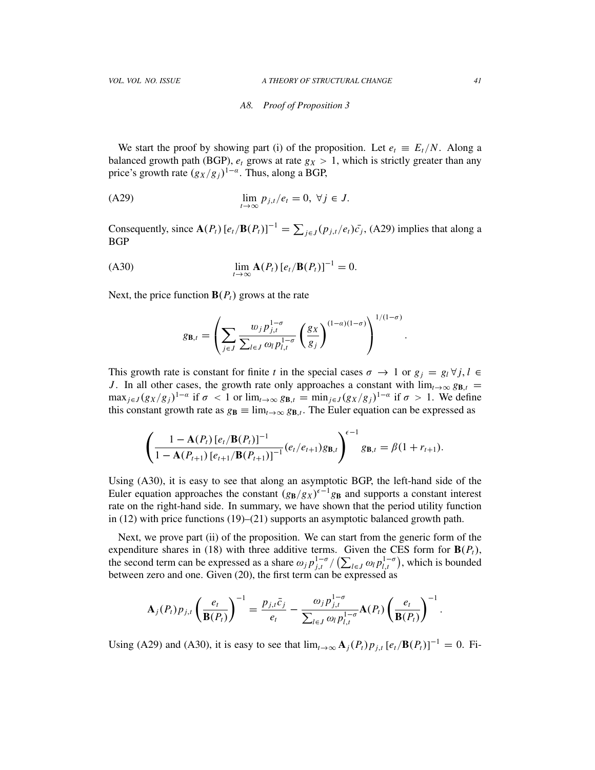#### *A8. Proof of Proposition 3*

We start the proof by showing part (i) of the proposition. Let  $e_t \equiv E_t/N$ . Along a balanced growth path (BGP),  $e_t$  grows at rate  $g_X > 1$ , which is strictly greater than any price's growth rate  $(g_X/g_j)^{1-\alpha}$ . Thus, along a BGP,

$$
\lim_{t \to \infty} p_{j,t}/e_t = 0, \ \forall j \in J.
$$

Consequently, since  $\mathbf{A}(P_t)[e_t/\mathbf{B}(P_t)]^{-1} = \sum_{j \in J} (p_{j,t}/e_t)\bar{c_j}$ , (A29) implies that along a BGP

(A30)

\n
$$
\lim_{t \to \infty} \mathbf{A}(P_t) \left[ e_t / \mathbf{B}(P_t) \right]^{-1} = 0.
$$

Next, the price function  $B(P_t)$  grows at the rate

$$
g_{\mathbf{B},t} = \left(\sum_{j\in J} \frac{w_j p_{j,t}^{1-\sigma}}{\sum_{l\in J} \omega_l p_{l,t}^{1-\sigma}} \left(\frac{g_X}{g_j}\right)^{(1-\alpha)(1-\sigma)}\right)^{1/(1-\sigma)}.
$$

This growth rate is constant for finite *t* in the special cases  $\sigma \to 1$  or  $g_j = g_l \forall j, l \in$ *J*. In all other cases, the growth rate only approaches a constant with  $\lim_{t\to\infty} g_{B,t}$  =  $\max_{j\in J}(g_X/g_j)^{1-\alpha}$  if  $\sigma < 1$  or  $\lim_{t\to\infty} g_{B,t} = \min_{j\in J}(g_X/g_j)^{1-\alpha}$  if  $\sigma > 1$ . We define this constant growth rate as  $g_B \equiv \lim_{t\to\infty} g_{B,t}$ . The Euler equation can be expressed as

$$
\left(\frac{1-\mathbf{A}(P_t)\left[e_t/\mathbf{B}(P_t)\right]^{-1}}{1-\mathbf{A}(P_{t+1})\left[e_{t+1}/\mathbf{B}(P_{t+1})\right]^{-1}}(e_t/e_{t+1})g_{\mathbf{B},t}\right)^{\epsilon-1}g_{\mathbf{B},t} = \beta(1+r_{t+1}).
$$

Using (A30), it is easy to see that along an asymptotic BGP, the left-hand side of the Euler equation approaches the constant  $(g_B/g_X)^{\epsilon-1}g_B$  and supports a constant interest rate on the right-hand side. In summary, we have shown that the period utility function in (12) with price functions (19)–(21) supports an asymptotic balanced growth path.

Next, we prove part (ii) of the proposition. We can start from the generic form of the expenditure shares in (18) with three additive terms. Given the CES form for  $B(P_t)$ , the second term can be expressed as a share  $\omega_j p_{j,t}^{1-\sigma}/(\sum_{l\in J}\omega_l p_{l,t}^{1-\sigma})$ , which is bounded between zero and one. Given (20), the first term can be expressed as

$$
\mathbf{A}_{j}(P_{t})p_{j,t}\left(\frac{e_{t}}{\mathbf{B}(P_{t})}\right)^{-1}=\frac{p_{j,t}\bar{c}_{j}}{e_{t}}-\frac{\omega_{j}p_{j,t}^{1-\sigma}}{\sum_{l\in J}\omega_{l}p_{l,t}^{1-\sigma}}\mathbf{A}(P_{t})\left(\frac{e_{t}}{\mathbf{B}(P_{t})}\right)^{-1}.
$$

Using (A29) and (A30), it is easy to see that  $\lim_{t\to\infty} A_j(P_t)p_{j,t} [e_t/B(P_t)]^{-1} = 0$ . Fi-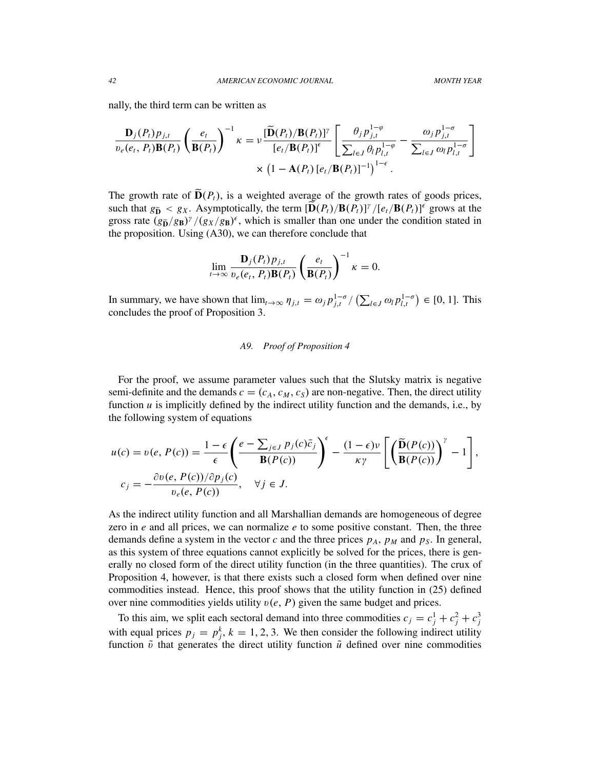nally, the third term can be written as

$$
\frac{\mathbf{D}_{j}(P_{t})p_{j,t}}{v_{e}(e_{t}, P_{t})\mathbf{B}(P_{t})}\left(\frac{e_{t}}{\mathbf{B}(P_{t})}\right)^{-1}\kappa = \nu \frac{[\widetilde{\mathbf{D}}(P_{t})/\mathbf{B}(P_{t})]^{ \gamma}}{[e_{t}/\mathbf{B}(P_{t})]^{ \epsilon}}\left[\frac{\theta_{j}p_{j,t}^{1-\varphi}}{\sum_{l\in J}\theta_{l}p_{l,t}^{1-\varphi}} - \frac{\omega_{j}p_{j,t}^{1-\sigma}}{\sum_{l\in J}\omega_{l}p_{l,t}^{1-\sigma}}\right] \times (1-\mathbf{A}(P_{t})\left[e_{t}/\mathbf{B}(P_{t})\right]^{-1})^{1-\epsilon}.
$$

The growth rate of  $\widetilde{\mathbf{D}}(P_t)$ , is a weighted average of the growth rates of goods prices, such that  $g_{\tilde{D}} < g_X$ . Asymptotically, the term  $[\tilde{D}(P_t)/B(P_t)]^{\gamma}/[e_t/B(P_t)]^{\epsilon}$  grows at the gross rate  $(g_{\tilde{B}}/g_{B})^{\gamma}/(g_{X}/g_{B})^{\epsilon}$ , which is smaller than one under the condition stated in the proposition. Using (A30), we can therefore conclude that

$$
\lim_{t\to\infty}\frac{\mathbf{D}_j(P_t)p_{j,t}}{v_e(e_t, P_t)\mathbf{B}(P_t)}\left(\frac{e_t}{\mathbf{B}(P_t)}\right)^{-1}\kappa=0.
$$

In summary, we have shown that  $\lim_{t\to\infty} \eta_{j,t} = \omega_j p_{j,t}^{1-\sigma}/(\sum_{l\in J} \omega_l p_{l,t}^{1-\sigma}) \in [0, 1]$ . This concludes the proof of Proposition 3.

#### *A9. Proof of Proposition 4*

For the proof, we assume parameter values such that the Slutsky matrix is negative semi-definite and the demands  $c = (c_A, c_M, c_S)$  are non-negative. Then, the direct utility function  $u$  is implicitly defined by the indirect utility function and the demands, i.e., by the following system of equations

$$
u(c) = v(e, P(c)) = \frac{1 - \epsilon}{\epsilon} \left( \frac{e - \sum_{j \in J} p_j(c)\bar{c}_j}{\mathbf{B}(P(c))} \right)^{\epsilon} - \frac{(1 - \epsilon)\nu}{\kappa \gamma} \left[ \left( \frac{\widetilde{\mathbf{D}}(P(c))}{\mathbf{B}(P(c))} \right)^{\gamma} - 1 \right],
$$
  

$$
c_j = -\frac{\partial v(e, P(c))/\partial p_j(c)}{v_e(e, P(c))}, \quad \forall j \in J.
$$

As the indirect utility function and all Marshallian demands are homogeneous of degree zero in *e* and all prices, we can normalize *e* to some positive constant. Then, the three demands define a system in the vector  $c$  and the three prices  $p_A$ ,  $p_M$  and  $p_S$ . In general, as this system of three equations cannot explicitly be solved for the prices, there is generally no closed form of the direct utility function (in the three quantities). The crux of Proposition 4, however, is that there exists such a closed form when defined over nine commodities instead. Hence, this proof shows that the utility function in (25) defined over nine commodities yields utility  $v(e, P)$  given the same budget and prices.

To this aim, we split each sectoral demand into three commodities  $c_j = c_j^1 + c_j^2 + c_j^3$ with equal prices  $p_j = p_j^k$ ,  $k = 1, 2, 3$ . We then consider the following indirect utility function  $\tilde{v}$  that generates the direct utility function  $\tilde{u}$  defined over nine commodities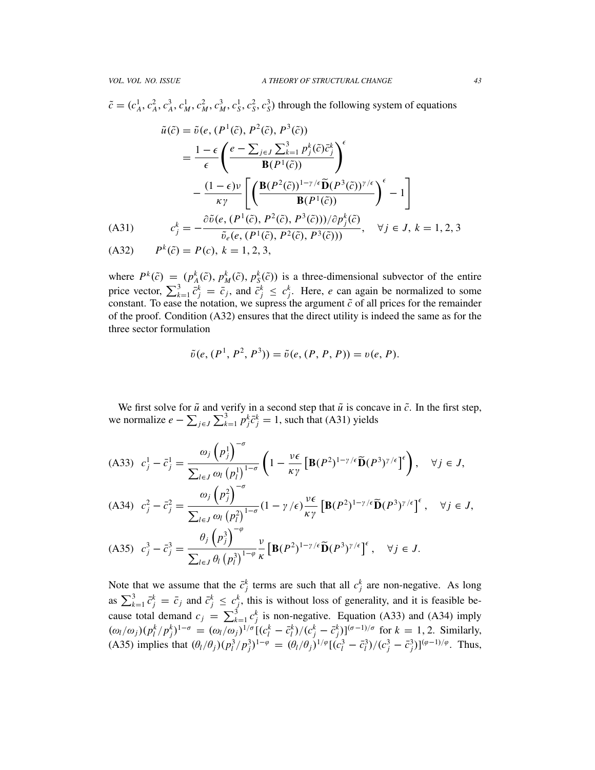$\tilde{c} = (c_A^1, c_A^2, c_A^3, c_M^1, c_M^2, c_M^3, c_S^1, c_S^2, c_S^3)$  through the following system of equations

$$
\tilde{u}(\tilde{c}) = \tilde{v}(e, (P^1(\tilde{c}), P^2(\tilde{c}), P^3(\tilde{c}))
$$
\n
$$
= \frac{1 - \epsilon}{\epsilon} \left( \frac{e - \sum_{j \in J} \sum_{k=1}^3 p_j^k(\tilde{c}) \tilde{c}_j^k}{\mathbf{B}(P^1(\tilde{c}))} \right)^{\epsilon}
$$
\n
$$
- \frac{(1 - \epsilon)\nu}{\kappa \gamma} \left[ \left( \frac{\mathbf{B}(P^2(\tilde{c}))^{1 - \gamma/\epsilon} \tilde{\mathbf{D}}(P^3(\tilde{c}))^{\gamma/\epsilon}}{\mathbf{B}(P^1(\tilde{c}))} \right)^{\epsilon} - 1 \right]
$$
\n(A31) 
$$
c_j^k = -\frac{\partial \tilde{v}(e, (P^1(\tilde{c}), P^2(\tilde{c}), P^3(\tilde{c}))) / \partial p_j^k(\tilde{c})}{\tilde{v}_e(e, (P^1(\tilde{c}), P^2(\tilde{c}), P^3(\tilde{c})))}, \quad \forall j \in J, k = 1, 2, 3
$$
\n(A32)

 $P^k(\tilde{c}) = P(c), k = 1, 2, 3,$ 

where  $P^k(\tilde{c}) = (p^k_A(\tilde{c}), p^k_M(\tilde{c}), p^k_S(\tilde{c}))$  is a three-dimensional subvector of the entire price vector,  $\sum_{k=1}^{3} \bar{c}_j^k = \bar{c}_j$ , and  $\bar{c}_j^k \le c_j^k$ . Here, *e* can again be normalized to some constant. To ease the notation, we supress the argument  $\tilde{c}$  of all prices for the remainder of the proof. Condition (A32) ensures that the direct utility is indeed the same as for the three sector formulation

$$
\tilde{v}(e, (P^1, P^2, P^3)) = \tilde{v}(e, (P, P, P)) = v(e, P).
$$

We first solve for  $\tilde{u}$  and verify in a second step that  $\tilde{u}$  is concave in  $\tilde{c}$ . In the first step, we normalize  $e - \sum_{j \in J} \sum_{k=1}^{3} p_j^k \bar{c}_j^k = 1$ , such that (A31) yields

$$
\begin{aligned}\n\text{(A33)} \quad c_j^1 - \bar{c}_j^1 &= \frac{\omega_j \left(p_j^1\right)^{-\sigma}}{\sum_{l \in J} \omega_l \left(p_l^1\right)^{1-\sigma}} \left(1 - \frac{\nu \epsilon}{\kappa \gamma} \left[\mathbf{B}(P^2)^{1-\gamma/\epsilon} \widetilde{\mathbf{D}}(P^3)^{\gamma/\epsilon}\right]^{\epsilon}\right), \quad \forall j \in J, \\
\text{(A34)} \quad c_j^2 - \bar{c}_j^2 &= \frac{\omega_j \left(p_j^2\right)^{-\sigma}}{\sum_{l \in J} \omega_l \left(p_l^2\right)^{1-\sigma}} (1 - \gamma/\epsilon) \frac{\nu \epsilon}{\kappa \gamma} \left[\mathbf{B}(P^2)^{1-\gamma/\epsilon} \widetilde{\mathbf{D}}(P^3)^{\gamma/\epsilon}\right]^{\epsilon}, \quad \forall j \in J, \\
\text{(A35)} \quad c_j^3 - \bar{c}_j^3 &= \frac{\theta_j \left(p_j^3\right)^{-\varphi}}{\sum_{l \in J} \theta_l \left(p_l^3\right)^{1-\varphi}} \frac{\nu}{\kappa} \left[\mathbf{B}(P^2)^{1-\gamma/\epsilon} \widetilde{\mathbf{D}}(P^3)^{\gamma/\epsilon}\right]^{\epsilon}, \quad \forall j \in J. \\
\end{aligned}
$$

Note that we assume that the  $\bar{c}^k_j$  terms are such that all  $c^k_j$  are non-negative. As long as  $\sum_{k=1}^{3} \bar{c}_j^k = \bar{c}_j$  and  $\bar{c}_j^k \leq c_j^k$ , this is without loss of generality, and it is feasible because total demand  $c_j = \sum_{k=1}^3 c_j^k$  is non-negative. Equation (A33) and (A34) imply  $(\omega_l/\omega_j)(p_l^k/p_j^k)^{1-\sigma} = (\omega_l/\omega_j)^{1/\sigma}[(c_l^k - \bar{c}_l^k)/(c_j^k - \bar{c}_j^k)]^{(\sigma-1)/\sigma}$  for  $k = 1, 2$ . Similarly, (A35) implies that  $(\theta_l/\theta_j)(p_l^3/p_j^3)^{1-\varphi} = (\theta_l/\theta_j)^{1/\varphi}[(c_l^3 - \bar{c}_l^3)/(c_j^3 - \bar{c}_j^3)]^{(\varphi-1)/\varphi}$ . Thus,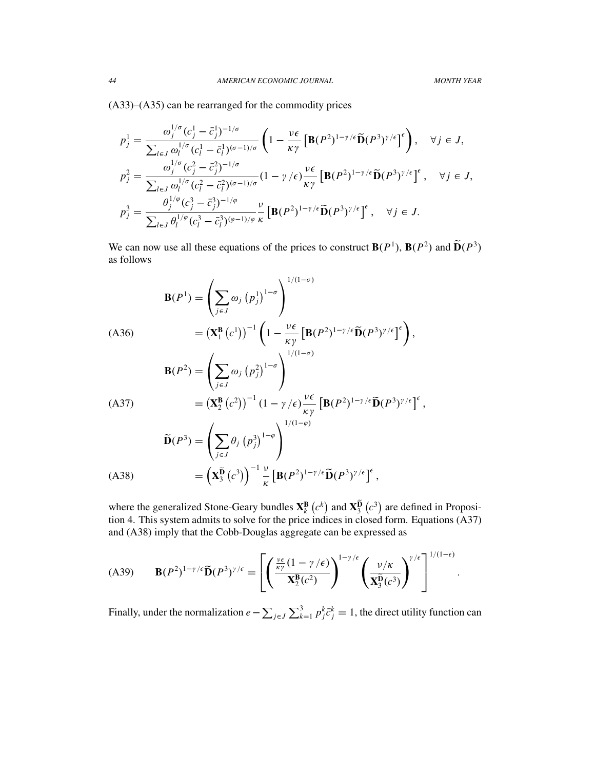(A33)–(A35) can be rearranged for the commodity prices

$$
p_j^1 = \frac{\omega_j^{1/\sigma} (c_j^1 - \bar{c}_j^1)^{-1/\sigma}}{\sum_{l \in J} \omega_l^{1/\sigma} (c_l^1 - \bar{c}_l^1)^{(\sigma - 1)/\sigma}} \left(1 - \frac{\nu \epsilon}{\kappa \gamma} \left[ \mathbf{B}(P^2)^{1 - \gamma/\epsilon} \widetilde{\mathbf{D}}(P^3)^{\gamma/\epsilon} \right]^{\epsilon} \right), \quad \forall j \in J,
$$
  

$$
p_j^2 = \frac{\omega_j^{1/\sigma} (c_j^2 - \bar{c}_j^2)^{-1/\sigma}}{\sum_{l \in J} \omega_l^{1/\sigma} (c_l^2 - \bar{c}_l^2)^{(\sigma - 1)/\sigma}} (1 - \gamma/\epsilon) \frac{\nu \epsilon}{\kappa \gamma} \left[ \mathbf{B}(P^2)^{1 - \gamma/\epsilon} \widetilde{\mathbf{D}}(P^3)^{\gamma/\epsilon} \right]^{\epsilon}, \quad \forall j \in J,
$$
  

$$
p_j^3 = \frac{\theta_j^{1/\varphi} (c_j^3 - \bar{c}_j^3)^{-1/\varphi}}{\sum_{l \in J} \theta_l^{1/\varphi} (c_l^3 - \bar{c}_l^3)^{(\varphi - 1)/\varphi}} \frac{\nu}{\kappa} \left[ \mathbf{B}(P^2)^{1 - \gamma/\epsilon} \widetilde{\mathbf{D}}(P^3)^{\gamma/\epsilon} \right]^{\epsilon}, \quad \forall j \in J.
$$

We can now use all these equations of the prices to construct  $\mathbf{B}(P^1)$ ,  $\mathbf{B}(P^2)$  and  $\mathbf{D}(P^3)$ as follows

$$
\mathbf{B}(P^{1}) = \left(\sum_{j\in J} \omega_{j} (p_{j}^{1})^{1-\sigma}\right)^{1/(1-\sigma)}
$$
\n(A36)\n
$$
= (\mathbf{X}_{1}^{\mathbf{B}} (c^{1}))^{-1} \left(1 - \frac{\nu \epsilon}{\kappa \gamma} \left[\mathbf{B}(P^{2})^{1-\gamma/\epsilon} \widetilde{\mathbf{D}}(P^{3})^{\gamma/\epsilon}\right]^{\epsilon}\right),
$$
\n
$$
\mathbf{B}(P^{2}) = \left(\sum_{j\in J} \omega_{j} (p_{j}^{2})^{1-\sigma}\right)^{1/(1-\sigma)}
$$
\n(A37)\n
$$
= (\mathbf{X}_{2}^{\mathbf{B}} (c^{2}))^{-1} (1 - \gamma/\epsilon) \frac{\nu \epsilon}{\kappa \gamma} \left[\mathbf{B}(P^{2})^{1-\gamma/\epsilon} \widetilde{\mathbf{D}}(P^{3})^{\gamma/\epsilon}\right]^{\epsilon},
$$
\n
$$
\widetilde{\mathbf{D}}(P^{3}) = \left(\sum_{j\in J} \theta_{j} (p_{j}^{3})^{1-\varphi}\right)^{1/(1-\varphi)}
$$
\n(A38)\n
$$
= (\mathbf{X}_{3}^{\widetilde{\mathbf{D}}} (c^{3}))^{-1} \frac{\nu}{\kappa} \left[\mathbf{B}(P^{2})^{1-\gamma/\epsilon} \widetilde{\mathbf{D}}(P^{3})^{\gamma/\epsilon}\right]^{\epsilon},
$$

where the generalized Stone-Geary bundles  $X_k^B(c^k)$  and  $X_3^D(c^3)$  are defined in Proposition 4. This system admits to solve for the price indices in closed form. Equations (A37) and (A38) imply that the Cobb-Douglas aggregate can be expressed as

$$
(A39) \qquad \mathbf{B}(P^2)^{1-\gamma/\epsilon}\widetilde{\mathbf{D}}(P^3)^{\gamma/\epsilon} = \left[ \left( \frac{\frac{\nu\epsilon}{\kappa\gamma}(1-\gamma/\epsilon)}{\mathbf{X}_2^{\mathbf{B}}(c^2)} \right)^{1-\gamma/\epsilon} \left( \frac{\nu/\kappa}{\mathbf{X}_3^{\widetilde{\mathbf{D}}}(c^3)} \right)^{\gamma/\epsilon} \right]^{1/(1-\epsilon)}.
$$

Finally, under the normalization  $e - \sum_{j \in J} \sum_{k=1}^{3} p_j^k \bar{c}_j^k = 1$ , the direct utility function can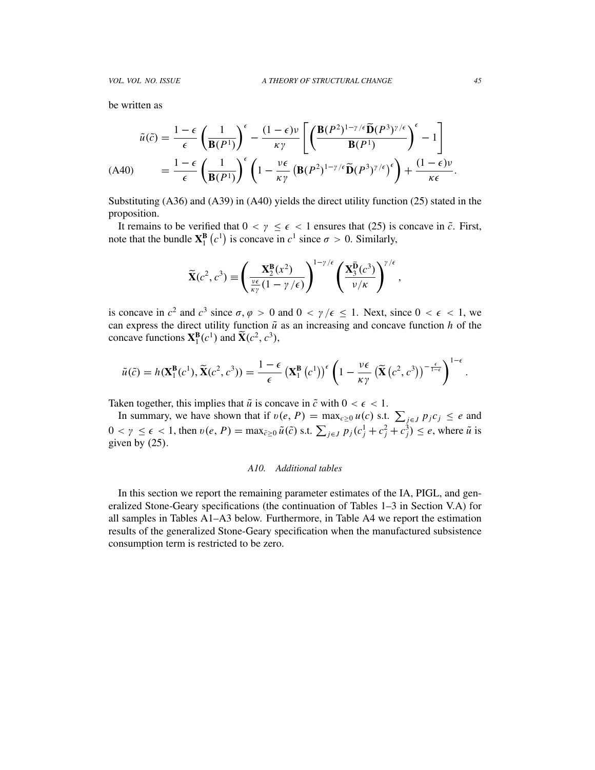be written as

$$
\tilde{u}(\tilde{c}) = \frac{1-\epsilon}{\epsilon} \left(\frac{1}{\mathbf{B}(P^1)}\right)^{\epsilon} - \frac{(1-\epsilon)\nu}{\kappa \gamma} \left[ \left(\frac{\mathbf{B}(P^2)^{1-\gamma/\epsilon} \tilde{\mathbf{D}}(P^3)^{\gamma/\epsilon}}{\mathbf{B}(P^1)}\right)^{\epsilon} - 1 \right]
$$
\n(A40) 
$$
= \frac{1-\epsilon}{\epsilon} \left(\frac{1}{\mathbf{B}(P^1)}\right)^{\epsilon} \left(1 - \frac{\nu\epsilon}{\kappa \gamma} \left(\mathbf{B}(P^2)^{1-\gamma/\epsilon} \tilde{\mathbf{D}}(P^3)^{\gamma/\epsilon}\right)^{\epsilon}\right) + \frac{(1-\epsilon)\nu}{\kappa\epsilon}.
$$

Substituting (A36) and (A39) in (A40) yields the direct utility function (25) stated in the proposition.

It remains to be verified that  $0 < y \le \epsilon < 1$  ensures that (25) is concave in  $\tilde{c}$ . First, note that the bundle  $X_1^B(c^1)$  is concave in  $c^1$  since  $\sigma > 0$ . Similarly,

$$
\widetilde{\mathbf{X}}(c^2, c^3) \equiv \left(\frac{\mathbf{X}_2^{\mathbf{B}}(x^2)}{\frac{\nu\epsilon}{\kappa\gamma}(1-\gamma/\epsilon)}\right)^{1-\gamma/\epsilon} \left(\frac{\mathbf{X}_3^{\widetilde{\mathbf{B}}}(c^3)}{\nu/\kappa}\right)^{\gamma/\epsilon},
$$

is concave in  $c^2$  and  $c^3$  since  $\sigma$ ,  $\varphi > 0$  and  $0 < \gamma / \epsilon \le 1$ . Next, since  $0 < \epsilon < 1$ , we can express the direct utility function  $\tilde{u}$  as an increasing and concave function  $h$  of the concave functions  $X_1^B(c^1)$  and  $\widetilde{X}(c^2, c^3)$ ,

$$
\tilde{u}(\tilde{c}) = h(\mathbf{X}_1^{\mathbf{B}}(c^1), \tilde{\mathbf{X}}(c^2, c^3)) = \frac{1-\epsilon}{\epsilon} \left(\mathbf{X}_1^{\mathbf{B}}(c^1)\right)^{\epsilon} \left(1 - \frac{\nu\epsilon}{\kappa\gamma} \left(\tilde{\mathbf{X}}(c^2, c^3)\right)^{-\frac{\epsilon}{1-\epsilon}}\right)^{1-\epsilon}.
$$

Taken together, this implies that  $\tilde{u}$  is concave in  $\tilde{c}$  with  $0 < \epsilon < 1$ .

In summary, we have shown that if  $v(e, P) = \max_{c \ge 0} u(c)$  s.t.  $\sum_{j \in J} p_j c_j \le e$  and  $0 < \gamma \leq \epsilon < 1$ , then  $v(e, P) = \max_{\tilde{c} \geq 0} \tilde{u}(\tilde{c})$  s.t.  $\sum_{j \in J} p_j(c_j^1 + c_j^2 + c_j^3) \leq e$ , where  $\tilde{u}$  is given by (25).

#### *A10. Additional tables*

In this section we report the remaining parameter estimates of the IA, PIGL, and generalized Stone-Geary specifications (the continuation of Tables 1–3 in Section V.A) for all samples in Tables A1–A3 below. Furthermore, in Table A4 we report the estimation results of the generalized Stone-Geary specification when the manufactured subsistence consumption term is restricted to be zero.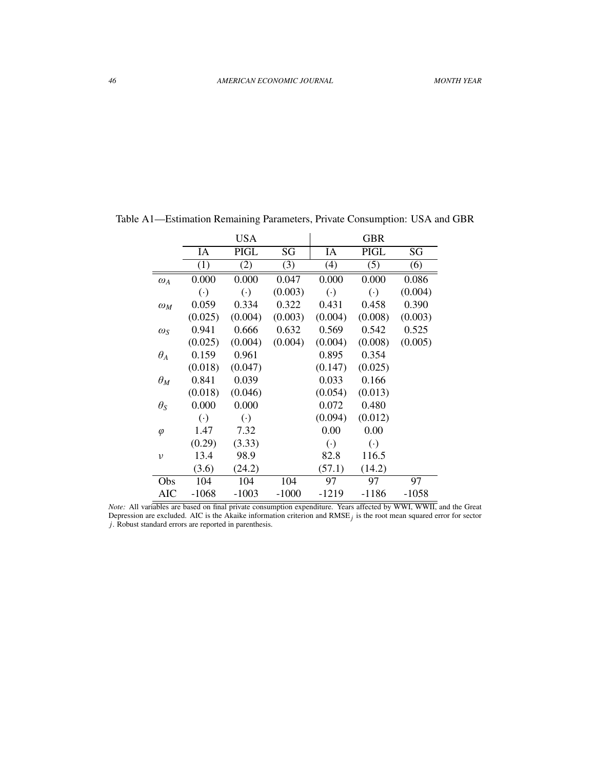|                  |                        | <b>USA</b>             |         |                        | GBR                    |         |
|------------------|------------------------|------------------------|---------|------------------------|------------------------|---------|
|                  | IA                     | <b>PIGL</b>            | SG      | IA                     | <b>PIGL</b>            | SG      |
|                  | (1)                    | (2)                    | (3)     | (4)                    | (5)                    | (6)     |
| $\omega_A$       | 0.000                  | 0.000                  | 0.047   | 0.000                  | 0.000                  | 0.086   |
|                  | $\left( \cdot \right)$ | $\left( \cdot \right)$ | (0.003) | $\left( \cdot \right)$ | $\left( \cdot \right)$ | (0.004) |
| $\omega_M$       | 0.059                  | 0.334                  | 0.322   | 0.431                  | 0.458                  | 0.390   |
|                  | (0.025)                | (0.004)                | (0.003) | (0.004)                | (0.008)                | (0.003) |
| $\omega_{\rm S}$ | 0.941                  | 0.666                  | 0.632   | 0.569                  | 0.542                  | 0.525   |
|                  | (0.025)                | (0.004)                | (0.004) | (0.004)                | (0.008)                | (0.005) |
| $\theta_A$       | 0.159                  | 0.961                  |         | 0.895                  | 0.354                  |         |
|                  | (0.018)                | (0.047)                |         | (0.147)                | (0.025)                |         |
| $\theta_M$       | 0.841                  | 0.039                  |         | 0.033                  | 0.166                  |         |
|                  | (0.018)                | (0.046)                |         | (0.054)                | (0.013)                |         |
| $\theta_{S}$     | 0.000                  | 0.000                  |         | 0.072                  | 0.480                  |         |
|                  | $(\cdot)$              | $\left( \cdot \right)$ |         | (0.094)                | (0.012)                |         |
| $\varphi$        | 1.47                   | 7.32                   |         | 0.00                   | 0.00                   |         |
|                  | (0.29)                 | (3.33)                 |         | $(\cdot)$              | $\left( \cdot \right)$ |         |
| $\upsilon$       | 13.4                   | 98.9                   |         | 82.8                   | 116.5                  |         |
|                  | (3.6)                  | (24.2)                 |         | (57.1)                 | (14.2)                 |         |
| Obs              | 104                    | 104                    | 104     | 97                     | 97                     | 97      |
| AIC              | $-1068$                | $-1003$                | $-1000$ | $-1219$                | $-1186$                | $-1058$ |

Table A1—Estimation Remaining Parameters, Private Consumption: USA and GBR

*Note:* All variables are based on final private consumption expenditure. Years affected by WWI, WWII, and the Great Depression are excluded. AIC is the Akaike information criterion and  $RMSE<sub>j</sub>$  is the root mean squared error for sector *j*. Robust standard errors are reported in parenthesis.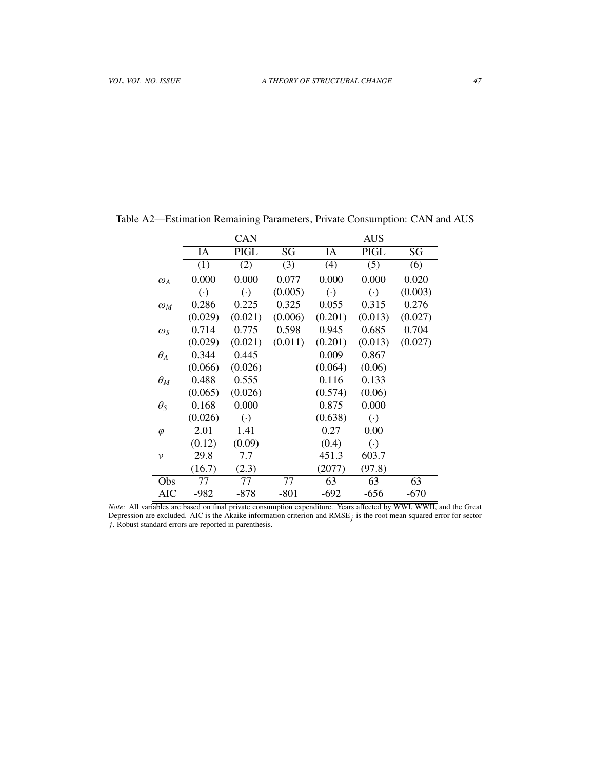|                  |           | <b>CAN</b>             |         |           | <b>AUS</b>             |         |
|------------------|-----------|------------------------|---------|-----------|------------------------|---------|
|                  | IA        | PIGL                   | SG      | IA        | <b>PIGL</b>            | SG      |
|                  | (1)       | (2)                    | (3)     | (4)       | (5)                    | (6)     |
| $\omega_A$       | 0.000     | 0.000                  | 0.077   | 0.000     | 0.000                  | 0.020   |
|                  | $(\cdot)$ | $\left( \cdot \right)$ | (0.005) | $(\cdot)$ | $\left( \cdot \right)$ | (0.003) |
| $\omega_M$       | 0.286     | 0.225                  | 0.325   | 0.055     | 0.315                  | 0.276   |
|                  | (0.029)   | (0.021)                | (0.006) | (0.201)   | (0.013)                | (0.027) |
| $\omega_{\rm S}$ | 0.714     | 0.775                  | 0.598   | 0.945     | 0.685                  | 0.704   |
|                  | (0.029)   | (0.021)                | (0.011) | (0.201)   | (0.013)                | (0.027) |
| $\theta_A$       | 0.344     | 0.445                  |         | 0.009     | 0.867                  |         |
|                  | (0.066)   | (0.026)                |         | (0.064)   | (0.06)                 |         |
| $\theta_M$       | 0.488     | 0.555                  |         | 0.116     | 0.133                  |         |
|                  | (0.065)   | (0.026)                |         | (0.574)   | (0.06)                 |         |
| $\theta_{S}$     | 0.168     | 0.000                  |         | 0.875     | 0.000                  |         |
|                  | (0.026)   | $\left( \cdot \right)$ |         | (0.638)   | $\left( \cdot \right)$ |         |
| $\varphi$        | 2.01      | 1.41                   |         | 0.27      | 0.00                   |         |
|                  | (0.12)    | (0.09)                 |         | (0.4)     | $(\cdot)$              |         |
| ν                | 29.8      | 7.7                    |         | 451.3     | 603.7                  |         |
|                  | (16.7)    | (2.3)                  |         | (2077)    | (97.8)                 |         |
| Obs              | 77        | 77                     | 77      | 63        | 63                     | 63      |
| AIC              | $-982$    | -878                   | -801    | -692      | $-656$                 | $-670$  |

Table A2—Estimation Remaining Parameters, Private Consumption: CAN and AUS

*Note:* All variables are based on final private consumption expenditure. Years affected by WWI, WWII, and the Great Depression are excluded. AIC is the Akaike information criterion and  $RMSE<sub>j</sub>$  is the root mean squared error for sector *j*. Robust standard errors are reported in parenthesis.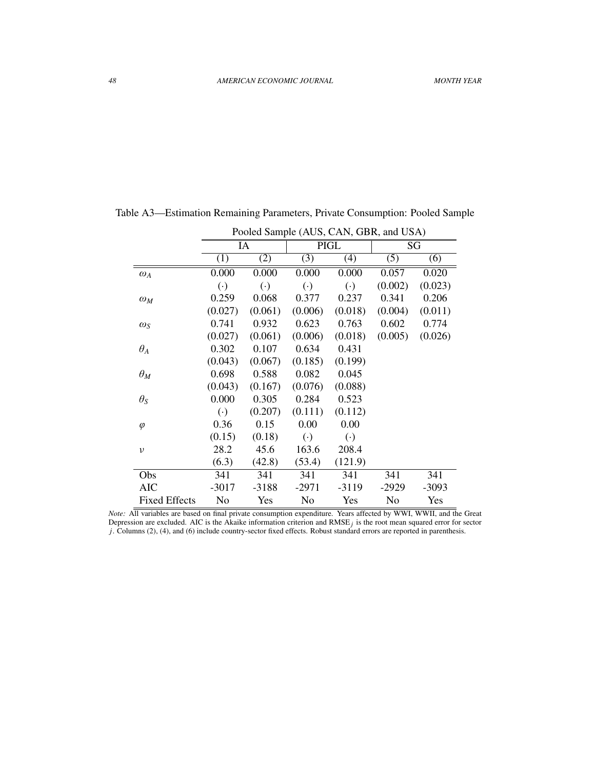|                      |                        |                        |                        | Pooled Sample (AUS, CAN, GBR, and USA) |         |         |
|----------------------|------------------------|------------------------|------------------------|----------------------------------------|---------|---------|
|                      |                        | IA                     |                        | <b>PIGL</b>                            |         | SG      |
|                      | (1)                    | (2)                    | (3)                    | (4)                                    | (5)     | (6)     |
| $\omega_A$           | 0.000                  | 0.000                  | 0.000                  | 0.000                                  | 0.057   | 0.020   |
|                      | $\left( \cdot \right)$ | $\left( \cdot \right)$ | $\left( \cdot \right)$ | $\left( \cdot \right)$                 | (0.002) | (0.023) |
| $\omega_M$           | 0.259                  | 0.068                  | 0.377                  | 0.237                                  | 0.341   | 0.206   |
|                      | (0.027)                | (0.061)                | (0.006)                | (0.018)                                | (0.004) | (0.011) |
| $\omega_S$           | 0.741                  | 0.932                  | 0.623                  | 0.763                                  | 0.602   | 0.774   |
|                      | (0.027)                | (0.061)                | (0.006)                | (0.018)                                | (0.005) | (0.026) |
| $\theta_A$           | 0.302                  | 0.107                  | 0.634                  | 0.431                                  |         |         |
|                      | (0.043)                | (0.067)                | (0.185)                | (0.199)                                |         |         |
| $\theta_M$           | 0.698                  | 0.588                  | 0.082                  | 0.045                                  |         |         |
|                      | (0.043)                | (0.167)                | (0.076)                | (0.088)                                |         |         |
| $\theta_{S}$         | 0.000                  | 0.305                  | 0.284                  | 0.523                                  |         |         |
|                      | $\left( \cdot \right)$ | (0.207)                | (0.111)                | (0.112)                                |         |         |
| $\varphi$            | 0.36                   | 0.15                   | 0.00                   | 0.00                                   |         |         |
|                      | (0.15)                 | (0.18)                 | $\left( \cdot \right)$ | $\left(\cdot\right)$                   |         |         |
| $\nu$                | 28.2                   | 45.6                   | 163.6                  | 208.4                                  |         |         |
|                      | (6.3)                  | (42.8)                 | (53.4)                 | (121.9)                                |         |         |
| Obs                  | 341                    | 341                    | 341                    | 341                                    | 341     | 341     |
| <b>AIC</b>           | $-3017$                | $-3188$                | $-2971$                | $-3119$                                | $-2929$ | $-3093$ |
| <b>Fixed Effects</b> | No                     | Yes                    | No                     | Yes                                    | No      | Yes     |

Table A3—Estimation Remaining Parameters, Private Consumption: Pooled Sample

*Note:* All variables are based on final private consumption expenditure. Years affected by WWI, WWII, and the Great Depression are excluded. AIC is the Akaike information criterion and RMSE*j* is the root mean squared error for sector *j*. Columns (2), (4), and (6) include country-sector fixed effects. Robust standard errors are reported in parenthesis.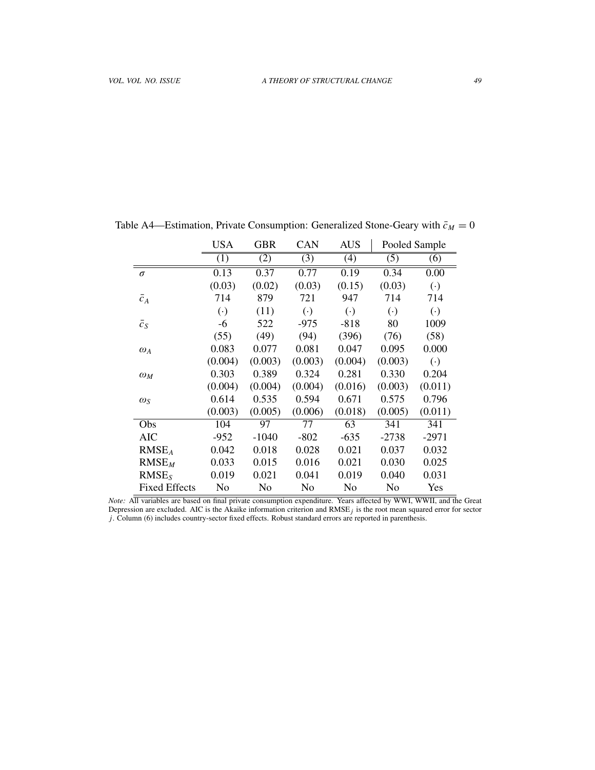|                      | <b>USA</b>             | GBR     | <b>CAN</b>             | <b>AUS</b> |                        | Pooled Sample          |
|----------------------|------------------------|---------|------------------------|------------|------------------------|------------------------|
|                      | (1)                    | (2)     | (3)                    | (4)        | (5)                    | (6)                    |
| $\sigma$             | 0.13                   | 0.37    | 0.77                   | 0.19       | 0.34                   | 0.00                   |
|                      | (0.03)                 | (0.02)  | (0.03)                 | (0.15)     | (0.03)                 | $(\cdot)$              |
| $\bar{c}_A$          | 714                    | 879     | 721                    | 947        | 714                    | 714                    |
|                      | $\left( \cdot \right)$ | (11)    | $\left( \cdot \right)$ | $(\cdot)$  | $\left( \cdot \right)$ | $\left( \cdot \right)$ |
| $\bar{c}_S$          | -6                     | 522     | $-975$                 | $-818$     | 80                     | 1009                   |
|                      | (55)                   | (49)    | (94)                   | (396)      | (76)                   | (58)                   |
| $\omega_A$           | 0.083                  | 0.077   | 0.081                  | 0.047      | 0.095                  | 0.000                  |
|                      | (0.004)                | (0.003) | (0.003)                | (0.004)    | (0.003)                | $\left( \cdot \right)$ |
| $\omega_M$           | 0.303                  | 0.389   | 0.324                  | 0.281      | 0.330                  | 0.204                  |
|                      | (0.004)                | (0.004) | (0.004)                | (0.016)    | (0.003)                | (0.011)                |
| $\omega_{S}$         | 0.614                  | 0.535   | 0.594                  | 0.671      | 0.575                  | 0.796                  |
|                      | (0.003)                | (0.005) | (0.006)                | (0.018)    | (0.005)                | (0.011)                |
| Obs                  | 104                    | 97      | 77                     | 63         | 341                    | 341                    |
| AIC                  | $-952$                 | $-1040$ | $-802$                 | $-635$     | $-2738$                | $-2971$                |
| RMSE <sub>A</sub>    | 0.042                  | 0.018   | 0.028                  | 0.021      | 0.037                  | 0.032                  |
| $RMSE_M$             | 0.033                  | 0.015   | 0.016                  | 0.021      | 0.030                  | 0.025                  |
| RMSE <sub>S</sub>    | 0.019                  | 0.021   | 0.041                  | 0.019      | 0.040                  | 0.031                  |
| <b>Fixed Effects</b> | No                     | No      | No                     | No         | No                     | Yes                    |

Table A4—Estimation, Private Consumption: Generalized Stone-Geary with  $\bar{c}_M = 0$ 

*Note:* All variables are based on final private consumption expenditure. Years affected by WWI, WWII, and the Great Depression are excluded. AIC is the Akaike information criterion and  $RMSE<sub>j</sub>$  is the root mean squared error for sector *j*. Column (6) includes country-sector fixed effects. Robust standard errors are reported in parenthesis.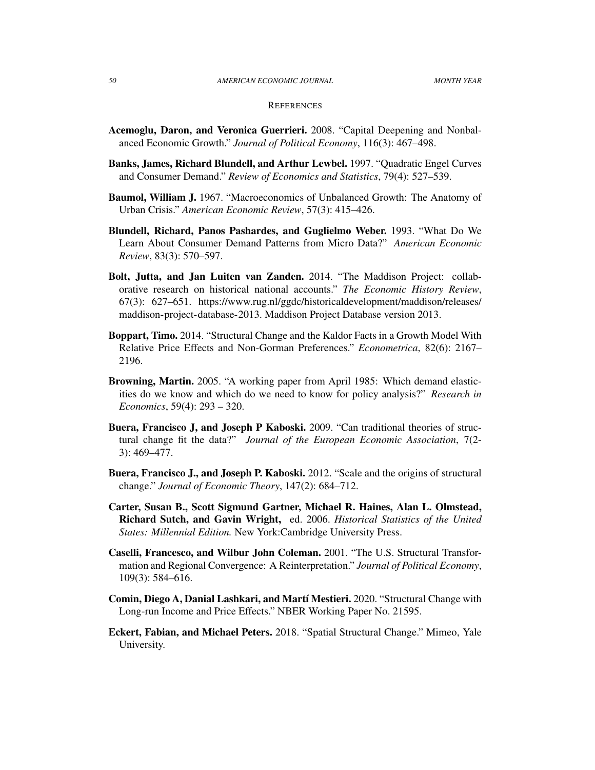#### *50 AMERICAN ECONOMIC JOURNAL MONTH YEAR*

#### **REFERENCES**

- Acemoglu, Daron, and Veronica Guerrieri. 2008. "Capital Deepening and Nonbalanced Economic Growth." *Journal of Political Economy*, 116(3): 467–498.
- Banks, James, Richard Blundell, and Arthur Lewbel. 1997. "Quadratic Engel Curves and Consumer Demand." *Review of Economics and Statistics*, 79(4): 527–539.
- Baumol, William J. 1967. "Macroeconomics of Unbalanced Growth: The Anatomy of Urban Crisis." *American Economic Review*, 57(3): 415–426.
- Blundell, Richard, Panos Pashardes, and Guglielmo Weber. 1993. "What Do We Learn About Consumer Demand Patterns from Micro Data?" *American Economic Review*, 83(3): 570–597.
- Bolt, Jutta, and Jan Luiten van Zanden. 2014. "The Maddison Project: collaborative research on historical national accounts." *The Economic History Review*, 67(3): 627–651. [https://www.rug.nl/ggdc/historicaldevelopment/maddison/releases/](https://www.rug.nl/ggdc/historicaldevelopment/maddison/releases/maddison-project-database-2013) [maddison-project-database-2013.](https://www.rug.nl/ggdc/historicaldevelopment/maddison/releases/maddison-project-database-2013) Maddison Project Database version 2013.
- Boppart, Timo. 2014. "Structural Change and the Kaldor Facts in a Growth Model With Relative Price Effects and Non-Gorman Preferences." *Econometrica*, 82(6): 2167– 2196.
- Browning, Martin. 2005. "A working paper from April 1985: Which demand elasticities do we know and which do we need to know for policy analysis?" *Research in Economics*, 59(4): 293 – 320.
- Buera, Francisco J, and Joseph P Kaboski. 2009. "Can traditional theories of structural change fit the data?" *Journal of the European Economic Association*, 7(2- 3): 469–477.
- Buera, Francisco J., and Joseph P. Kaboski. 2012. "Scale and the origins of structural change." *Journal of Economic Theory*, 147(2): 684–712.
- Carter, Susan B., Scott Sigmund Gartner, Michael R. Haines, Alan L. Olmstead, Richard Sutch, and Gavin Wright, ed. 2006. *Historical Statistics of the United States: Millennial Edition.* New York:Cambridge University Press.
- Caselli, Francesco, and Wilbur John Coleman. 2001. "The U.S. Structural Transformation and Regional Convergence: A Reinterpretation." *Journal of Political Economy*, 109(3): 584–616.
- Comin, Diego A, Danial Lashkari, and Martí Mestieri. 2020. "Structural Change with Long-run Income and Price Effects." NBER Working Paper No. 21595.
- Eckert, Fabian, and Michael Peters. 2018. "Spatial Structural Change." Mimeo, Yale University.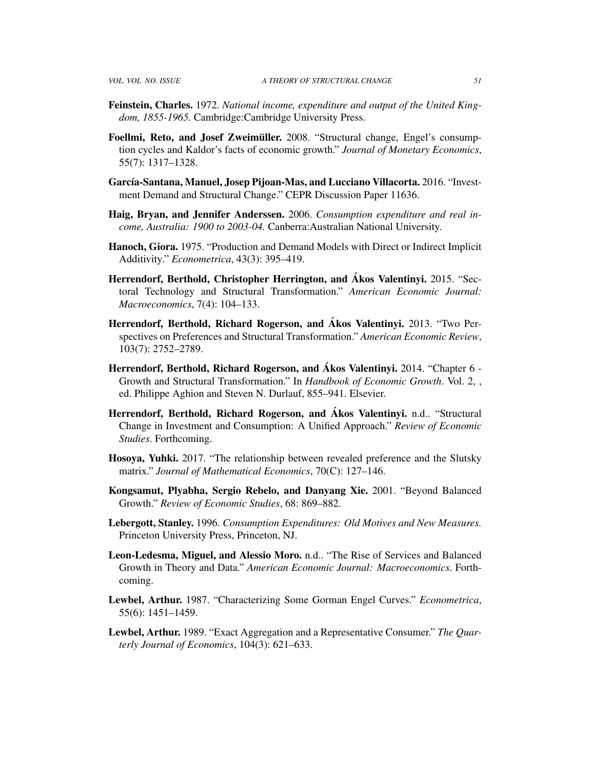- Feinstein, Charles. 1972. *National income, expenditure and output of the United Kingdom, 1855-1965.* Cambridge:Cambridge University Press.
- Foellmi, Reto, and Josef Zweimüller. 2008. "Structural change, Engel's consumption cycles and Kaldor's facts of economic growth." *Journal of Monetary Economics*, 55(7): 1317–1328.
- García-Santana, Manuel, Josep Pijoan-Mas, and Lucciano Villacorta. 2016. "Investment Demand and Structural Change." CEPR Discussion Paper 11636.
- Haig, Bryan, and Jennifer Anderssen. 2006. *Consumption expenditure and real income, Australia: 1900 to 2003-04.* Canberra:Australian National University.
- Hanoch, Giora. 1975. "Production and Demand Models with Direct or Indirect Implicit Additivity." *Econometrica*, 43(3): 395–419.
- Herrendorf, Berthold, Christopher Herrington, and Ákos Valentinyi. 2015. "Sec-toral Technology and Structural Transformation." *American Economic Journal: Macroeconomics*, 7(4): 104–133.
- Herrendorf, Berthold, Richard Rogerson, and Akos Valentinyi. 2013. "Two Perspectives on Preferences and Structural Transformation." *American Economic Review*, 103(7): 2752–2789.
- Herrendorf, Berthold, Richard Rogerson, and Ákos Valentinyi. 2014. "Chapter 6 -Growth and Structural Transformation." In *Handbook of Economic Growth*. Vol. 2, , ed. Philippe Aghion and Steven N. Durlauf, 855–941. Elsevier.
- Herrendorf, Berthold, Richard Rogerson, and Akos Valentinyi. n.d.. "Structural Change in Investment and Consumption: A Unified Approach." *Review of Economic Studies*. Forthcoming.
- Hosoya, Yuhki. 2017. "The relationship between revealed preference and the Slutsky matrix." *Journal of Mathematical Economics*, 70(C): 127–146.
- Kongsamut, Plyabha, Sergio Rebelo, and Danyang Xie. 2001. "Beyond Balanced Growth." *Review of Economic Studies*, 68: 869–882.
- Lebergott, Stanley. 1996. *Consumption Expenditures: Old Motives and New Measures.* Princeton University Press, Princeton, NJ.
- Leon-Ledesma, Miguel, and Alessio Moro. n.d.. "The Rise of Services and Balanced Growth in Theory and Data." *American Economic Journal: Macroeconomics*. Forthcoming.
- Lewbel, Arthur. 1987. "Characterizing Some Gorman Engel Curves." *Econometrica*, 55(6): 1451–1459.
- Lewbel, Arthur. 1989. "Exact Aggregation and a Representative Consumer." *The Quarterly Journal of Economics*, 104(3): 621–633.